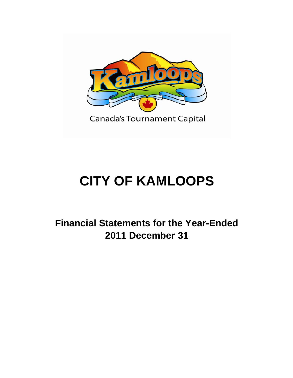

# **CITY OF KAMLOOPS**

**Financial Statements for the Year-Ended 2011 December 31**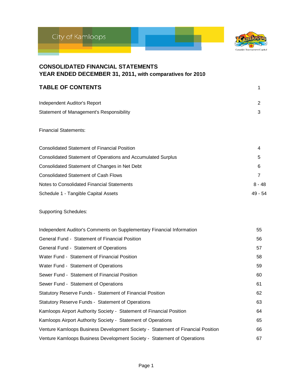



| <b>CONSOLIDATED FINANCIAL STATEMENTS</b><br>YEAR ENDED DECEMBER 31, 2011, with comparatives for 2010 |                |
|------------------------------------------------------------------------------------------------------|----------------|
| <b>TABLE OF CONTENTS</b>                                                                             | 1              |
| Independent Auditor's Report                                                                         | 2              |
| <b>Statement of Management's Responsibility</b>                                                      | 3              |
| <b>Financial Statements:</b>                                                                         |                |
| <b>Consolidated Statement of Financial Position</b>                                                  | 4              |
| <b>Consolidated Statement of Operations and Accumulated Surplus</b>                                  | 5              |
| Consolidated Statement of Changes in Net Debt                                                        | 6              |
| <b>Consolidated Statement of Cash Flows</b>                                                          | $\overline{7}$ |
| Notes to Consolidated Financial Statements                                                           | $8 - 48$       |
| Schedule 1 - Tangible Capital Assets                                                                 | 49 - 54        |
| <b>Supporting Schedules:</b>                                                                         |                |
| Independent Auditor's Comments on Supplementary Financial Information                                | 55             |
| General Fund - Statement of Financial Position                                                       | 56             |
| General Fund - Statement of Operations                                                               | 57             |
| Water Fund - Statement of Financial Position                                                         | 58             |
| Water Fund - Statement of Operations                                                                 | 59             |
| Sewer Fund - Statement of Financial Position                                                         | 60             |
| Sewer Fund - Statement of Operations                                                                 | 61             |
| Statutory Reserve Funds - Statement of Financial Position                                            | 62             |
| Statutory Reserve Funds - Statement of Operations                                                    | 63             |
| Kamloops Airport Authority Society - Statement of Financial Position                                 | 64             |
| Kamloops Airport Authority Society - Statement of Operations                                         | 65             |
| Venture Kamloops Business Development Society - Statement of Financial Position                      | 66             |
| Venture Kamloops Business Development Society - Statement of Operations                              | 67             |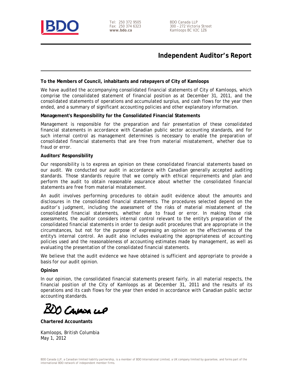

Tel: 250 372 9505 Fax: 250 374 6323 **www.bdo.ca** 

BDO Canada LLP 300 – 272 Victoria Street Kamloops BC V2C 1Z6

### **Independent Auditor's Report**

#### **To the Members of Council, inhabitants and ratepayers of City of Kamloops**

We have audited the accompanying consolidated financial statements of City of Kamloops, which comprise the consolidated statement of financial position as at December 31, 2011, and the consolidated statements of operations and accumulated surplus, and cash flows for the year then ended, and a summary of significant accounting policies and other explanatory information.

#### **Management's Responsibility for the Consolidated Financial Statements**

Management is responsible for the preparation and fair presentation of these consolidated financial statements in accordance with Canadian public sector accounting standards, and for such internal control as management determines is necessary to enable the preparation of consolidated financial statements that are free from material misstatement, whether due to fraud or error.

#### **Auditors' Responsibility**

Our responsibility is to express an opinion on these consolidated financial statements based on our audit. We conducted our audit in accordance with Canadian generally accepted auditing standards. Those standards require that we comply with ethical requirements and plan and perform the audit to obtain reasonable assurance about whether the consolidated financial statements are free from material misstatement.

An audit involves performing procedures to obtain audit evidence about the amounts and disclosures in the consolidated financial statements. The procedures selected depend on the auditor's judgment, including the assessment of the risks of material misstatement of the consolidated financial statements, whether due to fraud or error. In making those risk assessments, the auditor considers internal control relevant to the entity's preparation of the consolidated financial statements in order to design audit procedures that are appropriate in the circumstances, but not for the purpose of expressing an opinion on the effectiveness of the entity's internal control. An audit also includes evaluating the appropriateness of accounting policies used and the reasonableness of accounting estimates made by management, as well as evaluating the presentation of the consolidated financial statements.

We believe that the audit evidence we have obtained is sufficient and appropriate to provide a basis for our audit opinion.

#### **Opinion**

In our opinion, the consolidated financial statements present fairly, in all material respects, the financial position of the City of Kamloops as at December 31, 2011 and the results of its operations and its cash flows for the year then ended in accordance with Canadian public sector accounting standards.

0 Cavasa cip

**Chartered Accountants** 

Kamloops, British Columbia May 1, 2012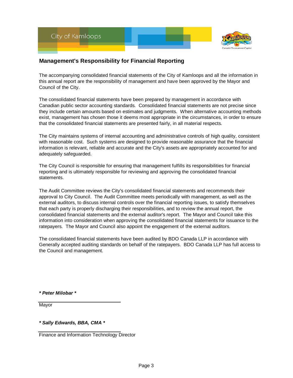

#### **Management's Responsibility for Financial Reporting**

The accompanying consolidated financial statements of the City of Kamloops and all the information in this annual report are the responsibility of management and have been approved by the Mayor and Council of the City.

The consolidated financial statements have been prepared by management in accordance with Canadian public sector accounting standards. Consolidated financial statements are not precise since they include certain amounts based on estimates and judgments. When alternative accounting methods exist, management has chosen those it deems most appropriate in the circumstances, in order to ensure that the consolidated financial statements are presented fairly, in all material respects.

The City maintains systems of internal accounting and administrative controls of high quality, consistent with reasonable cost. Such systems are designed to provide reasonable assurance that the financial information is relevant, reliable and accurate and the City's assets are appropriately accounted for and adequately safeguarded.

The City Council is responsible for ensuring that management fulfills its responsibilities for financial reporting and is ultimately responsible for reviewing and approving the consolidated financial statements.

The Audit Committee reviews the City's consolidated financial statements and recommends their approval to City Council. The Audit Committee meets periodically with management, as well as the external auditors, to discuss internal controls over the financial reporting issues, to satisfy themselves that each party is properly discharging their responsibilities, and to review the annual report, the consolidated financial statements and the external auditor's report. The Mayor and Council take this information into consideration when approving the consolidated financial statements for issuance to the ratepayers. The Mayor and Council also appoint the engagement of the external auditors.

The consolidated financial statements have been audited by BDO Canada LLP in accordance with Generally accepted auditing standards on behalf of the ratepayers. BDO Canada LLP has full access to the Council and management.

*\* Peter Milobar \**

Mayor

*\* Sally Edwards, BBA, CMA \**

Finance and Information Technology Director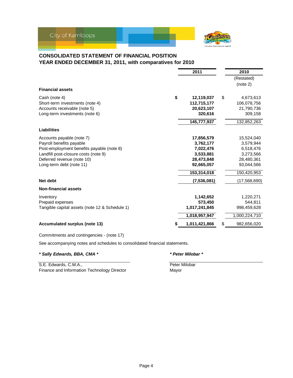

#### **CONSOLIDATED STATEMENT OF FINANCIAL POSITION YEAR ENDED DECEMBER 31, 2011, with comparatives for 2010**

|                                                                 | (Restated)    |
|-----------------------------------------------------------------|---------------|
|                                                                 |               |
|                                                                 | (note 2)      |
| <b>Financial assets</b>                                         |               |
| \$<br>12,119,037<br>Cash (note 4)<br>\$                         | 4,673,613     |
| 112,715,177<br>Short-term investments (note 4)                  | 106,078,756   |
| Accounts receivable (note 5)<br>20,623,107                      | 21,790,736    |
| Long-term investments (note 6)<br>320,616                       | 309,158       |
| 145,777,937                                                     | 132,852,263   |
| <b>Liabilities</b>                                              |               |
| 17,856,579<br>Accounts payable (note 7)                         | 15,524,040    |
| Payroll benefits payable<br>3,762,177                           | 3,579,944     |
| Post-employment benefits payable (note 8)<br>7,022,476          | 6,518,476     |
| Landfill post-closure costs (note 9)<br>3,533,881               | 3,273,566     |
| Deferred revenue (note 10)<br>28,473,848                        | 28,480,361    |
| Long-term debt (note 11)<br>92,665,057                          | 93,044,566    |
| 153,314,018                                                     | 150,420,953   |
| Net debt<br>(7, 536, 081)                                       | (17,568,690)  |
| <b>Non-financial assets</b>                                     |               |
| 1,142,652<br>Inventory                                          | 1,220,271     |
| 573,450<br>Prepaid expenses                                     | 544,811       |
| Tangible capital assets (note 12 & Schedule 1)<br>1,017,241,845 | 998,459,628   |
| 1,018,957,947                                                   | 1,000,224,710 |
| <b>Accumulated surplus (note 13)</b><br>1,011,421,866<br>S      | 982,656,020   |

Commitments and contingencies - (note 17)

See accompanying notes and schedules to consolidated financial statements.

*\* Sally Edwards, BBA, CMA \* \* Peter Milobar \**

S.E. Edwards, C.M.A., **Example 2018** Peter Milobar Finance and Information Technology Director **Mayor** Mayor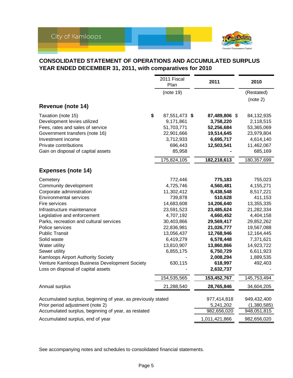

### **CONSOLIDATED STATEMENT OF OPERATIONS AND ACCUMULATED SURPLUS YEAR ENDED DECEMBER 31, 2011, with comparatives for 2010**

|                                                              | 2011 Fiscal<br>Plan        | 2011                       | 2010                    |
|--------------------------------------------------------------|----------------------------|----------------------------|-------------------------|
|                                                              | (note 19)                  |                            | (Restated)              |
| Revenue (note 14)                                            |                            |                            | (note 2)                |
|                                                              |                            |                            |                         |
| \$<br>Taxation (note 15)<br>Development levies utilized      | 87,551,473 \$<br>9,171,861 | 87,489,806 \$<br>3,758,220 | 84,132,935              |
| Fees, rates and sales of service                             | 51,703,771                 | 52,256,684                 | 2,118,515<br>53,365,069 |
| Government transfers (note 16)                               | 22,901,666                 | 19,514,645                 | 23,979,804              |
| Investment income                                            | 3,712,933                  | 6,695,717                  | 4,614,140               |
| Private contributions                                        | 696,443                    | 12,503,541                 | 11,462,067              |
| Gain on disposal of capital assets                           | 85,958                     |                            | 685,169                 |
|                                                              | 175,824,105                | 182,218,613                | 180,357,699             |
| <b>Expenses (note 14)</b>                                    |                            |                            |                         |
| Cemetery                                                     | 772,446                    | 775,183                    | 755,023                 |
| Community development                                        | 4,725,746                  | 4,560,481                  | 4,155,271               |
| Corporate administration                                     | 11,302,412                 | 9,438,548                  | 8,517,221               |
| <b>Environmental services</b>                                | 739,878                    | 510,628                    | 411,153                 |
| Fire services                                                | 14,683,608                 | 14,206,640                 | 13,355,335              |
| Infrastructure maintenance                                   | 23,591,523                 | 23,485,624                 | 21,282,334              |
| Legislative and enforcement                                  | 4,707,192                  | 4,660,452                  | 4,404,158               |
| Parks, recreation and cultural services                      | 30,403,866                 | 29,569,417                 | 29,852,262              |
| Police services                                              | 22,836,981                 | 21,026,777                 | 19,567,088              |
| <b>Public Transit</b>                                        | 13,056,437                 | 12,768,946                 | 12,164,445              |
| Solid waste                                                  | 6,419,279                  | 6,578,448                  | 7,371,621               |
| Water utility                                                | 13,810,907                 | 13,860,866                 | 14,923,722              |
| Sewer utility                                                | 6,855,175                  | 6,750,729                  | 6,611,923               |
| Kamloops Airport Authority Society                           |                            | 2,008,294                  | 1,889,535               |
| Venture Kamloops Business Development Society                | 630,115                    | 618,997                    | 492,403                 |
| Loss on disposal of capital assets                           |                            | 2,632,737                  |                         |
|                                                              | 154,535,565                | 153,452,767                | 145,753,494             |
| Annual surplus                                               | 21,288,540                 | 28,765,846                 | 34,604,205              |
| Accumulated surplus, beginning of year, as previously stated |                            | 977,414,818                | 949,432,400             |
| Prior period adjustment (note 2)                             |                            | 5,241,202                  | (1,380,585)             |
| Accumulated surplus, beginning of year, as restated          |                            | 982,656,020                | 948,051,815             |
| Accumulated surplus, end of year                             |                            | 1,011,421,866              | 982,656,020             |

See accompanying notes and schedules to consolidated financial statements.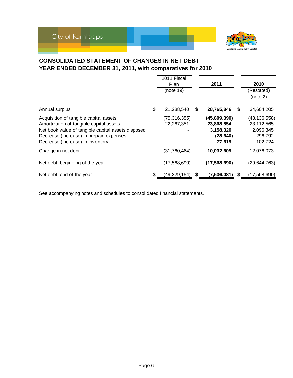

### **CONSOLIDATED STATEMENT OF CHANGES IN NET DEBT YEAR ENDED DECEMBER 31, 2011, with comparatives for 2010**

|                                                                                                                                                                                                                        | 2011 Fiscal<br><b>Plan</b><br>(note 19) |    | 2011                                                           |   | 2010<br>(Restated)<br>(note 2)                                  |
|------------------------------------------------------------------------------------------------------------------------------------------------------------------------------------------------------------------------|-----------------------------------------|----|----------------------------------------------------------------|---|-----------------------------------------------------------------|
| Annual surplus                                                                                                                                                                                                         | \$<br>21,288,540                        | S  | 28,765,846                                                     | S | 34,604,205                                                      |
| Acquisition of tangible capital assets<br>Amortization of tangible capital assets<br>Net book value of tangible capital assets disposed<br>Decrease (increase) in prepaid expenses<br>Decrease (increase) in inventory | (75, 316, 355)<br>22,267,351            |    | (45,809,390)<br>23,868,854<br>3,158,320<br>(28, 640)<br>77,619 |   | (48, 136, 558)<br>23,112,565<br>2,096,345<br>296,792<br>102,724 |
| Change in net debt                                                                                                                                                                                                     | (31, 760, 464)                          |    | 10,032,609                                                     |   | 12,076,073                                                      |
| Net debt, beginning of the year                                                                                                                                                                                        | (17,568,690)                            |    | (17, 568, 690)                                                 |   | (29, 644, 763)                                                  |
| Net debt, end of the year                                                                                                                                                                                              | \$<br>(49,329,154)                      | S. | (7, 536, 081)                                                  | S | (17,568,690)                                                    |

See accompanying notes and schedules to consolidated financial statements.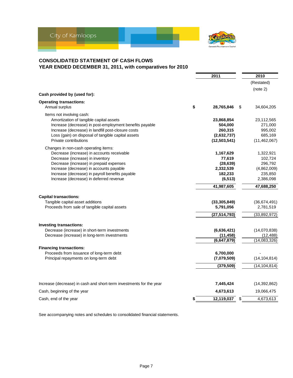

#### **CONSOLIDATED STATEMENT OF CASH FLOWS YEAR ENDED DECEMBER 31, 2011, with comparatives for 2010**

|                                                                                                               | 2011               | 2010               |
|---------------------------------------------------------------------------------------------------------------|--------------------|--------------------|
|                                                                                                               |                    | (Restated)         |
|                                                                                                               |                    | (note 2)           |
| Cash provided by (used for):                                                                                  |                    |                    |
| <b>Operating transactions:</b>                                                                                |                    |                    |
| Annual surplus                                                                                                | \$<br>28,765,846   | \$<br>34,604,205   |
| Items not involving cash:                                                                                     |                    |                    |
| Amortization of tangible capital assets                                                                       | 23,868,854         | 23,112,565         |
| Increase (decrease) in post-employment benefits payable<br>Increase (decrease) in landfill post-closure costs | 504,000<br>260,315 | 271,000<br>995,002 |
| Loss (gain) on disposal of tangible capital assets                                                            | (2,632,737)        | 685,169            |
| Private contributions                                                                                         | (12,503,541)       | (11, 462, 067)     |
| Changes in non-cash operating items:                                                                          |                    |                    |
| Decrease (increase) in accounts receivable                                                                    | 1,167,629          | 1,322,921          |
| Decrease (increase) in inventory                                                                              | 77,619             | 102,724            |
| Decrease (increase) in prepaid expenses                                                                       | (28, 639)          | 296,792            |
| Increase (decrease) in accounts payable                                                                       | 2,332,539          | (4,862,009)        |
| Increase (decrease) in payroll benefits payable                                                               | 182,233            | 235,850            |
| Increase (decrease) in deferred revenue                                                                       | (6, 513)           | 2,386,098          |
|                                                                                                               | 41,987,605         | 47,688,250         |
| <b>Capital transactions:</b>                                                                                  |                    |                    |
| Tangible capital asset additions                                                                              | (33, 305, 849)     | (36,674,491)       |
| Proceeds from sale of tangible capital assets                                                                 | 5,791,056          | 2,781,519          |
|                                                                                                               | (27, 514, 793)     | (33,892,972)       |
| <b>Investing transactions:</b>                                                                                |                    |                    |
| Decrease (increase) in short-term investments                                                                 | (6,636,421)        | (14,070,838)       |
| Decrease (increase) in long-term investments                                                                  | (11, 458)          | (12, 488)          |
|                                                                                                               | (6,647,879)        | (14,083,326)       |
| <b>Financing transactions:</b>                                                                                |                    |                    |
| Proceeds from issuance of long-term debt                                                                      | 6,700,000          |                    |
| Principal repayments on long-term debt                                                                        | (7,079,509)        | (14, 104, 814)     |
|                                                                                                               | (379, 509)         | (14, 104, 814)     |
| Increase (decrease) in cash and short-term investments for the year                                           | 7,445,424          | (14, 392, 862)     |
| Cash, beginning of the year                                                                                   | 4,673,613          | 19,066,475         |
| Cash, end of the year                                                                                         | \$<br>12,119,037   | \$<br>4,673,613    |

See accompanying notes and schedules to consolidated financial statements.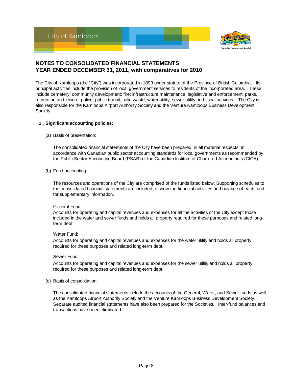

The City of Kamloops (the "City") was incorporated in 1893 under statute of the Province of British Columbia. Its principal activities include the provision of local government services to residents of the incorporated area. These include cemetery; community development; fire; infrastructure maintenance; legislative and enforcement; parks, recreation and leisure; police; public transit; solid waste; water utility; sewer utility and fiscal services. The City is also responsible for the Kamloops Airport Authority Society and the Venture Kamloops Business Development Society.

#### **1 . Significant accounting policies:**

(a) Basis of presentation:

The consolidated financial statements of the City have been prepared, in all material respects, in accordance with Canadian public sector accounting standards for local governments as recommended by the Public Sector Accounting Board (PSAB) of the Canadian Institute of Chartered Accountants (CICA).

(b) Fund accounting:

The resources and operations of the City are comprised of the funds listed below. Supporting schedules to the consolidated financial statements are included to show the financial activities and balance of each fund for supplementary information.

#### General Fund:

Accounts for operating and capital revenues and expenses for all the activities of the City except those included in the water and sewer funds and holds all property required for these purposes and related longterm debt.

#### Water Fund:

Accounts for operating and capital revenues and expenses for the water utility and holds all property required for these purposes and related long-term debt.

#### Sewer Fund:

Accounts for operating and capital revenues and expenses for the sewer utility and holds all property required for these purposes and related long-term debt.

(c) Basis of consolidation:

The consolidated financial statements include the accounts of the General, Water, and Sewer funds as well as the Kamloops Airport Authority Society and the Venture Kamloops Business Development Society. Separate audited financial statements have also been prepared for the Societies. Inter-fund balances and transactions have been eliminated.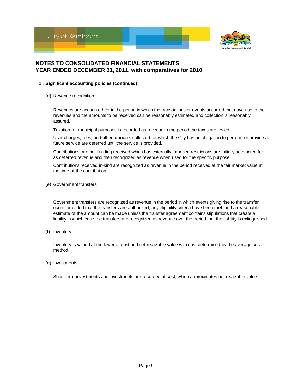



#### **1 . Significant accounting policies (continued):**

(d) Revenue recognition:

Revenues are accounted for in the period in which the transactions or events occurred that gave rise to the revenues and the amounts to be received can be reasonably estimated and collection is reasonably assured.

Taxation for municipal purposes is recorded as revenue in the period the taxes are levied.

User charges, fees, and other amounts collected for which the City has an obligation to perform or provide a future service are deferred until the service is provided.

Contributions or other funding received which has externally imposed restrictions are initially accounted for as deferred revenue and then recognized as revenue when used for the specific purpose.

Contributions received in-kind are recognized as revenue in the period received at the fair market value at the time of the contribution.

(e) Government transfers:

Government transfers are recognized as revenue in the period in which events giving rise to the transfer occur, provided that the transfers are authorized, any eligibility criteria have been met, and a reasonable estimate of the amount can be made unless the transfer agreement contains stipulations that create a liability in which case the transfers are recognized as revenue over the period that the liability is extinguished.

(f) Inventory:

Inventory is valued at the lower of cost and net realizable value with cost determined by the average cost method.

(g) Investments:

Short-term investments and investments are recorded at cost, which approximates net realizable value.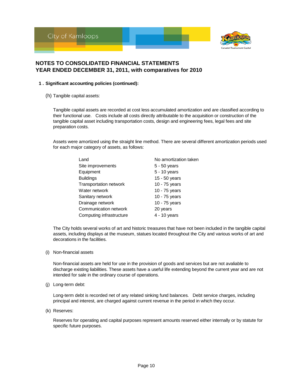



#### **1 . Significant accounting policies (continued):**

(h) Tangible capital assets:

Tangible capital assets are recorded at cost less accumulated amortization and are classified according to their functional use. Costs include all costs directly attributable to the acquisition or construction of the tangible capital asset including transportation costs, design and engineering fees, legal fees and site preparation costs.

Assets were amortized using the straight line method. There are several different amortization periods used for each major category of assets, as follows:

| Land                     | No amortization taken |
|--------------------------|-----------------------|
| Site improvements        | 5 - 50 years          |
| Equipment                | 5 - 10 years          |
| <b>Buildings</b>         | 15 - 50 years         |
| Transportation network   | 10 - 75 years         |
| Water network            | 10 - 75 years         |
| Sanitary network         | 10 - 75 years         |
| Drainage network         | 10 - 75 years         |
| Communication network    | 20 years              |
| Computing infrastructure | 4 - 10 years          |

The City holds several works of art and historic treasures that have not been included in the tangible capital assets, including displays at the museum, statues located throughout the City and various works of art and decorations in the facilities.

(i) Non-financial assets

Non-financial assets are held for use in the provision of goods and services but are not avaliable to discharge existing liabilities. These assets have a useful life extending beyond the current year and are not intended for sale in the ordinary course of operations.

(j) Long-term debt:

Long-term debt is recorded net of any related sinking fund balances. Debt service charges, including principal and interest, are charged against current revenue in the period in which they occur.

(k) Reserves:

Reserves for operating and capital purposes represent amounts reserved either internally or by statute for specific future purposes.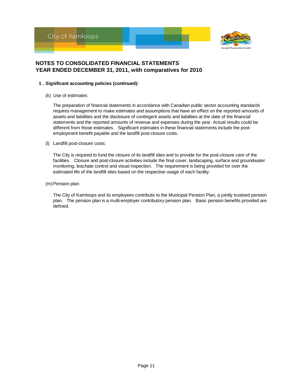



#### **1 . Significant accounting policies (continued):**

(k) Use of estimates:

The preparation of financial statements in accordance with Canadian public sector accounting standards requires management to make estimates and assumptions that have an effect on the reported amounts of assets and liabilities and the disclosure of contingent assets and liabilities at the date of the financial statements and the reported amounts of revenue and expenses during the year. Actual results could be different from those estimates. Significant estimates in these financial statements include the postemployment benefit payable and the landfill post-closure costs.

(l) Landfill post-closure costs:

The City is required to fund the closure of its landfill sites and to provide for the post-closure care of the facilities. Closure and post-closure activities include the final cover, landscaping, surface and groundwater monitoring, leachate control and visual inspection. The requirement is being provided for over the estimated life of the landfill sites based on the respective usage of each facility.

(m) Pension plan:

The City of Kamloops and its employees contribute to the Municipal Pension Plan, a jointly trusteed pension plan. The pension plan is a multi-employer contributory pension plan. Basic pension benefits provided are defined.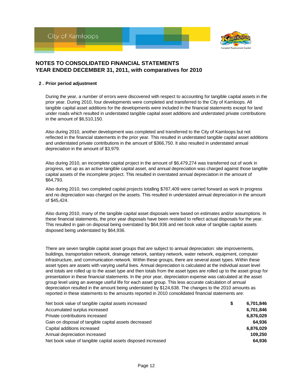



#### **2 . Prior period adjustment**

During the year, a number of errors were discovered with respect to accounting for tangible capital assets in the prior year. During 2010, four developments were completed and transferred to the City of Kamloops. All tangible capital asset additions for the developments were included in the financial statements except for land under roads which resulted in understated tangible capital asset additions and understated private contributions in the amount of \$6,510,150.

Also during 2010, another development was completed and transferred to the City of Kamloops but not reflected in the financial statements in the prior year. This resulted in understated tangible capital asset additions and understated private contributions in the amount of \$366,750. It also resulted in understated annual depreciation in the amount of \$3,979.

Also during 2010, an incomplete capital project in the amount of \$6,479,274 was transferred out of work in progress, set up as an active tangible capital asset, and annual depreciation was charged against those tangible capital assets of the incomplete project. This resulted in overstated annual depreciation in the amount of \$64,793.

Also during 2010, two completed capital projects totalling \$787,409 were carried forward as work in progress and no depreciation was charged on the assets. This resulted in understated annual depreciation in the amount of \$45,424.

Also during 2010, many of the tangible capital asset disposals were based on estimates and/or assumptions. In these financial statements, the prior year disposals have been restated to reflect actual disposals for the year. This resulted in gain on disposal being overstated by \$64,936 and net book value of tangible capital assets disposed being understated by \$64,936.

There are seven tangible capital asset groups that are subject to annual depreciation: site improvements, buildings, transportation network, drainage network, sanitary network, water network, equipment, computer infrastructure, and communication network. Within these groups, there are several asset types. Within these asset types are assets with varying useful lives. Annual depreciation is calculated at the individual asset level and totals are rolled up to the asset type and then totals from the asset types are rolled up to the asset group for presentation in these financial statements. In the prior year, depreciation expense was calculated at the asset group level using an average useful life for each asset group. This less accurate calculation of annual depreciation resulted in the amount being understated by \$124,638. The changes to the 2010 amounts as reported in these statements to the amounts reported in 2010 consolidated financial statements are:

| Net book value of tangible capital assets increased          | \$<br>6,701,846 |
|--------------------------------------------------------------|-----------------|
| Accumulated surplus increased                                | 6,701,846       |
| Private contributions increased                              | 6,876,029       |
| Gain on disposal of tangible capital assets decreased        | 64.936          |
| Capital additions increased                                  | 6,876,029       |
| Annual depreciation increased                                | 109.250         |
| Net book value of tangible capital assets disposed increased | 64.936          |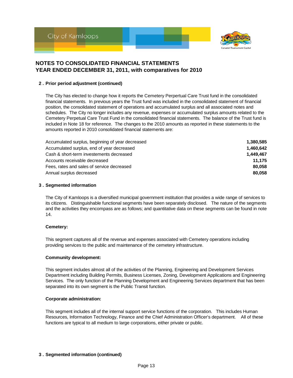



#### **2 . Prior period adjustment (continued)**

The City has elected to change how it reports the Cemetery Perpertual Care Trust fund in the consolidated financial statements. In previous years the Trust fund was included in the consolidated statement of financial position, the consolidated statement of operations and accumulated surplus and all associated notes and schedules. The City no longer includes any revenue, expenses or accumulated surplus amounts related to the Cemetery Perpetual Care Trust Fund in the consolidated financial statements. The balance of the Trust fund is included in Note 18 for reference. The changes to the 2010 amounts as reported in these statements to the amounts reported in 2010 consolidated financial statements are:

| Accumulated surplus, beginning of year decreased | 1.380.585 |
|--------------------------------------------------|-----------|
| Accumulated surplus, end of year decreased       | 1.460.642 |
| Cash & short-term investements decreased         | 1.449.467 |
| Accounts receivable decreased                    | 11.175    |
| Fees, rates and sales of service decreased       | 80.058    |
| Annual surplus decreased                         | 80.058    |

#### **3 . Segmented information**

The City of Kamloops is a diversified municipal government institution that provides a wide range of services to its citizens. Distinguishable functional segments have been separately disclosed. The nature of the segments and the activities they encompass are as follows; and quantitative data on these segments can be found in note 14.

#### **Cemetery:**

This segment captures all of the revenue and expenses associated with Cemetery operations including providing services to the public and maintenance of the cemetery infrastructure.

#### **Community development:**

This segment includes almost all of the activities of the Planning, Engineering and Development Services Department including Building Permits, Business Licenses, Zoning, Development Applications and Engineering Services. The only function of the Planning Development and Engineering Services department that has been separated into its own segment is the Public Transit function.

#### **Corporate administration:**

This segment includes all of the internal support service functions of the corporation. This includes Human Resources, Information Technology, Finance and the Chief Administration Officer's department. All of these functions are typical to all medium to large corporations, either private or public.

#### **3 . Segmented information (continued)**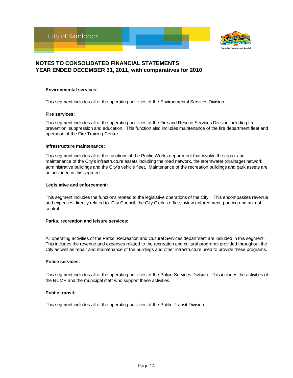

#### **Environmental services:**

This segment includes all of the operating activities of the Environmental Services Division.

#### **Fire services:**

This segment includes all of the operating activities of the Fire and Rescue Services Division including fire prevention, suppression and education. This function also includes maintenance of the fire department fleet and operation of the Fire Training Centre.

#### **Infrastructure maintenance:**

This segment includes all of the functions of the Public Works department that involve the repair and maintenance of the City's infrastructure assets including the road network, the stormwater (drainage) network, administrative buildings and the City's vehicle fleet. Maintenance of the recreation buildings and park assets are not included in this segment.

#### **Legislative and enforcement:**

This segment includes the functions related to the legislative operations of the City. This encompasses revenue and expenses directly related to City Council, the City Clerk's office, bylaw enforcement, parking and animal control.

#### **Parks, recreation and leisure services:**

All operating activities of the Parks, Recreation and Cultural Services department are included in this segment. This includes the revenue and expenses related to the recreation and cultural programs provided throughout the City as well as repair and maintenance of the buildings and other infrastructure used to provide these programs.

#### **Police services:**

This segment includes all of the operating activities of the Police Services Division. This includes the activities of the RCMP and the municipal staff who support these activities.

#### **Public transit:**

This segment includes all of the operating activities of the Public Transit Division.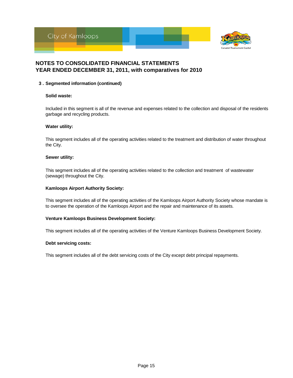



#### **3 . Segmented information (continued)**

#### **Solid waste:**

Included in this segment is all of the revenue and expenses related to the collection and disposal of the residents garbage and recycling products.

#### **Water utility:**

This segment includes all of the operating activities related to the treatment and distribution of water throughout the City.

#### **Sewer utility:**

This segment includes all of the operating activities related to the collection and treatment of wastewater (sewage) throughout the City.

#### **Kamloops Airport Authority Society:**

This segment includes all of the operating activities of the Kamloops Airport Authority Society whose mandate is to oversee the operation of the Kamloops Airport and the repair and maintenance of its assets.

#### **Venture Kamloops Business Development Society:**

This segment includes all of the operating activities of the Venture Kamloops Business Development Society.

#### **Debt servicing costs:**

This segment includes all of the debt servicing costs of the City except debt principal repayments.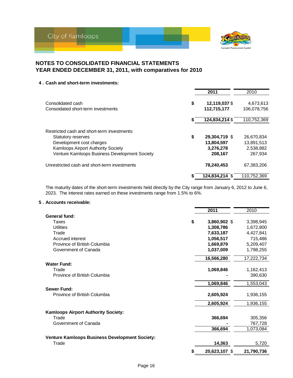

#### **4 . Cash and short-term investments:**

|                                               | 2011                | 2010        |
|-----------------------------------------------|---------------------|-------------|
| Consolidated cash                             | \$<br>12,119,037 \$ | 4,673,613   |
| Consoidated short-term investments            | 112,715,177         | 106,078,756 |
|                                               | 124,834,214 \$      | 110,752,369 |
| Restricted cash and short-term investments:   |                     |             |
| <b>Statutory reserves</b>                     | \$<br>29,304,719 \$ | 26,670,834  |
| Development cost charges                      | 13,804,597          | 13,891,513  |
| Kamloops Airport Authority Society            | 3,276,278           | 2,538,882   |
| Venture Kamloops Business Development Society | 208,167             | 267.934     |
| Unrestricted cash and short-term investments  | 78,240,453          | 67,383,206  |
|                                               | 124,834,214 \$      | 110,752,369 |

The maturity dates of the short-term investments held directly by the City range from January 6, 2012 to June 6, 2023. The interest rates earned on these investments range from 1.5% to 6%.

#### **5 . Accounts receivable:**

|                                                | 2011                | 2010       |
|------------------------------------------------|---------------------|------------|
| General fund:                                  |                     |            |
| Taxes                                          | \$<br>3,860,902 \$  | 3,398,945  |
| Utilities                                      | 1,308,786           | 1,672,800  |
| Trade                                          | 7,633,187           | 4,427,841  |
| Accrued interest                               | 1,056,517           | 715,486    |
| Province of British Columbia                   | 1,669,879           | 5,209,407  |
| Government of Canada                           | 1,037,009           | 1,798,255  |
|                                                | 16,566,280          | 17,222,734 |
| <b>Water Fund:</b>                             |                     |            |
| Trade                                          | 1,069,846           | 1,162,413  |
| Province of British Columbia                   |                     | 390,630    |
|                                                | 1,069,846           | 1,553,043  |
| <b>Sewer Fund:</b>                             |                     |            |
| Province of British Columbia                   | 2,605,924           | 1,936,155  |
|                                                | 2,605,924           | 1,936,155  |
| <b>Kamloops Airport Authority Society:</b>     |                     |            |
| Trade                                          | 366,694             | 305,356    |
| Government of Canada                           |                     | 767,728    |
|                                                | 366,694             | 1,073,084  |
| Venture Kamloops Business Development Society: |                     |            |
| Trade                                          | 14,363              | 5,720      |
|                                                | \$<br>20,623,107 \$ | 21,790,736 |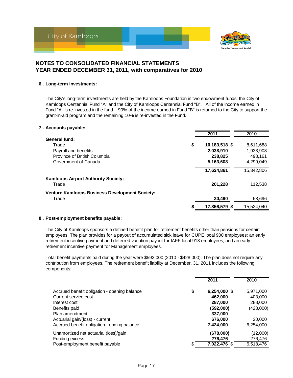

#### **6 . Long-term investments:**

The City's long-term investments are held by the Kamloops Foundation in two endowment funds; the City of Kamloops Centennial Fund "A" and the City of Kamloops Centennial Fund "B". All of the income earned in Fund "A" is re-invested in the fund. 90% of the income earned in Fund "B" is returned to the City to support the grant-in-aid program and the remaining 10% is re-invested in the Fund.

#### **7 . Accounts payable:**

|                                                       | 2011                | 2010       |
|-------------------------------------------------------|---------------------|------------|
| General fund:                                         |                     |            |
| Trade                                                 | \$<br>10,183,518 \$ | 8,611,688  |
| Payroll and benefits                                  | 2,038,910           | 1,933,908  |
| Province of British Columbia                          | 238,825             | 498.161    |
| Government of Canada                                  | 5,163,608           | 4,299,049  |
|                                                       | 17,624,861          | 15,342,806 |
| <b>Kamloops Airport Authority Society:</b>            |                     |            |
| Trade                                                 | 201,228             | 112,538    |
| <b>Venture Kamloops Business Development Society:</b> |                     |            |
| Trade                                                 | 30.490              | 68,696     |
|                                                       | \$<br>17,856,579 \$ | 15.524.040 |

#### **8 . Post-employment benefits payable:**

The City of Kamloops sponsors a defined benefit plan for retirement benefits other than pensions for certain employees. The plan provides for a payout of accumulated sick leave for CUPE local 900 employees; an early retirement incentive payment and deferred vacation payout for IAFF local 913 employees; and an early retirement incentive payment for Management employees.

Total benefit payments paid during the year were \$592,000 (2010 - \$428,000). The plan does not require any contribution from employees. The retirement benefit liability at December, 31, 2011 includes the following components:

|                                                   |    | 2011               | 2010               |
|---------------------------------------------------|----|--------------------|--------------------|
| Accrued benefit obligation - opening balance      | \$ | 6,254,000 \$       | 5,971,000          |
| Current service cost<br>Interest cost             |    | 462,000<br>287,000 | 403,000<br>288,000 |
| Benefits paid                                     |    | (592,000)          | (428,000)          |
| Plan amendment<br>Actuarial gain/(loss) - current |    | 337,000<br>676,000 | 20,000             |
| Accrued benefit obligation - ending balance       |    | 7,424,000          | 6,254,000          |
| Unamortized net actuarial (loss)/gain             |    | (678,000)          | (12,000)           |
| Funding excess                                    |    | 276,476            | 276,476            |
| Post-employment benefit payable                   | S  | 7,022,476 \$       | 6,518,476          |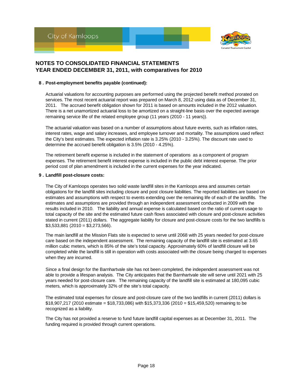



#### **8 . Post-employment benefits payable (continued):**

Actuarial valuations for accounting purposes are performed using the projected benefit method prorated on services. The most recent actuarial report was prepared on March 8, 2012 using data as of December 31, 2011. The accrued benefit obligation shown for 2011 is based on amounts included in the 2012 valuation. There is a net unamortized actuarial loss to be amortized on a straight-line basis over the expected average remaining service life of the related employee group (11 years (2010 - 11 years)).

The actuarial valuation was based on a number of assumptions about future events, such as inflation rates, interest rates, wage and salary increases, and employee turnover and mortality. The assumptions used reflect the City's best estimates. The expected inflation rate is 3.25% (2010 - 3.25%). The discount rate used to determine the accrued benefit obligation is 3.5% (2010 - 4.25%).

The retirement benefit expense is included in the statement of operations as a component of program expenses. The retirement benefit interest expense is included in the public debt interest expense. The prior period cost of plan amendment is included in the current expenses for the year indicated.

#### **9 . Landfill post-closure costs:**

The City of Kamloops operates two solid waste landfill sites in the Kamloops area and assumes certain obligations for the landfill sites including closure and post closure liabilities. The reported liabilities are based on estimates and assumptions with respect to events extending over the remaining life of each of the landfills. The estimates and assumptions are provided through an independent assessment conducted in 2009 with the results included in 2010. The liability and annual expense is calculated based on the ratio of current usage to total capacity of the site and the estimated future cash flows associated with closure and post-closure activities stated in current (2011) dollars. The aggregate liability for closure and post-closure costs for the two landfills is \$3,533,881 (2010 = \$3,273,566).

The main landfill at the Mission Flats site is expected to serve until 2068 with 25 years needed for post-closure care based on the independent assessment. The remaining capacity of the landfill site is estimated at 3.65 million cubic meters, which is 85% of the site's total capacity. Approximately 60% of landfill closure will be completed while the landfill is still in operation with costs associated with the closure being charged to expenses when they are incurred.

Since a final design for the Barnhartvale site has not been completed, the independent assessment was not able to provide a lifespan analysis. The City anticipates that the Barnhartvale site will serve until 2021 with 25 years needed for post-closure care. The remaining capacity of the landfill site is estimated at 180,095 cubic meters, which is approximately 32% of the site's total capacity.

The estimated total expenses for closure and post-closure care of the two landfills in current (2011) dollars is \$18,907,217 (2010 estimate = \$18,733,086) with \$15,373,336 (2010 = \$15,459,520) remaining to be recognized as a liability.

The City has not provided a reserve to fund future landfill capital expenses as at December 31, 2011. The funding required is provided through current operations.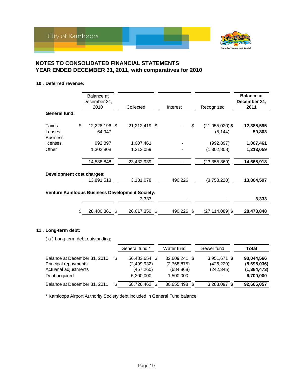

#### **10 . Deferred revenue:**

|                                                       |    | Balance at<br>December 31,<br>2010 |    | Collected     |   | Interest   |    | Recognized                    | <b>Balance at</b><br>December 31,<br>2011 |
|-------------------------------------------------------|----|------------------------------------|----|---------------|---|------------|----|-------------------------------|-------------------------------------------|
| General fund:                                         |    |                                    |    |               |   |            |    |                               |                                           |
| Taxes<br>Leases<br><b>Business</b>                    | \$ | 12,228,196 \$<br>64,947            |    | 21,212,419 \$ |   |            | \$ | $(21,055,020)$ \$<br>(5, 144) | 12,385,595<br>59,803                      |
| licenses                                              |    | 992,897                            |    | 1,007,461     |   |            |    | (992, 897)                    | 1,007,461                                 |
| Other                                                 |    | 1,302,808                          |    | 1,213,059     |   |            |    | (1,302,808)                   | 1,213,059                                 |
|                                                       |    | 14,588,848                         |    | 23,432,939    |   |            |    | (23, 355, 869)                | 14,665,918                                |
| Development cost charges:                             |    |                                    |    |               |   |            |    |                               |                                           |
|                                                       |    | 13,891,513                         |    | 3,181,078     |   | 490,226    |    | (3,758,220)                   | 13,804,597                                |
| <b>Venture Kamloops Business Development Society:</b> |    |                                    |    |               |   |            |    |                               |                                           |
|                                                       |    |                                    |    | 3,333         |   |            |    |                               | 3,333                                     |
|                                                       | \$ | 28,480,361                         | \$ | 26,617,350    | S | 490,226 \$ |    | $(27, 114, 089)$ \$           | 28,473,848                                |

#### **11 . Long-term debt:**

( a ) Long-term debt outstanding:

|                                                                                                |   | General fund *                                          | Water fund                                              | Sewer fund                               | Total                                                   |
|------------------------------------------------------------------------------------------------|---|---------------------------------------------------------|---------------------------------------------------------|------------------------------------------|---------------------------------------------------------|
| Balance at December 31, 2010<br>Principal repayments<br>Actuarial adjustments<br>Debt acquired | S | 56,483,654 \$<br>(2,499,932)<br>(457, 260)<br>5,200,000 | 32.609.241 \$<br>(2,768,875)<br>(684, 868)<br>1,500,000 | 3,951,671 \$<br>(426, 229)<br>(242, 345) | 93,044,566<br>(5,695,036)<br>(1, 384, 473)<br>6,700,000 |
| Balance at December 31, 2011                                                                   | S | 58,726,462                                              | 30,655,498                                              | 3,283,097 \$                             | 92,665,057                                              |

\* Kamloops Airport Authority Society debt included in General Fund balance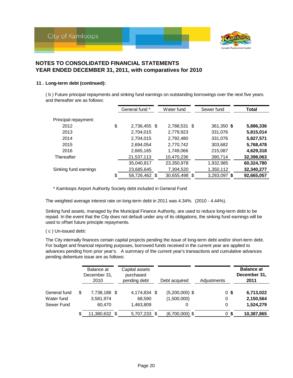



#### **11 . Long-term debt (continued):**

( b ) Future principal repayments and sinking fund earnings on outstanding borrowings over the next five years and thereafter are as follows:

|                       | General fund *      | Water fund    | Sewer fund   | <b>Total</b> |
|-----------------------|---------------------|---------------|--------------|--------------|
| Principal repayment:  |                     |               |              |              |
| 2012                  | \$<br>2,736,455 \$  | 2,788,531 \$  | 361,350 \$   | 5,886,336    |
| 2013                  | 2,704,015           | 2,779,923     | 331,076      | 5,815,014    |
| 2014                  | 2,704,015           | 2,792,480     | 331,076      | 5,827,571    |
| 2015                  | 2,694,054           | 2,770,742     | 303,682      | 5,768,478    |
| 2016                  | 2,665,165           | 1,749,066     | 215,087      | 4,629,318    |
| Thereafter            | 21,537,113          | 10,470,236    | 390,714      | 32,398,063   |
|                       | 35,040,817          | 23,350,978    | 1,932,985    | 60,324,780   |
| Sinking fund earnings | 23,685,645          | 7,304,520     | 1,350,112    | 32,340,277   |
|                       | \$<br>58,726,462 \$ | 30,655,498 \$ | 3,283,097 \$ | 92,665,057   |

\* Kamloops Airport Authority Society debt included in General Fund

The weighted average interest rate on long-term debt in 2011 was 4.34%. (2010 - 4.44%).

Sinking fund assets, managed by the Municipal Finance Authority, are used to reduce long-term debt to be repaid. In the event that the City does not default under any of its obligations, the sinking fund earnings will be used to offset future principle repayments.

( c ) Un-issued debt:

The City internally finances certain capital projects pending the issue of long-term debt and/or short-term debt. For budget and financial reporting purposes, borrowed funds received in the current year are applied to advances pending from prior year's. A summary of the current year's transactions and cumulative advances pending debenture issue are as follows:

|              |    | Balance at<br>December 31,<br>2010 | Capital assets<br>purchased<br>pending debt | Debt acquired    | Adjustments |      | <b>Balance at</b><br>December 31,<br>2011 |
|--------------|----|------------------------------------|---------------------------------------------|------------------|-------------|------|-------------------------------------------|
| General fund | \$ | 7,738,188 \$                       | 4,174,834 \$                                | $(5,200,000)$ \$ | 0S          |      | 6,713,022                                 |
| Water fund   |    | 3,581,974                          | 68,590                                      | (1,500,000)      | 0           |      | 2,150,564                                 |
| Sewer Fund   |    | 60.470                             | 1,463,809                                   | 0                | 0           |      | 1,524,279                                 |
|              | S  | 11,380,632 \$                      | 5,707,233 \$                                | $(6,700,000)$ \$ | 0           | - \$ | 10,387,865                                |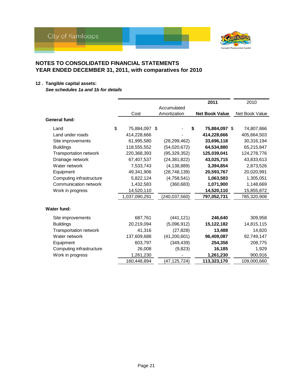

#### **12 . Tangible capital assets:**

*See schedules 1a and 1b for details*

|                               |                     |                 |   | 2011                  | 2010           |
|-------------------------------|---------------------|-----------------|---|-----------------------|----------------|
|                               |                     | Accumulated     |   |                       |                |
|                               | Cost                | Amortization    |   | <b>Net Book Value</b> | Net Book Value |
| <b>General fund:</b>          |                     |                 |   |                       |                |
| Land                          | \$<br>75,884,097 \$ |                 | S | 75,884,097 \$         | 74,807,866     |
| Land under roads              | 414,228,666         |                 |   | 414,228,666           | 405,664,503    |
| Site improvements             | 61,995,580          | (28, 299, 462)  |   | 33,696,118            | 30,316,194     |
| <b>Buildings</b>              | 118,555,552         | (54,020,672)    |   | 64,534,880            | 65,215,847     |
| <b>Transportation network</b> | 220,368,393         | (95, 329, 352)  |   | 125,039,041           | 124,278,776    |
| Drainage network              | 67,407,537          | (24, 381, 822)  |   | 43,025,715            | 43,833,613     |
| Water network                 | 7,533,743           | (4, 138, 889)   |   | 3,394,854             | 2,873,526      |
| Equipment                     | 49,341,906          | (28, 748, 139)  |   | 20,593,767            | 20,020,991     |
| Computing infrastructure      | 5,822,124           | (4,758,541)     |   | 1,063,583             | 1,305,051      |
| Communication network         | 1,432,583           | (360, 683)      |   | 1,071,900             | 1,148,669      |
| Work in progress              | 14,520,110          |                 |   | 14,520,110            | 15,855,872     |
|                               | 1,037,090,291       | (240, 037, 560) |   | 797,052,731           | 785,320,908    |
| Water fund:                   |                     |                 |   |                       |                |
| Site improvements             | 687,761             | (441, 121)      |   | 246,640               | 309,958        |
| <b>Buildings</b>              | 20,219,094          | (5,096,912)     |   | 15,122,182            | 14,815,115     |
| <b>Transportation network</b> | 41,316              | (27, 828)       |   | 13,488                | 14,820         |
| Water network                 | 137,609,688         | (41, 200, 601)  |   | 96,409,087            | 92,749,147     |
| Equipment                     | 603,797             | (349, 439)      |   | 254,358               | 208,775        |
| Computing infrastructure      | 26,008              | (9,823)         |   | 16,185                | 1,929          |
| Work in progress              | 1,261,230           |                 |   | 1,261,230             | 900,916        |
|                               | 160,448,894         | (47,125,724)    |   | 113,323,170           | 109,000,660    |
|                               |                     |                 |   |                       |                |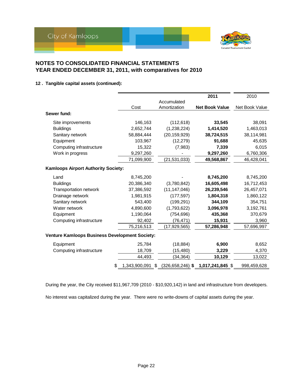

#### **12 . Tangible capital assets (continued):**

|                                                       |               |                            | 2011                  | 2010           |
|-------------------------------------------------------|---------------|----------------------------|-----------------------|----------------|
|                                                       |               | Accumulated                |                       |                |
|                                                       | Cost          | Amortization               | <b>Net Book Value</b> | Net Book Value |
| Sewer fund:                                           |               |                            |                       |                |
| Site improvements                                     | 146,163       | (112, 618)                 | 33,545                | 38,091         |
| <b>Buildings</b>                                      | 2,652,744     | (1,238,224)                | 1,414,520             | 1,463,013      |
| Sanitary network                                      | 58,884,444    | (20, 159, 929)             | 38,724,515            | 38,114,981     |
| Equipment                                             | 103,967       | (12, 279)                  | 91,688                | 45,635         |
| Computing infrastructure                              | 15,322        | (7,983)                    | 7,339                 | 6,015          |
| Work in progress                                      | 9,297,260     |                            | 9,297,260             | 6,760,306      |
|                                                       | 71,099,900    | (21, 531, 033)             | 49,568,867            | 46,428,041     |
| <b>Kamloops Airport Authority Society:</b>            |               |                            |                       |                |
| Land                                                  | 8,745,200     |                            | 8,745,200             | 8,745,200      |
| <b>Buildings</b>                                      | 20,386,340    | (3,780,842)                | 16,605,498            | 16,712,453     |
| <b>Transportation network</b>                         | 37,386,592    | (11, 147, 046)             | 26,239,546            | 26,457,071     |
| Drainage network                                      | 1,981,915     | (177, 597)                 | 1,804,318             | 1,860,122      |
| Sanitary network                                      | 543,400       | (199, 291)                 | 344,109               | 354,751        |
| Water network                                         | 4,890,600     | (1,793,622)                | 3,096,978             | 3,192,761      |
| Equipment                                             | 1,190,064     | (754, 696)                 | 435,368               | 370,679        |
| Computing infrastructure                              | 92,402        | (76, 471)                  | 15,931                | 3,960          |
|                                                       | 75,216,513    | (17, 929, 565)             | 57,286,948            | 57,696,997     |
| <b>Venture Kamloops Business Development Society:</b> |               |                            |                       |                |
| Equipment                                             | 25,784        | (18, 884)                  | 6,900                 | 8,652          |
| Computing infrastructure                              | 18,709        | (15, 480)                  | 3,229                 | 4,370          |
|                                                       | 44,493        | (34, 364)                  | 10,129                | 13,022         |
| \$                                                    | 1,343,900,091 | $(326, 658, 246)$ \$<br>\$ | 1,017,241,845 \$      | 998,459,628    |

During the year, the City received \$11,967,709 (2010 - \$10,920,142) in land and infrastructure from developers.

No interest was capitalized during the year. There were no write-downs of capital assets during the year.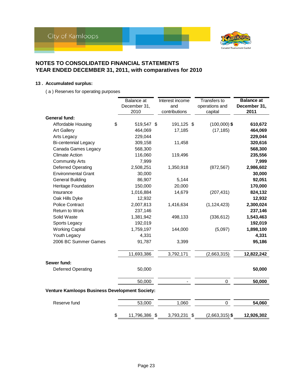

#### **13 . Accumulated surplus:**

( a ) Reserves for operating purposes

|                                                       | Balance at          | Interest income | Transfers to     | <b>Balance at</b> |
|-------------------------------------------------------|---------------------|-----------------|------------------|-------------------|
|                                                       | December 31,        | and             | operations and   | December 31,      |
|                                                       | 2010                | contributions   | capital          | 2011              |
| <b>General fund:</b>                                  |                     |                 |                  |                   |
| Affordable Housing                                    | \$<br>519,547 \$    | 191,125 \$      | $(100,000)$ \$   | 610,672           |
| <b>Art Gallery</b>                                    | 464,069             | 17,185          | (17, 185)        | 464,069           |
| Arts Legacy                                           | 229,044             |                 |                  | 229,044           |
| <b>Bi-centennial Legacy</b>                           | 309,158             | 11,458          |                  | 320,616           |
| Canada Games Legacy                                   | 568,300             |                 |                  | 568,300           |
| <b>Climate Action</b>                                 | 116,060             | 119,496         |                  | 235,556           |
| <b>Community Arts</b>                                 | 7,999               |                 |                  | 7,999             |
| <b>Deferred Operating</b>                             | 2,508,251           | 1,350,918       | (872, 567)       | 2,986,602         |
| <b>Environmental Grant</b>                            | 30,000              |                 |                  | 30,000            |
| <b>General Building</b>                               | 86,907              | 5,144           |                  | 92,051            |
| Heritage Foundation                                   | 150,000             | 20,000          |                  | 170,000           |
| Insurance                                             | 1,016,884           | 14,679          | (207, 431)       | 824,132           |
| Oak Hills Dyke                                        | 12,932              |                 |                  | 12,932            |
| <b>Police Contract</b>                                | 2,007,813           | 1,416,634       | (1, 124, 423)    | 2,300,024         |
| <b>Return to Work</b>                                 | 237,146             |                 |                  | 237,146           |
| Solid Waste                                           | 1,381,942           | 498,133         | (336, 612)       | 1,543,463         |
| Sports Legacy                                         | 192,019             |                 |                  | 192,019           |
| <b>Working Capital</b>                                | 1,759,197           | 144,000         | (5,097)          | 1,898,100         |
| Youth Legacy                                          | 4,331               |                 |                  | 4,331             |
| 2006 BC Summer Games                                  | 91,787              | 3,399           |                  | 95,186            |
|                                                       | 11,693,386          | 3,792,171       | (2,663,315)      | 12,822,242        |
| Sewer fund:                                           |                     |                 |                  |                   |
| <b>Deferred Operating</b>                             | 50,000              |                 |                  | 50,000            |
|                                                       | 50,000              |                 | 0                | 50,000            |
| <b>Venture Kamloops Business Development Society:</b> |                     |                 |                  |                   |
| Reserve fund                                          | 53,000              | 1,060           | 0                | 54,060            |
|                                                       | \$<br>11,796,386 \$ | 3,793,231 \$    | $(2,663,315)$ \$ | 12,926,302        |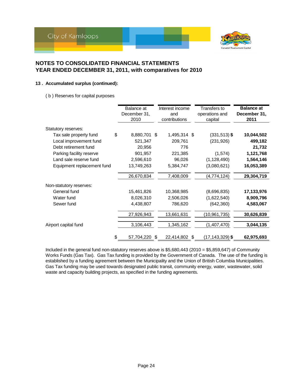

#### **13 . Accumulated surplus (continued):**

( b ) Reserves for capital purposes

|                            | Balance at       |   | Interest income | <b>Transfers to</b> | <b>Balance at</b> |
|----------------------------|------------------|---|-----------------|---------------------|-------------------|
|                            | December 31,     |   | and             | operations and      | December 31,      |
|                            | 2010             |   | contributions   | capital             | 2011              |
|                            |                  |   |                 |                     |                   |
| Statutory reserves:        |                  |   |                 |                     |                   |
| Tax sale property fund     | \$<br>8,880,701  | S | 1,495,314 \$    | $(331, 513)$ \$     | 10,044,502        |
| Local improvement fund     | 521,347          |   | 209,761         | (231, 926)          | 499,182           |
| Debt retirement fund       | 20,956           |   | 776             |                     | 21,732            |
| Parking facility reserve   | 901,957          |   | 221,385         | (1,574)             | 1,121,768         |
| Land sale reserve fund     | 2,596,610        |   | 96,026          | (1, 128, 490)       | 1,564,146         |
| Equipment replacement fund | 13,749,263       |   | 5,384,747       | (3,080,621)         | 16,053,389        |
|                            | 26,670,834       |   | 7,408,009       | (4,774,124)         | 29,304,719        |
| Non-statutory reserves:    |                  |   |                 |                     |                   |
| General fund               | 15,461,826       |   | 10,368,985      | (8,696,835)         | 17,133,976        |
| Water fund                 | 8,026,310        |   | 2,506,026       | (1,622,540)         | 8,909,796         |
| Sewer fund                 | 4,438,807        |   | 786,620         | (642, 360)          | 4,583,067         |
|                            | 27,926,943       |   | 13,661,631      | (10, 961, 735)      | 30,626,839        |
| Airport capital fund       | 3,106,443        |   | 1,345,162       | (1,407,470)         | 3,044,135         |
|                            | \$<br>57,704,220 | S | 22,414,802 \$   | $(17, 143, 329)$ \$ | 62,975,693        |

Included in the general fund non-statutory reserves above is \$5,680,443 (2010 = \$5,859,647) of Community Works Funds (Gas Tax). Gas Tax funding is provided by the Government of Canada. The use of the funding is established by a funding agreement between the Municipality and the Union of British Columbia Municipalities. Gas Tax funding may be used towards designated public transit, community energy, water, wastewater, solid waste and capacity building projects, as specified in the funding agreements.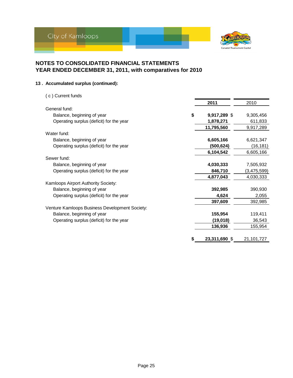

#### **13 . Accumulated surplus (continued):**

| (c) Current funds                              |                    |             |
|------------------------------------------------|--------------------|-------------|
|                                                | 2011               | 2010        |
| General fund:                                  |                    |             |
| Balance, beginning of year                     | \$<br>9,917,289 \$ | 9,305,456   |
| Operating surplus (deficit) for the year       | 1,878,271          | 611,833     |
|                                                | 11,795,560         | 9,917,289   |
| Water fund:                                    |                    |             |
| Balance, beginning of year                     | 6,605,166          | 6,621,347   |
| Operating surplus (deficit) for the year       | (500, 624)         | (16, 181)   |
|                                                | 6,104,542          | 6,605,166   |
| Sewer fund:                                    |                    |             |
| Balance, beginning of year                     | 4,030,333          | 7,505,932   |
| Operating surplus (deficit) for the year       | 846,710            | (3,475,599) |
|                                                | 4,877,043          | 4,030,333   |
| Kamloops Airport Authority Society:            |                    |             |
| Balance, beginning of year                     | 392,985            | 390,930     |
| Operating surplus (deficit) for the year       | 4,624              | 2,055       |
|                                                | 397,609            | 392,985     |
| Venture Kamloops Business Development Society: |                    |             |
| Balance, beginning of year                     | 155,954            | 119,411     |
| Operating surplus (deficit) for the year       | (19,018)           | 36,543      |
|                                                | 136,936            | 155,954     |
|                                                |                    |             |
|                                                | 23,311,690 \$      | 21,101,727  |
|                                                |                    |             |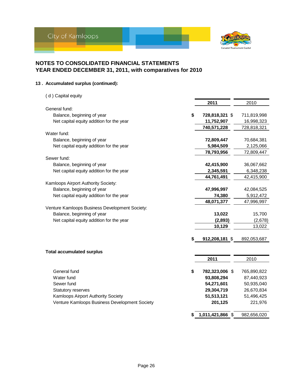

#### **13 . Accumulated surplus (continued):**

| (d) Capital equity                             |                        |             |
|------------------------------------------------|------------------------|-------------|
|                                                | 2011                   | 2010        |
| General fund:                                  |                        |             |
| Balance, beginning of year                     | \$<br>728,818,321 \$   | 711,819,998 |
| Net capital equity addition for the year       | 11,752,907             | 16,998,323  |
|                                                | 740,571,228            | 728,818,321 |
| Water fund:                                    |                        |             |
| Balance, beginning of year                     | 72,809,447             | 70,684,381  |
| Net capital equity addition for the year       | 5,984,509              | 2,125,066   |
|                                                | 78,793,956             | 72,809,447  |
| Sewer fund:                                    |                        |             |
| Balance, beginning of year                     | 42,415,900             | 36,067,662  |
| Net capital equity addition for the year       | 2,345,591              | 6,348,238   |
|                                                | 44,761,491             | 42,415,900  |
| Kamloops Airport Authority Society:            |                        |             |
| Balance, beginning of year                     | 47,996,997             | 42,084,525  |
| Net capital equity addition for the year       | 74,380                 | 5,912,472   |
|                                                | 48,071,377             | 47,996,997  |
| Venture Kamloops Business Development Society: |                        |             |
| Balance, beginning of year                     | 13,022                 | 15,700      |
| Net capital equity addition for the year       | (2,893)                | (2,678)     |
|                                                | 10,129                 | 13,022      |
|                                                | \$<br>912,208,181 \$   | 892,053,687 |
|                                                |                        |             |
| <b>Total accumulated surplus</b>               |                        |             |
|                                                | 2011                   | 2010        |
|                                                |                        |             |
| General fund                                   | \$<br>782,323,006 \$   | 765,890,822 |
| Water fund                                     | 93,808,294             | 87,440,923  |
| Sewer fund                                     | 54,271,601             | 50,935,040  |
| Statutory reserves                             | 29,304,719             | 26,670,834  |
| Kamloops Airport Authority Society             | 51,513,121             | 51,496,425  |
| Venture Kamloops Business Development Society  | 201,125                | 221,976     |
|                                                | \$<br>1,011,421,866 \$ | 982,656,020 |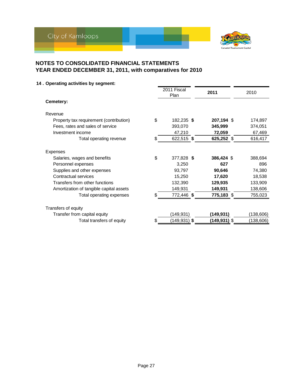

### **14 . Operating activities by segment:**

|                                               | 2011 Fiscal<br>Plan | 2011         | 2010      |
|-----------------------------------------------|---------------------|--------------|-----------|
| Cemetery:                                     |                     |              |           |
| Revenue                                       |                     |              |           |
| \$<br>Property tax requirement (contribution) | 182,235 \$          | 207,194 \$   | 174,897   |
| Fees, rates and sales of service              | 393,070             | 345,999      | 374,051   |
| Investment income                             | 47,210              | 72,059       | 67,469    |
| Total operating revenue<br>\$.                | 622,515 \$          | 625,252 \$   | 616,417   |
| <b>Expenses</b>                               |                     |              |           |
| \$<br>Salaries, wages and benefits            | 377,828 \$          | 386,424 \$   | 388,694   |
| Personnel expenses                            | 3,250               | 627          | 896       |
| Supplies and other expenses                   | 93,797              | 90,646       | 74,380    |
| Contractual services                          | 15,250              | 17,620       | 18,538    |
| Transfers from other functions                | 132,390             | 129,935      | 133,909   |
| Amortization of tangible capital assets       | 149,931             | 149,931      | 138,606   |
| S<br>Total operating expenses                 | 772,446 \$          | 775,183 \$   | 755,023   |
| Transfers of equity                           |                     |              |           |
| Transfer from capital equity                  | (149,931)           | (149,931)    | (138,606) |
| \$<br>Total transfers of equity               | (149,931) \$        | (149,931) \$ | (138,606) |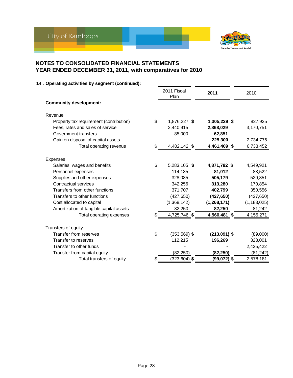

|                                         | 2011 Fiscal<br>Plan   | 2011           | 2010          |
|-----------------------------------------|-----------------------|----------------|---------------|
| <b>Community development:</b>           |                       |                |               |
| Revenue                                 |                       |                |               |
| Property tax requirement (contribution) | \$<br>1,876,227 \$    | 1,305,229 \$   | 827,925       |
| Fees, rates and sales of service        | 2,440,915             | 2,868,029      | 3,170,751     |
| Government transfers                    | 85,000                | 62,851         |               |
| Gain on disposal of capital assets      |                       | 225,300        | 2,734,776     |
| Total operating revenue                 | \$<br>4,402,142 \$    | 4,461,409 \$   | 6,733,452     |
| Expenses                                |                       |                |               |
| Salaries, wages and benefits            | \$<br>5,283,105 \$    | 4,871,782 \$   | 4,549,921     |
| Personnel expenses                      | 114,135               | 81,012         | 83,522        |
| Supplies and other expenses             | 328,085               | 505,179        | 529,851       |
| Contractual services                    | 342,256               | 313,280        | 170,854       |
| Transfers from other functions          | 371,707               | 402,799        | 350,556       |
| Transfers to other functions            | (427, 650)            | (427, 650)     | (427, 650)    |
| Cost allocated to capital               | (1,368,142)           | (1,268,171)    | (1, 183, 025) |
| Amortization of tangible capital assets | 82,250                | 82,250         | 81,242        |
| Total operating expenses                | \$<br>4,725,746 \$    | 4,560,481 \$   | 4,155,271     |
| Transfers of equity                     |                       |                |               |
| Transfer from reserves                  | \$<br>$(353,569)$ \$  | $(213,091)$ \$ | (89,000)      |
| Transfer to reserves                    | 112,215               | 196,269        | 323,001       |
| Transfer to other funds                 |                       |                | 2,425,422     |
| Transfer from capital equity            | (82, 250)             | (82, 250)      | (81, 242)     |
| Total transfers of equity               | \$<br>$(323, 604)$ \$ | $(99,072)$ \$  | 2,578,181     |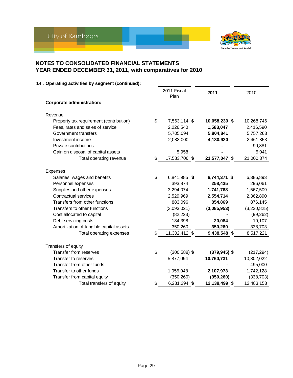

|                                         | 2011 Fiscal<br>Plan   | 2011            | 2010        |
|-----------------------------------------|-----------------------|-----------------|-------------|
| <b>Corporate administration:</b>        |                       |                 |             |
| Revenue                                 |                       |                 |             |
| Property tax requirement (contribution) | \$<br>7,563,114 \$    | 10,058,239 \$   | 10,268,746  |
| Fees, rates and sales of service        | 2,226,540             | 1,583,047       | 2,416,590   |
| Government transfers                    | 5,705,094             | 5,804,841       | 5,757,263   |
| Investment income                       | 2,083,000             | 4,130,920       | 2,461,853   |
| Private contributions                   |                       |                 | 90,881      |
| Gain on disposal of capital assets      | 5,958                 |                 | 5,041       |
| Total operating revenue                 | \$<br>17,583,706 \$   | 21,577,047 \$   | 21,000,374  |
| Expenses                                |                       |                 |             |
| Salaries, wages and benefits            | \$<br>6,841,985 \$    | 6,744,371 \$    | 6,386,893   |
| Personnel expenses                      | 393,874               | 258,435         | 296,061     |
| Supplies and other expenses             | 3,294,074             | 1,741,768       | 1,567,509   |
| Contractual services                    | 2,529,969             | 2,554,714       | 2,362,890   |
| Transfers from other functions          | 883,096               | 854,869         | 876,145     |
| Transfers to other functions            | (3,093,021)           | (3,085,953)     | (3,230,825) |
| Cost allocated to capital               | (82, 223)             |                 | (99, 262)   |
| Debt servicing costs                    | 184,398               | 20,084          | 19,107      |
| Amortization of tangible capital assets | 350,260               | 350,260         | 338,703     |
| Total operating expenses                | \$<br>11,302,412 \$   | 9,438,548 \$    | 8,517,221   |
| Transfers of equity                     |                       |                 |             |
| <b>Transfer from reserves</b>           | \$<br>$(300, 588)$ \$ | $(379, 945)$ \$ | (217, 294)  |
| Transfer to reserves                    | 5,877,094             | 10,760,731      | 10,802,022  |
| Transfer from other funds               |                       |                 | 495,000     |
| Transfer to other funds                 | 1,055,048             | 2,107,973       | 1,742,128   |
| Transfer from capital equity            | (350, 260)            | (350, 260)      | (338, 703)  |
| Total transfers of equity               | \$<br>6,281,294 \$    | 12,138,499 \$   | 12,483,153  |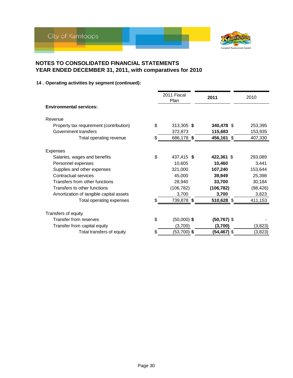

|                                         |     | 2011 Fiscal<br>Plan | 2011           | 2010      |
|-----------------------------------------|-----|---------------------|----------------|-----------|
| <b>Environmental services:</b>          |     |                     |                |           |
| Revenue                                 |     |                     |                |           |
| Property tax requirement (contribution) | \$  | 313,305 \$          | 340,478 \$     | 253,395   |
| Government transfers                    |     | 372,873             | 115,683        | 153,935   |
| Total operating revenue                 | \$. | 686,178 \$          | 456,161 \$     | 407,330   |
| Expenses                                |     |                     |                |           |
| Salaries, wages and benefits            | \$  | 437,415 \$          | 422,361 \$     | 293,089   |
| Personnel expenses                      |     | 10,605              | 10,460         | 3,441     |
| Supplies and other expenses             |     | 321,000             | 107,240        | 153,644   |
| Contractual services                    |     | 45,000              | 39,949         | 25,398    |
| Transfers from other functions          |     | 28,940              | 33,700         | 30,184    |
| Transfers to other functions            |     | (106, 782)          | (106, 782)     | (98, 426) |
| Amortization of tangible capital assets |     | 3,700               | 3,700          | 3,823     |
| Total operating expenses                |     | 739,878 \$          | 510,628 \$     | 411,153   |
| Transfers of equity                     |     |                     |                |           |
| Transfer from reserves                  | \$  | $(50,000)$ \$       | $(50, 767)$ \$ |           |
| Transfer from capital equity            |     | (3,700)             | (3,700)        | (3,823)   |
| Total transfers of equity               | \$  | $(53,700)$ \$       | (54,467) \$    | (3,823)   |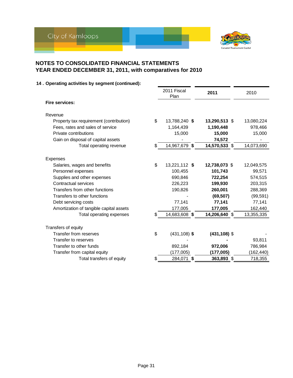

|                                         | 2011 Fiscal<br>Plan   | 2011            | 2010       |
|-----------------------------------------|-----------------------|-----------------|------------|
| <b>Fire services:</b>                   |                       |                 |            |
| Revenue                                 |                       |                 |            |
| Property tax requirement (contribution) | \$<br>13,788,240 \$   | 13,290,513 \$   | 13,080,224 |
| Fees, rates and sales of service        | 1,164,439             | 1,190,448       | 978,466    |
| Private contributions                   | 15,000                | 15,000          | 15,000     |
| Gain on disposal of capital assets      |                       | 74,572          |            |
| Total operating revenue                 | \$<br>14,967,679 \$   | 14,570,533 \$   | 14,073,690 |
| Expenses                                |                       |                 |            |
| Salaries, wages and benefits            | \$<br>13,221,112 \$   | 12,738,073 \$   | 12,049,575 |
| Personnel expenses                      | 100,455               | 101,743         | 99,571     |
| Supplies and other expenses             | 690.846               | 722,254         | 574,515    |
| Contractual services                    | 226,223               | 199,930         | 203,315    |
| Transfers from other functions          | 190,826               | 260,001         | 288,369    |
| Transfers to other functions            |                       | (69, 507)       | (99, 591)  |
| Debt servicing costs                    | 77,141                | 77,141          | 77,141     |
| Amortization of tangible capital assets | 177,005               | 177,005         | 162,440    |
| Total operating expenses                | \$<br>14,683,608 \$   | 14,206,640 \$   | 13,355,335 |
| Transfers of equity                     |                       |                 |            |
| Transfer from reserves                  | \$<br>$(431, 108)$ \$ | $(431, 108)$ \$ |            |
| Transfer to reserves                    |                       |                 | 93,811     |
| Transfer to other funds                 | 892,184               | 972,006         | 786,984    |
| Transfer from capital equity            | (177,005)             | (177,005)       | (162, 440) |
| Total transfers of equity               | \$<br>284,071 \$      | 363,893 \$      | 718,355    |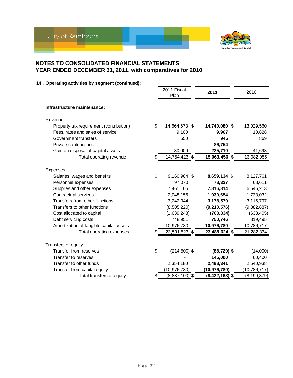

|                                          |    | Plan             | 2011             | 2010           |
|------------------------------------------|----|------------------|------------------|----------------|
| Infrastructure maintenance:              |    |                  |                  |                |
| Revenue                                  |    |                  |                  |                |
| Property tax requirement (contribution)  | \$ | 14,664,673 \$    | 14,740,080 \$    | 13,029,560     |
| Fees, rates and sales of service         |    | 9,100            | 9,967            | 10,828         |
| Government transfers                     |    | 650              | 945              | 869            |
| Private contributions                    |    |                  | 86,754           |                |
| Gain on disposal of capital assets       |    | 80,000           | 225,710          | 41,698         |
| Total operating revenue                  | \$ | 14,754,423 \$    | 15,063,456 \$    | 13,082,955     |
|                                          |    |                  |                  |                |
| Expenses<br>Salaries, wages and benefits | \$ | 9,160,984 \$     | 8,659,134 \$     | 8,127,761      |
| Personnel expenses                       |    | 97,070           | 78,327           | 68,611         |
| Supplies and other expenses              |    | 7,461,106        | 7,816,814        | 6,646,213      |
| <b>Contractual services</b>              |    | 2,048,156        | 1,939,654        | 1,733,032      |
| Transfers from other functions           |    | 3,242,944        | 3,178,579        | 3,116,797      |
| Transfers to other functions             |    | (8,505,220)      | (9,210,576)      | (9,382,887)    |
| Cost allocated to capital                |    | (1,639,248)      | (703, 834)       | (633, 405)     |
| Debt servicing costs                     |    | 748,951          | 750,746          | 819,495        |
| Amortization of tangible capital assets  |    | 10,976,780       | 10,976,780       | 10,786,717     |
| Total operating expenses                 | S  | 23,591,523 \$    | 23,485,624 \$    | 21,282,334     |
| Transfers of equity                      |    |                  |                  |                |
| Transfer from reserves                   | \$ | $(214,500)$ \$   | $(88, 729)$ \$   | (14,000)       |
| Transfer to reserves                     |    |                  | 145,000          | 60,400         |
| Transfer to other funds                  |    | 2,354,180        | 2,498,341        | 2,540,938      |
| Transfer from capital equity             |    | (10,976,780)     | (10, 976, 780)   | (10, 786, 717) |
| Total transfers of equity                | \$ | $(8,837,100)$ \$ | $(8,422,168)$ \$ | (8, 199, 379)  |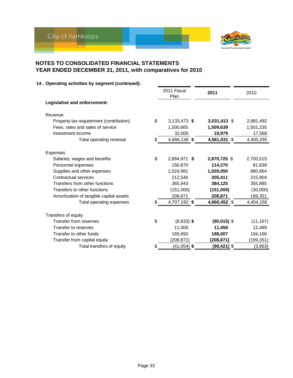

|                                          | 2011 Fiscal<br>Plan  | 2011          | 2010       |
|------------------------------------------|----------------------|---------------|------------|
| Legislative and enforcement:             |                      |               |            |
| Revenue                                  |                      |               |            |
| Property tax requirement (contribution)  | \$<br>3,133,473 \$   | 3,031,413 \$  | 2,881,492  |
| Fees, rates and sales of service         | 1,500,665            | 1,509,639     | 1,501,235  |
| Investment income                        | 32,000               | 19,979        | 17,568     |
| Total operating revenue                  | \$<br>4,666,138 \$   | 4,561,031 \$  | 4,400,295  |
|                                          |                      |               |            |
| Expenses<br>Salaries, wages and benefits | \$<br>2,894,971 \$   | 2,870,725 \$  | 2,700,515  |
| Personnel expenses                       | 150,870              | 114,270       | 81,639     |
| Supplies and other expenses              | 1,024,991            | 1,028,050     | 880,864    |
| Contractual services                     | 212,546              | 205,411       | 215,904    |
| Transfers from other functions           | 365,943              | 384,125       | 355,885    |
| Transfers to other functions             | (151,000)            | (151,000)     | (30,000)   |
| Amortization of tangible capital assets  | 208,871              | 208,871       | 199,351    |
| Total operating expenses                 | \$<br>4,707,192 \$   | 4,660,452 \$  | 4,404,158  |
|                                          |                      |               |            |
| Transfers of equity                      |                      |               |            |
| Transfer from reserves                   | \$<br>$(8,833)$ \$   | $(90,015)$ \$ | (11, 167)  |
| Transfer to reserves                     | 11,000               | 11,458        | 12,489     |
| Transfer to other funds                  | 165,650              | 188,007       | 194,166    |
| Transfer from capital equity             | (208,871)            | (208, 871)    | (199, 351) |
| Total transfers of equity                | \$<br>$(41, 054)$ \$ | (99,421) \$   | (3,863)    |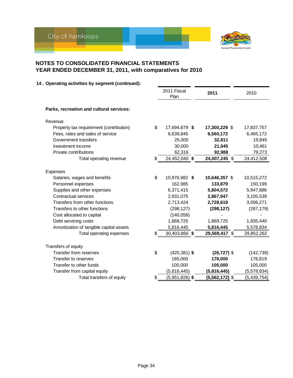

|                                          | 2011 Fiscal<br>Plan    | 2011             | 2010          |
|------------------------------------------|------------------------|------------------|---------------|
| Parks, recreation and cultural services: |                        |                  |               |
| Revenue                                  |                        |                  |               |
| Property tax requirement (contribution)  | \$<br>17,694,879 \$    | 17,300,229 \$    | 17,837,757    |
| Fees, rates and sales of service         | 6,639,845              | 6,560,172        | 6,465,172     |
| Government transfers                     | 25,000                 | 32,811           | 19,845        |
| Investment income                        | 30,000                 | 21,045           | 10,461        |
| Private contributions                    | 62,316                 | 92,988           | 79,273        |
| Total operating revenue                  | \$<br>24,452,040 \$    | 24,007,245 \$    | 24,412,508    |
|                                          |                        |                  |               |
| Expenses<br>Salaries, wages and benefits | \$<br>10,976,982 \$    | 10,646,357 \$    | 10,515,272    |
| Personnel expenses                       | 162,985                | 133,879          | 150,199       |
| Supplies and other expenses              | 6,371,415              | 5,804,572        | 5,947,886     |
| Contractual services                     | 2,931,075              | 2,867,947        | 3,105,539     |
| Transfers from other functions           | 2,713,424              | 2,728,619        | 3,006,271     |
| Transfers to other functions             | (298, 127)             | (298, 127)       | (287, 179)    |
| Cost allocated to capital                | (140, 058)             |                  |               |
| Debt servicing costs                     | 1,869,725              | 1,869,725        | 1,835,440     |
| Amortization of tangible capital assets  | 5,816,445              | 5,816,445        | 5,578,834     |
| Total operating expenses                 | \$<br>30,403,866 \$    | 29,569,417 \$    | 29,852,262    |
| Transfers of equity                      |                        |                  |               |
| Transfer from reserves                   | \$<br>$(425, 381)$ \$  | $(26, 727)$ \$   | (142, 739)    |
| Transfer to reserves                     | 185,000                | 176,000          | 176,819       |
| Transfer to other funds                  | 105,000                | 105,000          | 105,000       |
| Transfer from capital equity             | (5,816,445)            | (5,816,445)      | (5,578,834)   |
| Total transfers of equity                | \$<br>$(5,951,826)$ \$ | $(5,562,172)$ \$ | (5, 439, 754) |
|                                          |                        |                  |               |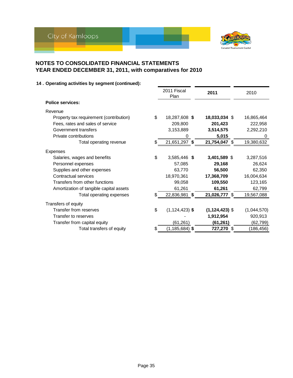

|                                         | 2011 Fiscal<br>Plan      | 2011               | 2010        |
|-----------------------------------------|--------------------------|--------------------|-------------|
| <b>Police services:</b>                 |                          |                    |             |
| Revenue                                 |                          |                    |             |
| Property tax requirement (contribution) | \$<br>18,287,608 \$      | 18,033,034 \$      | 16,865,464  |
| Fees, rates and sales of service        | 209,800                  | 201,423            | 222,958     |
| Government transfers                    | 3,153,889                | 3,514,575          | 2,292,210   |
| Private contributions                   | 0                        | 5,015              | 0           |
| Total operating revenue                 | \$<br>21,651,297 \$      | 21,754,047 \$      | 19,380,632  |
| Expenses                                |                          |                    |             |
| Salaries, wages and benefits            | \$<br>3,585,446 \$       | 3,401,589 \$       | 3,287,516   |
| Personnel expenses                      | 57,085                   | 29,168             | 26,624      |
| Supplies and other expenses             | 63,770                   | 56,500             | 62,350      |
| Contractual services                    | 18,970,361               | 17,368,709         | 16,004,634  |
| Transfers from other functions          | 99,058                   | 109,550            | 123,165     |
| Amortization of tangible capital assets | 61,261                   | 61,261             | 62,799      |
| Total operating expenses                | \$<br>22,836,981 \$      | 21,026,777 \$      | 19,567,088  |
| Transfers of equity                     |                          |                    |             |
| Transfer from reserves                  | \$<br>$(1, 124, 423)$ \$ | $(1, 124, 423)$ \$ | (1,044,570) |
| Transfer to reserves                    |                          | 1,912,954          | 920,913     |
| Transfer from capital equity            | (61, 261)                | (61, 261)          | (62, 799)   |
| Total transfers of equity               | \$<br>$(1, 185, 684)$ \$ | 727,270 \$         | (186, 456)  |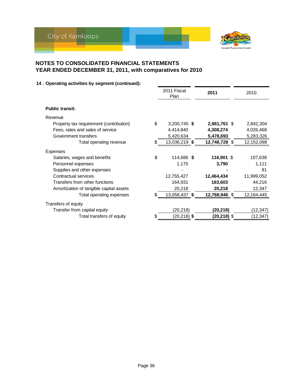

|                                         |    | 2011 Fiscal<br>Plan | 2011           | 2010       |
|-----------------------------------------|----|---------------------|----------------|------------|
| <b>Public transit:</b>                  |    |                     |                |            |
| Revenue                                 |    |                     |                |            |
| Property tax requirement (contribution) | \$ | 3,200,745 \$        | 2,961,761 \$   | 2,842,304  |
| Fees, rates and sales of service        |    | 4,414,840           | 4,308,274      | 4,026,468  |
| Government transfers                    |    | 5,420,634           | 5,478,693      | 5,283,326  |
| Total operating revenue                 | S. | 13,036,219 \$       | 12,748,728 \$  | 12,152,098 |
| Expenses                                |    |                     |                |            |
| Salaries, wages and benefits            | \$ | 114,686 \$          | 116,901 \$     | 107,638    |
| Personnel expenses                      |    | 1,175               | 3,790          | 1,111      |
| Supplies and other expenses             |    |                     |                | 81         |
| Contractual services                    |    | 12,755,427          | 12,464,434     | 11,999,052 |
| Transfers from other functions          |    | 164,931             | 163,603        | 44,216     |
| Amortization of tangible capital assets |    | 20,218              | 20,218         | 12,347     |
| Total operating expenses                | \$ | 13,056,437 \$       | 12,768,946 \$  | 12,164,445 |
| Transfers of equity                     |    |                     |                |            |
| Transfer from capital equity            |    | (20, 218)           | (20,218)       | (12,347)   |
| Total transfers of equity               | \$ | $(20, 218)$ \$      | $(20, 218)$ \$ | (12, 347)  |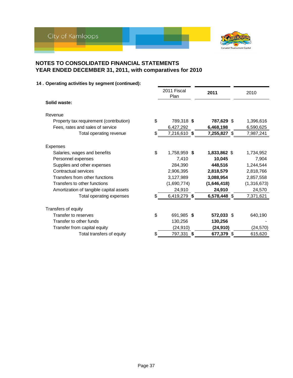

|                                         |    | 2011 Fiscal<br>Plan |     | 2011         | 2010        |
|-----------------------------------------|----|---------------------|-----|--------------|-------------|
| Solid waste:                            |    |                     |     |              |             |
| Revenue                                 |    |                     |     |              |             |
| Property tax requirement (contribution) | \$ | 789,318 \$          |     | 787,629 \$   | 1,396,616   |
| Fees, rates and sales of service        |    | 6,427,292           |     | 6,468,198    | 6,590,625   |
| Total operating revenue                 | \$ | 7,216,610 \$        |     | 7,255,827 \$ | 7,987,241   |
| Expenses                                |    |                     |     |              |             |
| Salaries, wages and benefits            | \$ | 1,758,959 \$        |     | 1,833,862 \$ | 1,734,952   |
| Personnel expenses                      |    | 7,410               |     | 10,045       | 7,904       |
| Supplies and other expenses             |    | 284,390             |     | 448,516      | 1,244,544   |
| Contractual services                    |    | 2,906,395           |     | 2,818,579    | 2,818,766   |
| Transfers from other functions          |    | 3,127,989           |     | 3,088,954    | 2,857,558   |
| Transfers to other functions            |    | (1,690,774)         |     | (1,646,418)  | (1,316,673) |
| Amortization of tangible capital assets |    | 24,910              |     | 24,910       | 24,570      |
| Total operating expenses                | S  | 6,419,279 \$        |     | 6,578,448 \$ | 7,371,621   |
| Transfers of equity                     |    |                     |     |              |             |
| Transfer to reserves                    | \$ | 691,985 \$          |     | 572,033 \$   | 640,190     |
| Transfer to other funds                 |    | 130,256             |     | 130,256      |             |
| Transfer from capital equity            |    | (24, 910)           |     | (24, 910)    | (24, 570)   |
| Total transfers of equity               | \$ | 797,331             | -\$ | 677,379 \$   | 615,620     |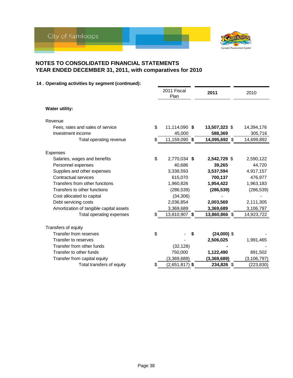

|                                         | 2011 Fiscal<br>Plan    | 2011          | 2010          |
|-----------------------------------------|------------------------|---------------|---------------|
| <b>Water utility:</b>                   |                        |               |               |
| Revenue                                 |                        |               |               |
| Fees, rates and sales of service        | \$<br>11,114,090 \$    | 13,507,323 \$ | 14,394,176    |
| Investment income                       | 45,000                 | 588,369       | 305,716       |
| Total operating revenue                 | \$<br>11,159,090 \$    | 14,095,692 \$ | 14,699,892    |
| Expenses                                |                        |               |               |
| Salaries, wages and benefits            | \$<br>2,770,034 \$     | 2,542,729 \$  | 2,590,122     |
| Personnel expenses                      | 40,686                 | 39,265        | 44,720        |
| Supplies and other expenses             | 3,338,593              | 3,537,594     | 4,917,157     |
| Contractual services                    | 615,070                | 700,137       | 476,977       |
| Transfers from other functions          | 1,960,826              | 1,954,422     | 1,963,183     |
| Transfers to other functions            | (286, 539)             | (286, 539)    | (286, 539)    |
| Cost allocated to capital               | (34, 306)              |               |               |
| Debt servicing costs                    | 2,036,854              | 2,003,569     | 2,111,305     |
| Amortization of tangible capital assets | 3,369,689              | 3,369,689     | 3,106,797     |
| Total operating expenses                | \$<br>13,810,907 \$    | 13,860,866 \$ | 14,923,722    |
| Transfers of equity                     |                        |               |               |
| Transfer from reserves                  | \$<br>S                | $(24,000)$ \$ |               |
| Transfer to reserves                    |                        | 2,506,025     | 1,991,465     |
| Transfer from other funds               | (32, 128)              |               |               |
| Transfer to other funds                 | 750,000                | 1,122,490     | 891,502       |
| Transfer from capital equity            | (3,369,689)            | (3,369,689)   | (3, 106, 797) |
| Total transfers of equity               | \$<br>$(2,651,817)$ \$ | 234,826 \$    | (223, 830)    |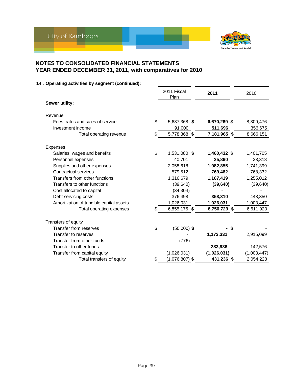

|                                         | 2011 Fiscal<br>Plan    | 2011         | 2010        |
|-----------------------------------------|------------------------|--------------|-------------|
| Sewer utility:                          |                        |              |             |
| Revenue                                 |                        |              |             |
| Fees, rates and sales of service        | \$<br>5,687,368 \$     | 6,670,269 \$ | 8,309,476   |
| Investment income                       | 91,000                 | 511,696      | 356,675     |
| Total operating revenue                 | \$<br>5,778,368 \$     | 7,181,965 \$ | 8,666,151   |
| Expenses                                |                        |              |             |
| Salaries, wages and benefits            | \$<br>1,531,080 \$     | 1,460,432 \$ | 1,401,705   |
| Personnel expenses                      | 40,701                 | 25,860       | 33,318      |
| Supplies and other expenses             | 2,058,618              | 1,982,855    | 1,741,399   |
| Contractual services                    | 579,512                | 769,462      | 768,332     |
| Transfers from other functions          | 1,316,679              | 1,167,419    | 1,255,012   |
| Transfers to other functions            | (39,640)               | (39, 640)    | (39, 640)   |
| Cost allocated to capital               | (34, 304)              |              |             |
| Debt servicing costs                    | 376,498                | 358,310      | 448,350     |
| Amortization of tangible capital assets | 1,026,031              | 1,026,031    | 1,003,447   |
| Total operating expenses                | \$<br>6,855,175 \$     | 6,750,729 \$ | 6,611,923   |
| Transfers of equity                     |                        |              |             |
| <b>Transfer from reserves</b>           | \$<br>$(50,000)$ \$    | \$           |             |
| Transfer to reserves                    |                        | 1,173,331    | 2,915,099   |
| Transfer from other funds               | (776)                  |              |             |
| Transfer to other funds                 |                        | 283,936      | 142,576     |
| Transfer from capital equity            | (1,026,031)            | (1,026,031)  | (1,003,447) |
| Total transfers of equity               | \$<br>$(1,076,807)$ \$ | 431,236 \$   | 2,054,228   |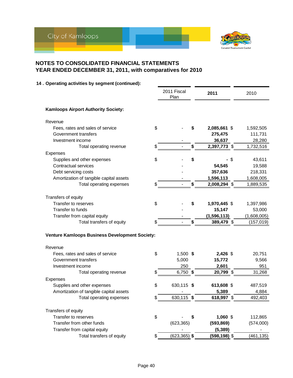

|                                                | 2011 Fiscal<br>Plan   |    | 2011            | 2010        |
|------------------------------------------------|-----------------------|----|-----------------|-------------|
| <b>Kamloops Airport Authority Society:</b>     |                       |    |                 |             |
| Revenue                                        |                       |    |                 |             |
| Fees, rates and sales of service               | \$                    |    | 2,085,661 \$    | 1,592,505   |
| Government transfers                           |                       |    | 275,475         | 111,731     |
| Investment income                              |                       |    | 36,637          | 28,280      |
| Total operating revenue                        | \$                    | \$ | 2,397,773 \$    | 1,732,516   |
| Expenses                                       |                       |    |                 |             |
| Supplies and other expenses                    | \$                    | \$ | \$              | 43,611      |
| Contractual services                           |                       |    | 54,545          | 19,588      |
| Debt servicing costs                           |                       |    | 357,636         | 218,331     |
| Amortization of tangible capital assets        |                       |    | 1,596,113       | 1,608,005   |
| Total operating expenses                       | \$                    | \$ | 2,008,294 \$    | 1,889,535   |
| Transfers of equity                            |                       |    |                 |             |
| Transfer to reserves                           | \$                    | S  | 1,970,445 \$    | 1,397,986   |
| Transfer to funds                              |                       |    | 15,147          | 53,000      |
| Transfer from capital equity                   |                       |    | (1, 596, 113)   | (1,608,005) |
| Total transfers of equity                      |                       | \$ | 389,479 \$      | (157, 019)  |
| Venture Kamloops Business Development Society: |                       |    |                 |             |
| Revenue                                        |                       |    |                 |             |
| Fees, rates and sales of service               | \$<br>1,500 \$        |    | $2,426$ \$      | 20,751      |
| Government transfers                           | 5,000                 |    | 15,772          | 9,566       |
| Investment income                              | 250                   |    | 2,601           | 951         |
| Total operating revenue                        | \$<br>$6,750$ \$      |    | 20,799 \$       | 31,268      |
| Expenses                                       |                       |    |                 |             |
| Supplies and other expenses                    | \$<br>630,115 \$      |    | 613,608 \$      | 487,519     |
| Amortization of tangible capital assets        |                       |    | 5,389           | 4,884       |
| Total operating expenses                       | \$<br>630,115 \$      |    | 618,997 \$      | 492,403     |
| Transfers of equity                            |                       |    |                 |             |
| Transfer to reserves                           | \$                    |    | 1,060 \$        | 112,865     |
| Transfer from other funds                      | (623, 365)            |    | (593, 869)      | (574,000)   |
| Transfer from capital equity                   |                       |    | (5, 389)        |             |
| Total transfers of equity                      | \$<br>$(623, 365)$ \$ |    | $(598, 198)$ \$ | (461, 135)  |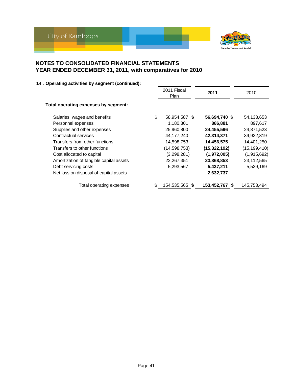

|                                         | 2011 Fiscal<br><b>Plan</b> | 2011               | 2010           |
|-----------------------------------------|----------------------------|--------------------|----------------|
| Total operating expenses by segment:    |                            |                    |                |
| Salaries, wages and benefits            | \$<br>58,954,587 \$        | 56,694,740 \$      | 54,133,653     |
| Personnel expenses                      | 1,180,301                  | 886,881            | 897,617        |
| Supplies and other expenses             | 25,960,800                 | 24,455,596         | 24,871,523     |
| Contractual services                    | 44,177,240                 | 42,314,371         | 39,922,819     |
| Transfers from other functions          | 14,598,753                 | 14,456,575         | 14,401,250     |
| Transfers to other functions            | (14, 598, 753)             | (15, 322, 192)     | (15, 199, 410) |
| Cost allocated to capital               | (3,298,281)                | (1,972,005)        | (1,915,692)    |
| Amortization of tangible capital assets | 22,267,351                 | 23,868,853         | 23,112,565     |
| Debt servicing costs                    | 5,293,567                  | 5,437,211          | 5,529,169      |
| Net loss on disposal of capital assets  |                            | 2,632,737          |                |
| Total operating expenses                | 154,535,565 \$             | 153,452,767<br>\$. | 145,753,494    |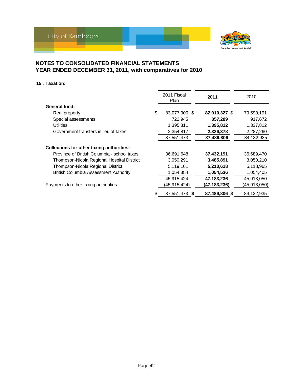

#### **15 . Taxation:**

|                                                  |    | 2011 Fiscal<br>Plan | 2011           | 2010         |
|--------------------------------------------------|----|---------------------|----------------|--------------|
| General fund:                                    |    |                     |                |              |
| Real property                                    | \$ | 83,077,900 \$       | 82,910,327 \$  | 79,590,191   |
| Special assessments                              |    | 722,945             | 857,289        | 917,672      |
| <b>Utilities</b>                                 |    | 1,395,811           | 1,395,812      | 1,337,812    |
| Government transfers in lieu of taxes            |    | 2,354,817           | 2,326,378      | 2,287,260    |
|                                                  |    | 87,551,473          | 87,489,806     | 84,132,935   |
| <b>Collections for other taxing authorities:</b> |    |                     |                |              |
| Province of British Columbia - school taxes      |    | 36,691,648          | 37,432,191     | 36,689,470   |
| Thompson-Nicola Regional Hospital District       |    | 3,050,291           | 3,485,891      | 3,050,210    |
| Thompson-Nicola Regional District                |    | 5,119,101           | 5,210,618      | 5,118,965    |
| <b>British Columbia Assessment Authority</b>     |    | 1,054,384           | 1,054,536      | 1,054,405    |
|                                                  |    | 45,915,424          | 47,183,236     | 45,913,050   |
| Payments to other taxing authorities             |    | (45,915,424)        | (47, 183, 236) | (45,913,050) |
|                                                  | S  | 87,551,473 \$       | 87,489,806 \$  | 84,132,935   |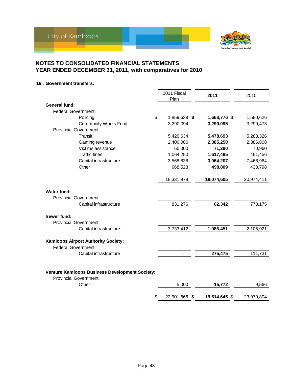

**16 . Government transfers:**

|                                                                                        | 2011 Fiscal<br>Plan | 2011          | 2010       |
|----------------------------------------------------------------------------------------|---------------------|---------------|------------|
| General fund:                                                                          |                     |               |            |
| <b>Federal Government:</b>                                                             |                     |               |            |
| \$<br>Policing                                                                         | 1,859,639 \$        | 1,668,776 \$  | 1,580,626  |
| <b>Community Works Fund</b>                                                            | 3,290,094           | 3,290,095     | 3,290,473  |
| <b>Provincial Government:</b>                                                          |                     |               |            |
| Transit                                                                                | 5,420,634           | 5,478,693     | 5,283,326  |
| Gaming revenue                                                                         | 2,400,000           | 2,385,250     | 2,386,808  |
| Victims assistance                                                                     | 60,000              | 71,280        | 70,960     |
| <b>Traffic fines</b>                                                                   | 1,064,250           | 1,617,495     | 461,456    |
| Capital infrastructure                                                                 | 3,568,838           | 3,064,207     | 7,466,964  |
| Other                                                                                  | 668,523             | 498,809       | 433,798    |
|                                                                                        |                     |               |            |
|                                                                                        | 18,331,978          | 18,074,605    | 20,974,411 |
| <b>Water fund:</b><br><b>Provincial Government:</b>                                    |                     |               |            |
| Capital infrastructure                                                                 | 831,276             | 62,342        | 778,175    |
| Sewer fund:<br><b>Provincial Government:</b>                                           |                     |               |            |
| Capital infrastructure                                                                 | 3,733,412           | 1,086,451     | 2,105,921  |
| <b>Kamloops Airport Authority Society:</b><br><b>Federal Government:</b>               |                     |               |            |
| Capital infrastructure                                                                 |                     | 275,475       | 111,731    |
| <b>Venture Kamloops Business Development Society:</b><br><b>Provincial Government:</b> |                     |               |            |
| Other                                                                                  | 5,000               | 15,772        | 9,566      |
| S                                                                                      | 22,901,666 \$       | 19,514,645 \$ | 23,979,804 |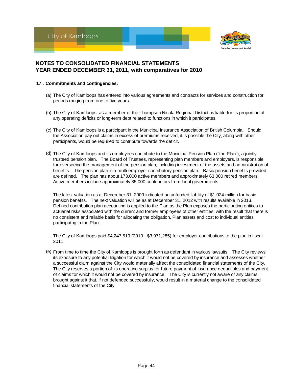



- **17 . Commitments and contingencies:**
	- (a) The City of Kamloops has entered into various agreements and contracts for services and construction for periods ranging from one to five years.
	- (b) The City of Kamloops, as a member of the Thompson Nicola Regional District, is liable for its proportion of any operating deficits or long-term debt related to functions in which it participates.
	- (c) The City of Kamloops is a participant in the Municipal Insurance Association of British Columbia. Should the Association pay out claims in excess of premiums received, it is possible the City, along with other participants, would be required to contribute towards the deficit.
	- (d) The City of Kamloops and its employees contribute to the Municipal Pension Plan ("the Plan"), a jointly trusteed pension plan. The Board of Trustees, representing plan members and employers, is responsible for overseeing the management of the pension plan, including investment of the assets and administration of benefits. The pension plan is a multi-employer contributory pension plan. Basic pension benefits provided are defined. The plan has about 173,000 active members and approximately 63,000 retired members. Active members include approximately 35,000 contributors from local governments.

The latest valuation as at December 31, 2009 indicated an unfunded liability of \$1,024 million for basic pension benefits. The next valuation will be as at December 31, 2012 with results available in 2013. Defined contribution plan accounting is applied to the Plan as the Plan exposes the participating entities to actuarial risks associated with the current and former employees of other entities, with the result that there is no consistent and reliable basis for allocating the obligation, Plan assets and cost to individual entities participatng in the Plan.

The City of Kamloops paid \$4,247,519 (2010 - \$3,971,285) for employer contributions to the plan in fiscal 2011.

(e) From time to time the City of Kamloops is brought forth as defendant in various lawsuits. The City reviews its exposure to any potential litigation for which it would not be covered by insurance and assesses whether a successful claim against the City would materially affect the consolidated financial statements of the City. The City reserves a portion of its operating surplus for future payment of insurance deductibles and payment of claims for which it would not be covered by insurance, The City is currently not aware of any claims brought against it that, if not defended successfully, would result in a material change to the consolidated financial statements of the City.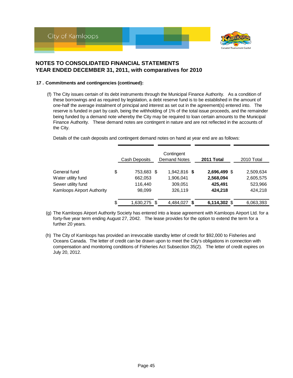

#### **17 . Commitments and contingencies (continued):**

(f) The City issues certain of its debt instruments through the Municipal Finance Authority. As a condition of these borrowings and as required by legislation, a debt reserve fund is to be established in the amount of one-half the average instalment of principal and interest as set out in the agreement(s) entered into. The reserve is funded in part by cash, being the withholding of 1% of the total issue proceeds, and the remainder being funded by a demand note whereby the City may be required to loan certain amounts to the Municipal Finance Authority. These demand notes are contingent in nature and are not reflected in the accounts of the City.

Details of the cash deposits and contingent demand notes on hand at year end are as follows:

|                                   | <b>Cash Deposits</b> | Contingent<br><b>Demand Notes</b> |     | 2011 Total    | 2010 Total |
|-----------------------------------|----------------------|-----------------------------------|-----|---------------|------------|
| General fund                      | \$<br>753,683 \$     | 1,942,816 \$                      |     | 2,696,499 \$  | 2,509,634  |
| Water utility fund                | 662,053              | 1,906,041                         |     | 2,568,094     | 2,605,575  |
| Sewer utility fund                | 116,440              | 309,051                           |     | 425,491       | 523,966    |
| <b>Kamloops Airport Authority</b> | 98,099               | 326,119                           |     | 424,218       | 424,218    |
|                                   | \$<br>1,630,275 \$   | 4,484,027                         | - 5 | 6,114,302 $$$ | 6,063,393  |

- (g) The Kamloops Airport Authority Society has entered into a lease agreement with Kamloops Airport Ltd. for a forty-five year term ending August 27, 2042. The lease provides for the option to extend the term for a further 20 years.
- (h) The City of Kamloops has provided an irrevocable standby letter of credit for \$92,000 to Fisheries and Oceans Canada. The letter of credit can be drawn upon to meet the City's obligations in connection with compensation and monitoring conditions of Fisheries Act Subsection 35(2). The letter of credit expires on July 20, 2012.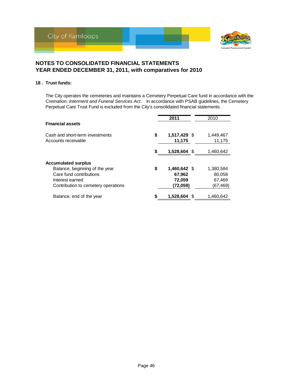

#### **18 . Trust funds:**

The City operates the cemeteries and maintains a Cemetery Perpetual Care fund in accordance with the *Cremation, Interment and Funeral Services Act* . In accordance with PSAB guidelines, the Cemetery Perpetual Care Trust Fund is excluded from the City's consolidated financial statements.

|                                                                                                                                                   |    | 2011                                         | 2010                                      |
|---------------------------------------------------------------------------------------------------------------------------------------------------|----|----------------------------------------------|-------------------------------------------|
| <b>Financial assets</b>                                                                                                                           |    |                                              |                                           |
| Cash and short-term investments                                                                                                                   | \$ | 1,517,429 \$                                 | 1,449,467                                 |
| Accounts receivable                                                                                                                               |    | 11,175                                       | 11,175                                    |
|                                                                                                                                                   |    |                                              |                                           |
|                                                                                                                                                   | S  | 1,528,604 \$                                 | 1,460,642                                 |
| <b>Accumulated surplus</b><br>Balance, beginning of the year<br>Care fund contributions<br>Interest earned<br>Contribution to cemetery operations | \$ | 1,460,642 \$<br>67,962<br>72,059<br>(72,059) | 1,380,584<br>80,058<br>67,469<br>(67,469) |
| Balance, end of the year                                                                                                                          | \$ | 1,528,604                                    | 1,460,642                                 |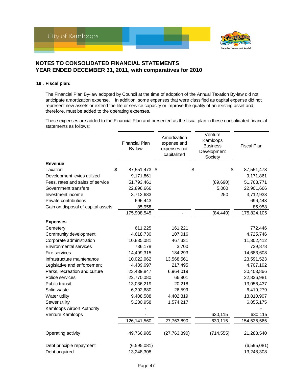

#### **19 . Fiscal plan:**

The Financial Plan By-law adopted by Council at the time of adoption of the Annual Taxation By-law did not anticipate amortization expense. In addition, some expenses that were classified as capital expense did not represent new assets or extend the life or service capacity or improve the quality of an existing asset and, therefore, must be added to the operating expenses.

These expenses are added to the Financial Plan and presented as the fiscal plan in these consolidated financial statements as follows:

|                                    | <b>Financial Plan</b><br>By-law | Amortization<br>expense and<br>expenses not<br>capitalized | Venture<br>Kamloops<br><b>Business</b><br>Development<br>Society | <b>Fiscal Plan</b> |
|------------------------------------|---------------------------------|------------------------------------------------------------|------------------------------------------------------------------|--------------------|
| Revenue                            |                                 |                                                            |                                                                  |                    |
| \$<br>Taxation                     | 87,551,473 \$                   |                                                            | \$                                                               | \$<br>87,551,473   |
| Development levies utilized        | 9,171,861                       |                                                            |                                                                  | 9,171,861          |
| Fees, rates and sales of service   | 51,793,461                      |                                                            | (89, 690)                                                        | 51,703,771         |
| Government transfers               | 22,896,666                      |                                                            | 5,000                                                            | 22,901,666         |
| Investment income                  | 3,712,683                       |                                                            | 250                                                              | 3,712,933          |
| Private contributions              | 696,443                         |                                                            |                                                                  | 696,443            |
| Gain on disposal of capital assets | 85,958                          |                                                            |                                                                  | 85,958             |
|                                    | 175,908,545                     |                                                            | (84, 440)                                                        | 175,824,105        |
| <b>Expenses</b>                    |                                 |                                                            |                                                                  |                    |
| Cemetery                           | 611,225                         | 161,221                                                    |                                                                  | 772,446            |
| Community development              | 4,618,730                       | 107,016                                                    |                                                                  | 4,725,746          |
| Corporate administration           | 10,835,081                      | 467,331                                                    |                                                                  | 11,302,412         |
| <b>Environmental services</b>      | 736,178                         | 3,700                                                      |                                                                  | 739,878            |
| Fire services                      | 14,499,315                      | 184,293                                                    |                                                                  | 14,683,608         |
| Infrastructure maintenance         | 10,022,962                      | 13,568,561                                                 |                                                                  | 23,591,523         |
| Legislative and enforcement        | 4,489,697                       | 217,495                                                    |                                                                  | 4,707,192          |
| Parks, recreation and culture      | 23,439,847                      | 6,964,019                                                  |                                                                  | 30,403,866         |
| Police services                    | 22,770,080                      | 66,901                                                     |                                                                  | 22,836,981         |
| <b>Public transit</b>              | 13,036,219                      | 20,218                                                     |                                                                  | 13,056,437         |
| Solid waste                        | 6,392,680                       | 26,599                                                     |                                                                  | 6,419,279          |
| Water utility                      | 9,408,588                       | 4,402,319                                                  |                                                                  | 13,810,907         |
| Sewer utility                      | 5,280,958                       | 1,574,217                                                  |                                                                  | 6,855,175          |
| Kamloops Airport Authority         |                                 |                                                            |                                                                  |                    |
| Venture Kamloops                   |                                 |                                                            | 630,115                                                          | 630,115            |
|                                    | 126,141,560                     | 27,763,890                                                 | 630,115                                                          | 154,535,565        |
| Operating activity                 | 49,766,985                      | (27, 763, 890)                                             | (714, 555)                                                       | 21,288,540         |
| Debt principle repayment           | (6,595,081)                     |                                                            |                                                                  | (6,595,081)        |
| Debt acquired                      | 13,248,308                      |                                                            |                                                                  | 13,248,308         |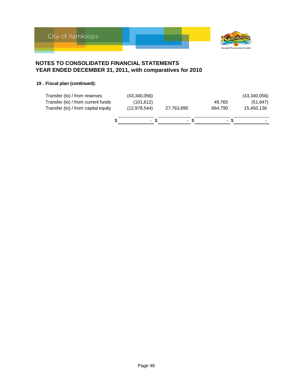

### **19 . Fiscal plan (continued):**

| Transfer (to) / from reserves<br>Transfer (to) / from current funds<br>Transfer (to) / from capital equity | (43,340,056)<br>(101, 612)<br>(12, 978, 544) | 27,763,890     |     | 49.765<br>664.790 | (43,340,056)<br>(51, 847)<br>15,450,136 |
|------------------------------------------------------------------------------------------------------------|----------------------------------------------|----------------|-----|-------------------|-----------------------------------------|
|                                                                                                            | $\sim$                                       | $\blacksquare$ | \$. | $\blacksquare$    | -                                       |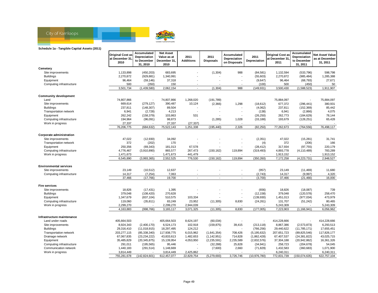

#### **Schedule 1a - Tangible Capital Assets (2011)**

|                               | <b>Original Cost as</b> | Accumulated<br>Depreciation | <b>Net Asset</b><br>Value as at | 2011                     | 2011                     | Accumulated                  | 2011           | <b>Original Cost as</b> | Accumulated<br>Depreciation | <b>Net Asset Value</b>     |
|-------------------------------|-------------------------|-----------------------------|---------------------------------|--------------------------|--------------------------|------------------------------|----------------|-------------------------|-----------------------------|----------------------------|
|                               | at December 31<br>2010  | to December<br>31.2010      | December 31<br>2010             | <b>Additions</b>         | <b>Disposals</b>         | Depreciation<br>on Disposals | Depreciation   | at December 31,<br>2011 | to December<br>31, 2011     | as at December<br>31, 2011 |
| Cemetery                      |                         |                             |                                 |                          |                          |                              |                |                         |                             |                            |
| Site improvements             | 1,133,898               | (450, 203)                  | 683,695                         |                          | (1, 304)                 | 988                          | (84, 581)      | 1,132,594               | (533, 796)                  | 598,798                    |
| <b>Buildings</b>              | 2,270,872               | (929, 881)                  | 1,340,991                       |                          |                          |                              | (55,603)       | 2,270,872               | (985, 484)                  | 1,285,388                  |
| Equipment                     | 96,464                  | (59, 146)                   | 37,318                          |                          |                          |                              | (9,647)        | 96,464                  | (68, 793)                   | 27,671                     |
| Computing infrastructure      | 500                     | (350)                       | 150                             |                          |                          |                              | (100)          | 500                     | (450)                       | 50                         |
|                               | 3,501,734               | (1,439,580)                 | 2,062,154                       | $\overline{\phantom{a}}$ | (1, 304)                 | 988                          | (149, 931)     | 3,500,430               | (1,588,523)                 | 1,911,907                  |
| <b>Community development</b>  |                         |                             |                                 |                          |                          |                              |                |                         |                             |                            |
| Land                          | 74,807,866              |                             | 74,807,866                      | 1,268,020                | (191,789)                |                              |                | 75,884,097              |                             | 75,884,097                 |
| Site improvements             | 669,614                 | (279, 127)                  | 390,487                         | 10,124                   | (2,366)                  | 1,298                        | (18, 612)      | 677,372                 | (296, 441)                  | 380,931                    |
| <b>Buildings</b>              | 237,811                 | (148, 307)                  | 89,504                          | $\overline{\phantom{a}}$ |                          |                              | (4,062)        | 237,811                 | (152, 369)                  | 85,442                     |
| Transportation network        | 6,941                   | (2,728)                     | 4,213                           |                          |                          |                              | (138)          | 6,941                   | (2,866)                     | 4,075                      |
| Equipment                     | 262,242                 | (158, 379)                  | 103,863                         | 531                      |                          |                              | (26, 250)      | 262,773                 | (184, 629)                  | 78,144                     |
| Computing infrastructure      | 194,964                 | (96,091)                    | 98,873                          |                          | (1,285)                  | 1,028                        | (33, 188)      | 193,679                 | (128, 251)                  | 65,428                     |
| Work in progress              | 27,337                  |                             | 27,337                          | (27, 337)                |                          |                              |                |                         |                             |                            |
|                               | 76,206,775              | (684, 632)                  | 75,522,143                      | 1,251,338                | (195, 440)               | 2,326                        | (82, 250)      | 77,262,673              | (764, 556)                  | 76,498,117                 |
| Corporate administration      |                         |                             |                                 |                          |                          |                              |                |                         |                             |                            |
| Site improvements             | 47,022                  | (12,930)                    | 34,092                          |                          |                          |                              | (2, 351)       | 47,022                  | (15, 281)                   | 31,741                     |
| Transportation network        | 372                     | (202)                       | 170                             |                          |                          |                              | (4)            | 372                     | (206)                       | 166                        |
| Equipment                     | 250,356                 | (69, 343)                   | 181,013                         | 67,578                   |                          |                              | (28, 412)      | 317,934                 | (97, 755)                   | 220,179                    |
| Computing infrastructure      | 4,776,467               | (3,910,890)                 | 865,577                         | 267,473                  | (150, 162)               | 119,894                      | (319, 493)     | 4,893,778               | (4, 110, 489)               | 783,289                    |
| Work in progress              | 1,471,673               |                             | 1,471,673                       | 441,479                  |                          |                              |                | 1,913,152               |                             | 1,913,152                  |
|                               | 6,545,890               | (3,993,365)                 | 2,552,525                       | 776,530                  | (150, 162)               | 119,894                      | (350, 260)     | 7,172,258               | (4, 223, 731)               | 2,948,527                  |
| <b>Environmental services</b> |                         |                             |                                 |                          |                          |                              |                |                         |                             |                            |
| Site improvements             | 23.149                  | (10, 512)                   | 12,637                          |                          |                          |                              | (957)          | 23,149                  | (11, 469)                   | 11,680                     |
| Computing infrastructure      | 14,317                  | (7, 254)                    | 7,063                           | $\overline{\phantom{a}}$ | $\overline{\phantom{a}}$ | $\overline{\phantom{a}}$     | (2,743)        | 14,317                  | (9,997)                     | 4,320                      |
|                               | 37,466                  | (17, 766)                   | 19,700                          | $\overline{\phantom{a}}$ |                          |                              | (3,700)        | 37,466                  | (21, 466)                   | 16,000                     |
| <b>Fire services</b>          |                         |                             |                                 |                          |                          |                              |                |                         |                             |                            |
| Site improvements             | 18,826                  | (17, 431)                   | 1,395                           |                          |                          |                              | (656)          | 18,826                  | (18,087)                    | 739                        |
| <b>Buildings</b>              | 379,048                 | (108, 420)                  | 270,628                         |                          |                          | $\overline{\phantom{a}}$     | (12, 158)      | 379,048                 | (120, 578)                  | 258,470                    |
| Equipment                     | 1,347,679               | (837, 104)                  | 510,575                         | 103,334                  |                          |                              | (139, 930)     | 1,451,013               | (977, 034)                  | 473,979                    |
| Computing infrastructure      | 119,060                 | (35, 811)                   | 83,249                          | 23,952                   | (11, 305)                | 8,830                        | (24, 261)      | 131,707                 | (51, 242)                   | 80,465                     |
| Work in progress              | 2,299,270               |                             | 2,299,270                       | 2,944,039                |                          |                              |                | 5,243,309               |                             | 5,243,309                  |
|                               | 4,163,883               | (998, 766)                  | 3,165,117                       | 3,071,325                | (11, 305)                | 8.830                        | (177,005)      | 7,223,903               | (1, 166, 941)               | 6,056,962                  |
| Infrastructure maintenance    |                         |                             |                                 |                          |                          |                              |                |                         |                             |                            |
| Land under roads              | 405,664,503             |                             | 405,664,503                     | 8,624,197                | (60, 034)                |                              |                | 414,228,666             |                             | 414,228,666                |
| Site improvements             | 8,924,343               | (2,400,170)                 | 6,524,173                       | 102,918                  | (159, 875)               | 39,415                       | (213, 118)     | 8,867,386               | (2,573,873)                 | 6,293,513                  |
| <b>Buildings</b>              | 29,316,410              | (11,018,915)                | 18,297,495                      | 124,212                  |                          |                              | (766, 256)     | 29,440,622              | (11, 785, 171)              | 17,655,451                 |
| Transportation network        | 203,277,115             | (85, 338, 340)              | 117,938,775                     | 6,015,962                | (1,641,354)              | 708,426                      | (5, 195, 632)  | 207,651,723             | (89, 825, 546)              | 117,826,177                |
| Drainage network              | 67,067,835              | (23, 234, 222)              | 43,833,613                      | 1,482,653                | (1, 142, 951)            | 714,828                      | (1,862,428)    | 67,407,537              | (24, 381, 822)              | 43,025,715                 |
| Equipment                     | 35,485,829              | (20, 345, 875)              | 15,139,954                      | 4,053,950                | (2,235,591)              | 2,235,589                    | (2,832,576)    | 37,304,188              | (20, 942, 862)              | 16,361,326                 |
| Computing infrastructure      | 291,011                 | (195, 565)                  | 95,446                          |                          | (32, 288)                | 25,828                       | (34, 941)      | 258,723                 | (204, 678)                  | 54,045                     |
| Communication network         | 1,440,183               | (291, 514)                  | 1,148,669                       |                          | (7,600)                  | 2,660                        | (71, 829)      | 1,432,583               | (360, 683)                  | 1,071,900                  |
| Work in progress              | 3,814,449               |                             | 3,814,449                       | 2,425,862                |                          |                              |                | 6,240,311               |                             | 6,240,311                  |
|                               | 755,281,678             | (142, 824, 601)             | 612,457,077                     | 22,829,754               | (5,279,693)              | 3,726,746                    | (10, 976, 780) | 772,831,739             | (150, 074, 635)             | 622,757,104                |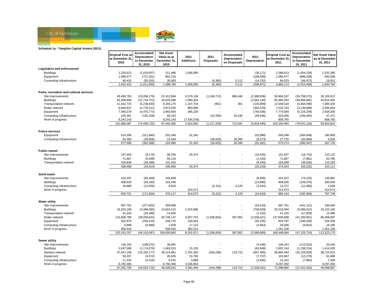

#### **Schedule 1a - Tangible Capital Assets (2011)**

|                                           | <b>Original Cost as</b><br>at December 31<br>2010 | Accumulated<br>Depreciation<br>to December<br>31, 2010 | <b>Net Asset</b><br>Value as at<br>December 31.<br>2010 | 2011<br><b>Additions</b> | 2011<br><b>Disposals</b> | Accumulated<br>Depreciation<br>on Disposals | 2011<br>Depreciation | <b>Original Cost as</b><br>at December 31,<br>2011 | Accumulated<br>Depreciation<br>to December<br>31, 2011 | Net Asset Value<br>as at December<br>31, 2011 |
|-------------------------------------------|---------------------------------------------------|--------------------------------------------------------|---------------------------------------------------------|--------------------------|--------------------------|---------------------------------------------|----------------------|----------------------------------------------------|--------------------------------------------------------|-----------------------------------------------|
| Legislative and enforcement               |                                                   |                                                        |                                                         |                          |                          |                                             |                      |                                                    |                                                        |                                               |
| <b>Buildings</b>                          | 1,230,523                                         | (1,019,057)                                            | 211,466                                                 | 1,056,090                |                          |                                             | (35, 171)            | 2,286,613                                          | (1,054,228)                                            | 1,232,385                                     |
| Equipment                                 | 1,589,477                                         | (737, 261)                                             | 852,216                                                 |                          |                          |                                             | (158, 948)           | 1,589,477                                          | (896, 209)                                             | 693,268                                       |
| Computing infrastructure                  | 90,415                                            | (55, 332)                                              | 35,083                                                  |                          | (6, 392)                 | 5,112                                       | (14, 752)            | 84,023                                             | (64, 972)                                              | 19,051                                        |
|                                           | 2,910,415                                         | (1,811,650)                                            | 1,098,765                                               | 1,056,090                | (6, 392)                 | 5,112                                       | (208, 871)           | 3,960,113                                          | (2,015,409)                                            | 1,944,704                                     |
| Parks, recreation and cultural services   |                                                   |                                                        |                                                         |                          |                          |                                             |                      |                                                    |                                                        |                                               |
| Site improvements                         | 45,469,763                                        | (23,056,179)                                           | 22,413,584                                              | 6,579,136                | (1, 184, 712)            | 686,440                                     | (2,388,836)          | 50,864,187                                         | (24, 758, 575)                                         | 26,105,612                                    |
| <b>Buildings</b>                          | 82,369,849                                        | (37,744,751)                                           | 44,625,098                                              | 1,090,444                |                          |                                             | (2,062,140)          | 83,460,293                                         | (39,806,891)                                           | 43,653,402                                    |
| Transportation network                    | 11,442,725                                        | (5,238,550)                                            | 6,204,175                                               | 1,107,754                | (961)                    | 361                                         | (225, 909)           | 12,549,518                                         | (5,464,098)                                            | 7.085.420                                     |
| Water network                             | 6,649,837                                         | (3,776,311)                                            | 2,873,526                                               | 883,906                  |                          |                                             | (362, 578)           | 7,533,743                                          | (4, 138, 889)                                          | 3,394,854                                     |
| Equipment                                 | 7,469,279                                         | (4, 475, 773)                                          | 2,993,506                                               | 305,230                  |                          |                                             | (740, 436)           | 7,774,509                                          | (5,216,209)                                            | 2,558,300                                     |
| Computing infrastructure                  | 235,491                                           | (145, 158)                                             | 90,333                                                  |                          | (31, 556)                | 25,240                                      | (36, 546)            | 203,935                                            | (156, 464)                                             | 47,471                                        |
| Work in progress                          | 8,243,143                                         |                                                        | 8,243,143                                               | (7,434,378)              |                          |                                             |                      | 808,765                                            |                                                        | 808,765                                       |
|                                           | 161,880,087                                       | (74, 436, 722)                                         | 87,443,365                                              | 2,532,092                | (1,217,229)              | 712,041                                     | (5,816,445)          | 163,194,950                                        | (79, 541, 126)                                         | 83,653,824                                    |
| <b>Police services</b>                    |                                                   |                                                        |                                                         |                          |                          |                                             |                      |                                                    |                                                        |                                               |
| Equipment                                 | 514,206                                           | (311,660)                                              | 202,546                                                 | 31,342                   |                          |                                             | (52,988)             | 545,548                                            | (364, 648)                                             | 180,900                                       |
| Computing infrastructure                  | 63,350                                            | (40, 906)                                              | 22,444                                                  |                          | (35,625)                 | 28,280                                      | (8,273)              | 27,725                                             | (20, 899)                                              | 6,826                                         |
|                                           | 577,556                                           | (352, 566)                                             | 224,990                                                 | 31,342                   | (35, 625)                | 28,280                                      | (61, 261)            | 573,273                                            | (385, 547)                                             | 187,726                                       |
|                                           |                                                   |                                                        |                                                         |                          |                          |                                             |                      |                                                    |                                                        |                                               |
| <b>Public transit</b>                     |                                                   |                                                        |                                                         |                          |                          |                                             |                      |                                                    |                                                        |                                               |
| Site improvements                         | 107,463                                           | (8, 170)                                               | 99,293                                                  | 34,374                   |                          |                                             | (10, 545)            | 141,837                                            | (18, 715)                                              | 123,122                                       |
| <b>Buildings</b>                          | 71,667                                            | (6, 448)                                               | 65,219                                                  |                          |                          | $\overline{\phantom{a}}$                    | (1, 433)             | 71,667                                             | (7,881)                                                | 63,786                                        |
| Transportation network                    | 159,839                                           | (28, 396)                                              | 131,443                                                 |                          |                          |                                             | (8, 240)             | 159,839                                            | (36, 636)                                              | 123,203                                       |
|                                           | 338,969                                           | (43, 014)                                              | 295,955                                                 | 34,374                   | $\overline{\phantom{a}}$ | $\sim$                                      | (20, 218)            | 373,343                                            | (63, 232)                                              | 310,111                                       |
| Solid waste                               |                                                   |                                                        |                                                         |                          |                          |                                             |                      |                                                    |                                                        |                                               |
| Site improvements                         | 223,207                                           | (66, 369)                                              | 156,838                                                 |                          |                          |                                             | (6, 856)             | 223,207                                            | (73, 225)                                              | 149,982                                       |
| <b>Buildings</b>                          | 408,626                                           | (93, 180)                                              | 315,446                                                 |                          |                          |                                             | (14,890)             | 408,626                                            | (108,070)                                              | 300,556                                       |
| Computing infrastructure                  | 18,888                                            | (12,055)                                               | 6,833                                                   |                          | (5, 151)                 | 4,120                                       | (3, 164)             | 13,737                                             | (11,099)                                               | 2,638                                         |
| Work in progress                          |                                                   |                                                        |                                                         | 314,573                  |                          |                                             |                      | 314,573                                            |                                                        | 314,573                                       |
|                                           | 650,721                                           | (171, 604)                                             | 479,117                                                 | 314,573                  | (5, 151)                 | 4,120                                       | (24, 910)            | 960,143                                            | (192, 394)                                             | 767,749                                       |
|                                           |                                                   |                                                        |                                                         |                          |                          |                                             |                      |                                                    |                                                        |                                               |
| <b>Water utility</b><br>Site improvements | 687,761                                           | (377, 803)                                             | 309,958                                                 |                          |                          |                                             | (63, 318)            | 687,761                                            | (441, 121)                                             | 246,640                                       |
| <b>Buildings</b>                          | 19,203,198                                        | (4,388,083)                                            | 14,815,115                                              |                          |                          |                                             | (708, 829)           | 20,219,094                                         | (5,096,912)                                            | 15, 122, 182                                  |
| Transportation network                    | 41,316                                            | (26, 496)                                              | 14,820                                                  | 1,015,896                |                          |                                             | (1, 332)             | 41,316                                             | (27, 828)                                              | 13,488                                        |
| Water network                             | 131,808,789                                       | (39,059,642)                                           | 92,749,147                                              | 6,837,733                | (1,036,834)              | 397,062                                     | (2,538,021)          | 137,609,688                                        | (41, 200, 601)                                         | 96,409,087                                    |
| Equipment                                 | 502,879                                           | (294, 104)                                             | 208,775                                                 | 100,918                  |                          |                                             | (55, 335)            | 603,797                                            | (349, 439)                                             | 254,358                                       |
| Computing infrastructure                  | 8,898                                             | (6,969)                                                | 1,929                                                   | 17,110                   |                          |                                             | (2, 854)             | 26,008                                             | (9, 823)                                               | 16,185                                        |
| Work in progress                          | 900,916                                           |                                                        | 900,916                                                 | 360,314                  |                          |                                             |                      | 1,261,230                                          |                                                        | 1,261,230                                     |
|                                           | 153, 153, 757                                     | (44, 153, 097)                                         | 109,000,660                                             | 8,331,971                | (1,036,834)              | 397,062                                     | (3,369,689)          | 160,448,894                                        | (47, 125, 724)                                         | 113,323,170                                   |
|                                           |                                                   |                                                        |                                                         |                          |                          |                                             |                      |                                                    |                                                        |                                               |
| Sewer utility                             |                                                   |                                                        |                                                         |                          |                          |                                             |                      |                                                    |                                                        |                                               |
| Site improvements                         | 146,163                                           | (108, 072)                                             | 38,091                                                  |                          |                          |                                             | (4,546)              | 146,163                                            | (112, 618)                                             | 33,545                                        |
| <b>Buildings</b>                          | 2,637,589                                         | (1, 174, 576)                                          | 1,463,013                                               | 15,155                   |                          |                                             | (63, 648)            | 2,652,744                                          | (1,238,224)                                            | 1,414,520                                     |
| Sanitary network                          | 57,447,158                                        | (19, 332, 177)                                         | 38,114,981                                              | 1,781,582                | (344, 296)               | 119,713                                     | (947, 465)           | 58,884,444                                         | (20, 159, 929)                                         | 38,724,515                                    |
| Equipment                                 | 50,207                                            | (4, 572)                                               | 45,635                                                  | 53,760                   |                          |                                             | (7,707)              | 103,967                                            | (12, 279)                                              | 91,688                                        |
| Computing infrastructure                  | 11,333                                            | (5, 318)                                               | 6,015                                                   | 3,989                    |                          |                                             | (2,665)              | 15,322                                             | (7,983)                                                | 7,339                                         |
| Work in progress                          | 6,760,306                                         |                                                        | 6,760,306                                               | 2,536,954                |                          |                                             |                      | 9,297,260                                          |                                                        | 9,297,260                                     |
|                                           | 67,052,756                                        | (20, 624, 715)                                         | 46,428,041                                              | 4,391,440                | (344, 296)               | 119,713                                     | (1,026,031)          | 71,099,900                                         | (21, 531, 033)                                         | 49,568,867                                    |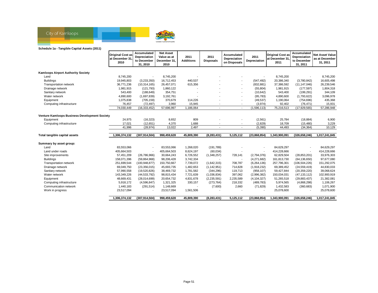

#### **Schedule 1a - Tangible Capital Assets (2011)**

|                                               | <b>Original Cost as</b><br>at December 31<br>2010 | Accumulated<br>Depreciation<br>to December<br>31, 2010 | <b>Net Asset</b><br>Value as at<br>December 31<br>2010 | 2011<br><b>Additions</b> | 2011<br><b>Disposals</b> | Accumulated<br>Depreciation<br>on Disposals | 2011<br>Depreciation     | <b>Original Cost as</b><br>at December 31,<br>2011 | Accumulated<br>Depreciation<br>to December<br>31, 2011 | <b>Net Asset Value</b><br>as at December<br>31, 2011 |
|-----------------------------------------------|---------------------------------------------------|--------------------------------------------------------|--------------------------------------------------------|--------------------------|--------------------------|---------------------------------------------|--------------------------|----------------------------------------------------|--------------------------------------------------------|------------------------------------------------------|
| <b>Kamloops Airport Authority Society</b>     |                                                   |                                                        |                                                        |                          |                          |                                             |                          |                                                    |                                                        |                                                      |
| Land                                          | 8,745,200                                         |                                                        | 8,745,200                                              |                          |                          |                                             | $\overline{a}$           | 8,745,200                                          |                                                        | 8,745,200                                            |
| <b>Buildings</b>                              | 19,945,803                                        | (3,233,350)                                            | 16,712,453                                             | 440,537                  |                          |                                             | (547, 492)               | 20,386,340                                         | (3,780,842)                                            | 16,605,498                                           |
| Transportation network                        | 36,771,236                                        | (10, 314, 165)                                         | 26,457,071                                             | 615,356                  |                          |                                             | (832, 881)               | 37,386,592                                         | (11, 147, 046)                                         | 26,239,546                                           |
| Drainage network                              | 1,981,915                                         | (121, 793)                                             | 1,860,122                                              |                          |                          |                                             | (55, 804)                | 1,981,915                                          | (177, 597)                                             | 1,804,318                                            |
| Sanitary network                              | 543,400                                           | (188, 649)                                             | 354,751                                                |                          |                          |                                             | (10, 642)                | 543,400                                            | (199, 291)                                             | 344,109                                              |
| Water network                                 | 4,890,600                                         | (1,697,839)                                            | 3,192,761                                              |                          |                          |                                             | (95, 783)                | 4,890,600                                          | (1,793,622)                                            | 3,096,978                                            |
| Equipment                                     | 1,075,838                                         | (705, 159)                                             | 370,679                                                | 114,226                  |                          |                                             | (49, 537)                | 1,190,064                                          | (754, 696)                                             | 435,368                                              |
| Computing infrastructure                      | 76,457                                            | (72, 497)                                              | 3,960                                                  | 15,945                   | $\overline{\phantom{a}}$ | $\overline{\phantom{a}}$                    | (3,974)                  | 92,402                                             | (76, 471)                                              | 15,931                                               |
|                                               | 74,030,449                                        | (16, 333, 452)                                         | 57,696,997                                             | 1,186,064                | $\overline{\phantom{a}}$ | $\overline{\phantom{a}}$                    | (1,596,113)              | 75,216,513                                         | (17, 929, 565)                                         | 57,286,948                                           |
|                                               |                                                   |                                                        |                                                        |                          |                          |                                             |                          |                                                    |                                                        |                                                      |
| Venture Kamloops Business Development Society |                                                   |                                                        |                                                        |                          |                          |                                             |                          |                                                    |                                                        |                                                      |
| Equipment                                     | 24,975                                            | (16, 323)                                              | 8,652                                                  | 809                      |                          |                                             | (2,561)                  | 25,784                                             | (18, 884)                                              | 6,900                                                |
| Computing infrastructure                      | 17,021                                            | (12, 651)                                              | 4,370                                                  | 1,688                    |                          |                                             | (2,829)                  | 18,709                                             | (15, 480)                                              | 3,229                                                |
|                                               | 41,996                                            | (28, 974)                                              | 13,022                                                 | 2,497                    |                          |                                             | (5,390)                  | 44,493                                             | (34, 364)                                              | 10,129                                               |
|                                               |                                                   |                                                        |                                                        |                          |                          |                                             |                          |                                                    |                                                        |                                                      |
| Total tangible capital assets                 | 1,306,374,132                                     | (307,914,504)                                          | 998,459,628                                            | 45,809,390               | (8, 283, 431)            | 5,125,112                                   | (23,868,854)             | 1,343,900,091                                      | (326, 658, 246)                                        | 1,017,241,845                                        |
| Summary by asset group:                       |                                                   |                                                        |                                                        |                          |                          |                                             |                          |                                                    |                                                        |                                                      |
| Land                                          | 83,553,066                                        | $\overline{\phantom{a}}$                               | 83,553,066                                             | 1,268,020                | (191, 789)               |                                             | $\blacksquare$           | 84,629,297                                         |                                                        | 84,629,297                                           |
| Land under roads                              | 405,664,503                                       |                                                        | 405,664,503                                            | 8,624,197                | (60, 034)                |                                             |                          | 414,228,666                                        |                                                        | 414,228,666                                          |
| Site improvements                             | 57,451,209                                        | (26, 786, 966)                                         | 30,664,243                                             | 6,726,552                | (1,348,257)              | 728,141                                     | (2,794,376)              | 62,829,504                                         | (28, 853, 201)                                         | 33,976,303                                           |
| <b>Buildings</b>                              | 158,071,396                                       | (59,864,968)                                           | 98,206,428                                             | 3,742,334                |                          |                                             | (4,271,682)              | 161,813,730                                        | (64, 136, 650)                                         | 97,677,080                                           |
| Transportation network                        | 251,699,544                                       | (100, 948, 877)                                        | 150,750,667                                            | 7,739,072                | (1,642,315)              | 708,787                                     | (6,264,136)              | 257,796,301                                        | (106, 504, 226)                                        | 151,292,075                                          |
| Drainage network                              | 69,049,750                                        | (23,356,015)                                           | 45,693,735                                             | 1,482,653                | (1, 142, 951)            | 714,828                                     | (1,918,232)              | 69,389,452                                         | (24, 559, 419)                                         | 44,830,033                                           |
| Sanitary network                              | 57,990,558                                        | (19,520,826)                                           | 38,469,732                                             | 1,781,582                | (344, 296)               | 119,713                                     | (958, 107)               | 59,427,844                                         | (20, 359, 220)                                         | 39,068,624                                           |
| Water network                                 | 143,349,226                                       | (44, 533, 792)                                         | 98,815,434                                             | 7,721,639                | (1,036,834)              | 397,062                                     | (2,996,382)              | 150,034,031                                        | (47, 133, 112)                                         | 102,900,919                                          |
| Equipment                                     | 48,669,431                                        | (28,014,699)                                           | 20,654,732                                             | 4,831,678                | (2,235,591)              | 2,235,589                                   | (4, 104, 327)            | 51,265,518                                         | (29, 883, 437)                                         | 21,382,081                                           |
| Computing infrastructure                      | 5,918,172                                         | (4,596,847)                                            | 1,321,325                                              | 330,157                  | (273, 764)               | 218,332                                     | (489, 783)               | 5,974,565                                          | (4,868,298)                                            | 1,106,267                                            |
| Communication network                         | 1,440,183                                         | (291, 514)                                             | 1,148,669                                              |                          | (7,600)                  | 2,660                                       | (71, 829)                | 1,432,583                                          | (360, 683)                                             | 1,071,900                                            |
| Work in progress                              | 23,517,094                                        |                                                        | 23,517,094                                             | 1,561,506                |                          |                                             | $\overline{\phantom{a}}$ | 25,078,600                                         |                                                        | 25,078,600                                           |
|                                               | 1,306,374,132                                     | (307, 914, 504)                                        | 998,459,628                                            | 45,809,390               | (8, 283, 431)            | 5,125,112                                   | (23,868,854)             | 1,343,900,091                                      | (326, 658, 246)                                        | 1,017,241,845                                        |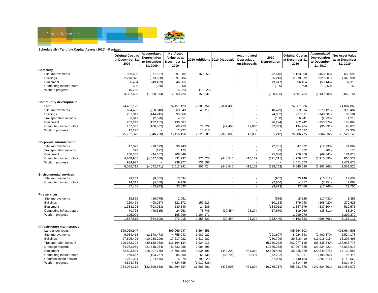

#### **Schedule 1b - Tangible Capital Assets (2010) - Restated**

|                                                   | <b>Original Cost as</b> | Accumulated<br>Depreciation | <b>Net Asset</b><br>Value as at |                   |                               | Accumulated                  | 2010                    | <b>Original Cost as</b> | Accumulated<br>Depreciation | <b>Net Asset Value</b>     |
|---------------------------------------------------|-------------------------|-----------------------------|---------------------------------|-------------------|-------------------------------|------------------------------|-------------------------|-------------------------|-----------------------------|----------------------------|
|                                                   | at December 31<br>2009  | to December<br>31, 2009     | December 31,<br>2009            |                   | 2010 Additions 2010 Disposals | Depreciation<br>on Disposals | Depreciation            | at December 31.<br>2010 | to December<br>31, 2010     | as at December<br>31, 2010 |
| Cemetery                                          |                         |                             |                                 |                   |                               |                              |                         |                         |                             |                            |
| Site improvements                                 | 968,639                 | (377, 557)                  | 591,082                         | 165,259           |                               |                              | (72, 646)               | 1,133,898               | (450, 203)                  | 683,695                    |
| <b>Buildings</b>                                  | 2,270,872               | (873, 668)                  | 1,397,204                       |                   |                               |                              | (56, 213)               | 2,270,872               | (929, 881)                  | 1,340,991                  |
| Equipment                                         | 96,464                  | (49, 499)                   | 46,965                          |                   |                               |                              | (9,647)                 | 96,464                  | (59, 146)                   | 37,318                     |
| Computing infrastructure                          | 500                     | (250)                       | 250                             |                   |                               |                              | (100)                   | 500                     | (350)                       | 150                        |
| Work in progress                                  | 15,223                  |                             | 15,223                          | (15, 223)         |                               |                              |                         |                         |                             |                            |
|                                                   | 3,351,698               | (1,300,974)                 | 2,050,724                       | 150,036           | $\overline{a}$                | $\sim$                       | (138, 606)              | 3,501,734               | (1,439,580)                 | 2,062,154                  |
| <b>Community development</b>                      |                         |                             |                                 |                   |                               |                              |                         |                         |                             |                            |
| Land                                              | 74,451,123              |                             | 74,451,123                      | 2,388,152         | (2,031,409)                   |                              |                         | 74,807,866              | $\overline{\phantom{a}}$    | 74,807,866                 |
| Site improvements                                 | 624,497                 | (260, 648)                  | 363,849                         | 45,117            |                               |                              | (18, 479)               | 669,614                 | (279, 127)                  | 390,487                    |
| <b>Buildings</b>                                  | 237,811                 | (144, 245)                  | 93,566                          |                   |                               |                              | (4,062)                 | 237,811                 | (148, 307)                  | 89,504                     |
| Transportation network                            | 6,941                   | (2,590)                     | 4,351                           |                   |                               |                              | (138)                   | 6,941                   | (2, 728)                    | 4,213                      |
| Equipment                                         | 262,242                 | (132, 155)                  | 130,087                         |                   |                               |                              | (26, 224)               | 262,242                 | (158, 379)                  | 103,863                    |
| Computing infrastructure                          | 167,535                 | (106, 582)                  | 60,953                          | 74,829            | (47, 400)                     | 42,830                       | (32, 339)               | 194,964                 | (96,091)                    | 98,873                     |
| Work in progress                                  | 12,227                  |                             | 12,227                          | 15,110            |                               |                              |                         | 27,337                  |                             | 27,337                     |
|                                                   | 75,762,376              | (646, 220)                  | 75,116,156                      | 2,523,208         | (2,078,809)                   | 42,830                       | (81, 242)               | 76,206,775              | (684, 632)                  | 75,522,143                 |
| <b>Corporate administration</b>                   |                         |                             |                                 |                   |                               |                              |                         |                         |                             |                            |
| Site improvements                                 | 47,022                  | (10, 579)                   | 36,443                          |                   |                               |                              | (2, 351)                | 47,022                  | (12,930)                    | 34,092                     |
| Transportation network                            | 372                     | (197)                       | 175                             |                   |                               |                              | (5)                     | 372                     | (202)                       | 170                        |
| Equipment                                         | 250,356                 | (44, 307)                   | 206,049                         |                   |                               |                              | (25,036)                | 250,356                 | (69, 343)                   | 181,013                    |
| Computing infrastructure                          | 4,848,985               | (4,017,688)                 | 831,297                         | 376,028           | (448, 546)                    | 418,109                      | (311, 311)              | 4,776,467               | (3,910,890)                 | 865,577                    |
| Work in progress                                  | 939,977                 |                             | 939,977                         | 531,696           |                               |                              |                         | 1,471,673               |                             | 1,471,673                  |
|                                                   | 6,086,712               | (4,072,771)                 | 2,013,941                       | 907,724           | (448, 546)                    | 418,109                      | (338, 703)              | 6,545,890               | (3,993,365)                 | 2,552,525                  |
| <b>Environmental services</b>                     |                         |                             |                                 |                   |                               |                              |                         |                         |                             |                            |
| Site improvements                                 | 23,149                  | (9, 555)                    | 13,594                          |                   |                               |                              | (957)                   | 23,149                  | (10, 512)                   | 12,637                     |
| Computing infrastructure                          | 14,317                  | (4, 388)                    | 9,929                           |                   |                               | ÷,                           | (2,866)                 | 14,317                  | (7, 254)                    | 7,063                      |
|                                                   | 37,466                  | (13, 943)                   | 23,523                          | $\blacksquare$    | $\overline{\phantom{a}}$      | $\sim$                       | (3, 823)                | 37,466                  | (17, 766)                   | 19,700                     |
|                                                   |                         |                             |                                 |                   |                               |                              |                         |                         |                             |                            |
| <b>Fire services</b>                              |                         |                             |                                 |                   |                               |                              |                         |                         |                             |                            |
| Site improvements                                 | 18,826                  | (16, 775)                   | 2,051                           |                   |                               |                              | (656)                   | 18,826                  | (17, 431)                   | 1,395                      |
| <b>Buildings</b>                                  | 219,429                 | (98, 257)                   | 121,172                         | 159,619           |                               |                              | (10, 163)               | 379,048                 | (108, 420)                  | 270,628                    |
| Equipment<br>Computing infrastructure             | 1,333,393<br>70,768     | (703, 053)<br>(46, 515)     | 630,340                         | 14,286<br>78,746  |                               | $\overline{\phantom{a}}$     | (134, 051)<br>(17, 570) | 1,347,679<br>119,060    | (837, 104)                  | 510,575<br>83,249          |
| Work in progress                                  | 195,099                 |                             | 24,253<br>195,099               | 2,104,171         | (30, 454)                     | 28,274                       |                         | 2,299,270               | (35, 811)                   | 2,299,270                  |
|                                                   | 1,837,515               | (864, 600)                  | 972,915                         | 2,356,822         | (30, 454)                     | 28,274                       | (162, 440)              | 4,163,883               | (998, 766)                  | 3,165,117                  |
|                                                   |                         |                             |                                 |                   |                               |                              |                         |                         |                             |                            |
| Infrastructure maintenance                        |                         |                             |                                 |                   |                               |                              |                         |                         |                             |                            |
| Land under roads                                  | 399,069,947             |                             | 399,069,947                     | 6,594,556         |                               |                              |                         | 405,664,503             | $\overline{\phantom{a}}$    | 405,664,503                |
| Site improvements                                 | 6,934,416               | (2, 178, 473)               | 4,755,943                       | 1,989,927         |                               |                              | (221, 697)              | 8,924,343               | (2,400,170)                 | 6,524,173                  |
| <b>Buildings</b>                                  | 27,505,428              | (10, 288, 206)              | 17,217,222                      | 1,810,982         |                               | $\blacksquare$               | (730, 709)              | 29,316,410              | (11, 018, 915)              | 18,297,495                 |
| Transportation network                            | 196,352,202             | (80, 188, 068)              | 116, 164, 134                   | 6,924,913         |                               | $\overline{\phantom{a}}$     | (5, 150, 272)           | 203, 277, 115           | (85, 338, 340)              | 117,938,775                |
| Drainage network                                  | 64,982,939              | (21, 348, 954)              | 43,633,985                      | 2,084,896         |                               | ÷,                           | (1,885,268)             | 67,067,835              | (23, 234, 222)              | 43,833,613                 |
| Equipment                                         | 32,893,534              | (18,097,745)                | 14,795,789                      | 3,034,495         | (442, 200)                    | 441,310                      | (2,689,440)             | 35,485,829              | (20, 345, 875)              | 15,139,954                 |
| Computing infrastructure<br>Communication network | 269,667<br>1,241,354    | (183, 767)                  | 85,900<br>1,016,879             | 55,139<br>198,829 | (33, 795)                     | 30,494                       | (42, 292)<br>(67, 039)  | 291,011<br>1,440,183    | (195, 565)                  | 95,446<br>1,148,669        |
| Work in progress                                  | 4,824,785               | (224, 475)                  | 4,824,785                       | (1,010,336)       |                               |                              |                         | 3,814,449               | (291, 514)                  | 3,814,449                  |
|                                                   | 734,074,272             | (132, 509, 688)             | 601,564,584                     | 21,683,401        | (475, 995)                    | 471,804                      | (10, 786, 717)          | 755,281,678             | (142, 824, 601)             | 612.457.077                |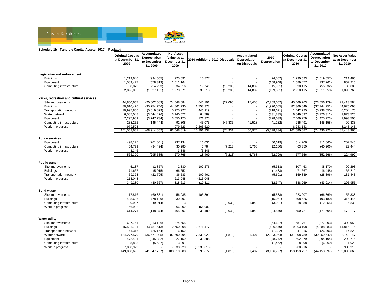

#### **Schedule 1b - Tangible Capital Assets (2010) - Restated**

| 2010<br>Depreciation<br>Depreciation<br>Value as at<br>at December 31,<br>2010 Additions 2010 Disposals<br>Depreciation<br>at December 31<br>as at December<br>to December<br>December 31,<br>Depreciation<br>to December<br>2010<br>31, 2010<br>2009<br>on Disposals<br>31, 2009<br>2009<br>31, 2010<br>Legislative and enforcement<br>225,091<br>10,877<br>1,230,523<br>211,466<br><b>Buildings</b><br>1,219,646<br>(994, 555)<br>(24, 502)<br>(1,019,057)<br>1,589,477<br>852,216<br>Equipment<br>1,589,477<br>(578, 313)<br>1,011,164<br>(158, 948)<br>(737, 261)<br>88,879<br>Computing infrastructure<br>(54, 263)<br>34,616<br>19,741<br>(18, 205)<br>14,832<br>(15, 901)<br>90,415<br>(55, 332)<br>35,083<br>2,898,002<br>(1,627,131)<br>1,270,871<br>30,618<br>14,832<br>2,910,415<br>1,098,765<br>(18, 205)<br>(199, 351)<br>(1, 811, 650)<br>Parks, recreation and cultural services<br>Site improvements<br>44,850,667<br>(20, 802, 583)<br>24,048,084<br>646,191<br>15,456<br>(2, 269, 052)<br>45,469,763<br>22,413,584<br>(27,095)<br>(23,056,179)<br><b>Buildings</b><br>82,369,849<br>44,625,098<br>80,616,476<br>(35, 754, 746)<br>44,861,730<br>1,753,373<br>(1,990,005)<br>(37,744,751)<br>$\overline{\phantom{a}}$<br>10,995,806<br>446,919<br>11,442,725<br>6,204,175<br><b>Transportation network</b><br>(5,019,879)<br>5,975,927<br>(218, 671)<br>(5,238,550)<br>$\blacksquare$<br>2,873,526<br>Water network<br>6,585,048<br>(3,444,476)<br>3,140,572<br>64,789<br>(331, 835)<br>6,649,837<br>(3,776,311)<br>$\blacksquare$<br>7,297,909<br>171,370<br>7,469,279<br>2,993,506<br>Equipment<br>(3,747,734)<br>3,550,175<br>(728, 039)<br>(4, 475, 773)<br>٠<br>235,491<br>90,333<br>Computing infrastructure<br>238,252<br>(145, 444)<br>92,808<br>45,075<br>(47, 836)<br>41,518<br>(41, 232)<br>(145, 158)<br>979,523<br>979,523<br>7,263,620<br>8,243,143<br>8,243,143<br>Work in progress<br>151,563,681<br>(68, 914, 862)<br>82,648,819<br>10,391,337<br>(74, 931)<br>56,974<br>(5, 578, 834)<br>161,880,087<br>(74, 436, 722)<br>87,443,365<br><b>Police services</b><br>498,175<br>237,134<br>514,206<br>202,546<br>Equipment<br>(261, 041)<br>16,031<br>(50, 619)<br>(311,660)<br>30,285<br>5,784<br>63,350<br>Computing infrastructure<br>64,779<br>(34, 494)<br>(7, 213)<br>5,768<br>(12, 180)<br>(40, 906)<br>22,444<br>3,346<br>3,346<br>(3, 346)<br>Work in progress<br>(7, 213)<br>577,556<br>224,990<br>566,300<br>(295, 535)<br>270,765<br>18,469<br>5,768<br>(62, 799)<br>(352, 566)<br><b>Public transit</b><br>5,187<br>(2, 857)<br>2,330<br>102,276<br>107,463<br>(8, 170)<br>99,293<br>Site improvements<br>(5, 313)<br>71,667<br>66,652<br>(1, 433)<br>71,667<br>65,219<br><b>Buildings</b><br>(5,015)<br>(6, 448)<br>$\overline{\phantom{a}}$<br>59,378<br>(22, 795)<br>36,583<br>(5,601)<br>159,839<br>(28, 396)<br>131,443<br><b>Transportation network</b><br>100,461<br>٠<br>Work in progress<br>213,048<br>213,048<br>(213, 048)<br>$\overline{\phantom{a}}$<br>349,280<br>(30, 667)<br>318,613<br>(10, 311)<br>(12, 347)<br>338,969<br>(43, 014)<br>295,955<br>Solid waste<br>117,816<br>56,985<br>105,391<br>(5,538)<br>223,207<br>156,838<br>Site improvements<br>(60, 831)<br>(66, 369)<br>408,626<br><b>Buildings</b><br>(78, 129)<br>330,497<br>(15,051)<br>408,626<br>(93, 180)<br>315,446<br>÷<br>Computing infrastructure<br>20,927<br>6,833<br>(9, 914)<br>11,013<br>(2,039)<br>1,840<br>(3,981)<br>18,888<br>(12,055)<br>Work in progress<br>66,902<br>66,902<br>(66, 902)<br>650,721<br>479,117<br>614,271<br>(148, 874)<br>465,397<br>38,489<br>(2,039)<br>1,840<br>(24, 570)<br>(171, 604)<br><b>Water utility</b><br>687,761<br>(313, 106)<br>374,655<br>(64, 697)<br>687,761<br>(377, 803)<br>309,958<br>Site improvements<br>12,750,208<br>(606, 570)<br>19,203,198<br><b>Buildings</b><br>16,531,721<br>(3,781,513)<br>2,671,477<br>(4,388,083)<br>14,815,115<br>$\blacksquare$<br>41,316<br>(25, 164)<br>16,152<br>(1, 332)<br>41,316<br>(26, 496)<br>14,820<br><b>Transportation network</b><br>$\blacksquare$<br>(1, 810)<br>1,407<br>(2, 383, 964)<br>Water network<br>124,277,579<br>(36,677,085)<br>87,600,494<br>7,533,020<br>131,808,789<br>(39,059,642)<br>92,749,147<br>472,491<br>(245, 332)<br>227,159<br>30,388<br>502,879<br>208,775<br>Equipment<br>(48, 772)<br>(294, 104)<br>1,929<br>Computing infrastructure<br>8,898<br>(5,507)<br>3,391<br>(1, 462)<br>8,898<br>(6,969)<br>7,838,929<br>7,838,929<br>(6,938,013)<br>900,916<br>900,916<br>Work in progress | <b>Original Cost as</b> | Accumulated    | <b>Net Asset</b> |           |          | Accumulated |               | <b>Original Cost as</b> | Accumulated    | <b>Net Asset Value</b> |
|-----------------------------------------------------------------------------------------------------------------------------------------------------------------------------------------------------------------------------------------------------------------------------------------------------------------------------------------------------------------------------------------------------------------------------------------------------------------------------------------------------------------------------------------------------------------------------------------------------------------------------------------------------------------------------------------------------------------------------------------------------------------------------------------------------------------------------------------------------------------------------------------------------------------------------------------------------------------------------------------------------------------------------------------------------------------------------------------------------------------------------------------------------------------------------------------------------------------------------------------------------------------------------------------------------------------------------------------------------------------------------------------------------------------------------------------------------------------------------------------------------------------------------------------------------------------------------------------------------------------------------------------------------------------------------------------------------------------------------------------------------------------------------------------------------------------------------------------------------------------------------------------------------------------------------------------------------------------------------------------------------------------------------------------------------------------------------------------------------------------------------------------------------------------------------------------------------------------------------------------------------------------------------------------------------------------------------------------------------------------------------------------------------------------------------------------------------------------------------------------------------------------------------------------------------------------------------------------------------------------------------------------------------------------------------------------------------------------------------------------------------------------------------------------------------------------------------------------------------------------------------------------------------------------------------------------------------------------------------------------------------------------------------------------------------------------------------------------------------------------------------------------------------------------------------------------------------------------------------------------------------------------------------------------------------------------------------------------------------------------------------------------------------------------------------------------------------------------------------------------------------------------------------------------------------------------------------------------------------------------------------------------------------------------------------------------------------------------------------------------------------------------------------------------------------------------------------------------------------------------------------------------------------------------------------------------------------------------------------------------------------------------------------------------------------------------------------------------------------------------------------------------------------------------------------------------------------------------------------------------------------------------------------------------------------------------------------------------------------------------------------------------------------------------------------------------------------------------------------------------------------------------------------------------------------|-------------------------|----------------|------------------|-----------|----------|-------------|---------------|-------------------------|----------------|------------------------|
|                                                                                                                                                                                                                                                                                                                                                                                                                                                                                                                                                                                                                                                                                                                                                                                                                                                                                                                                                                                                                                                                                                                                                                                                                                                                                                                                                                                                                                                                                                                                                                                                                                                                                                                                                                                                                                                                                                                                                                                                                                                                                                                                                                                                                                                                                                                                                                                                                                                                                                                                                                                                                                                                                                                                                                                                                                                                                                                                                                                                                                                                                                                                                                                                                                                                                                                                                                                                                                                                                                                                                                                                                                                                                                                                                                                                                                                                                                                                                                                                                                                                                                                                                                                                                                                                                                                                                                                                                                                                                                                                                     |                         |                |                  |           |          |             |               |                         |                |                        |
|                                                                                                                                                                                                                                                                                                                                                                                                                                                                                                                                                                                                                                                                                                                                                                                                                                                                                                                                                                                                                                                                                                                                                                                                                                                                                                                                                                                                                                                                                                                                                                                                                                                                                                                                                                                                                                                                                                                                                                                                                                                                                                                                                                                                                                                                                                                                                                                                                                                                                                                                                                                                                                                                                                                                                                                                                                                                                                                                                                                                                                                                                                                                                                                                                                                                                                                                                                                                                                                                                                                                                                                                                                                                                                                                                                                                                                                                                                                                                                                                                                                                                                                                                                                                                                                                                                                                                                                                                                                                                                                                                     |                         |                |                  |           |          |             |               |                         |                |                        |
|                                                                                                                                                                                                                                                                                                                                                                                                                                                                                                                                                                                                                                                                                                                                                                                                                                                                                                                                                                                                                                                                                                                                                                                                                                                                                                                                                                                                                                                                                                                                                                                                                                                                                                                                                                                                                                                                                                                                                                                                                                                                                                                                                                                                                                                                                                                                                                                                                                                                                                                                                                                                                                                                                                                                                                                                                                                                                                                                                                                                                                                                                                                                                                                                                                                                                                                                                                                                                                                                                                                                                                                                                                                                                                                                                                                                                                                                                                                                                                                                                                                                                                                                                                                                                                                                                                                                                                                                                                                                                                                                                     |                         |                |                  |           |          |             |               |                         |                |                        |
|                                                                                                                                                                                                                                                                                                                                                                                                                                                                                                                                                                                                                                                                                                                                                                                                                                                                                                                                                                                                                                                                                                                                                                                                                                                                                                                                                                                                                                                                                                                                                                                                                                                                                                                                                                                                                                                                                                                                                                                                                                                                                                                                                                                                                                                                                                                                                                                                                                                                                                                                                                                                                                                                                                                                                                                                                                                                                                                                                                                                                                                                                                                                                                                                                                                                                                                                                                                                                                                                                                                                                                                                                                                                                                                                                                                                                                                                                                                                                                                                                                                                                                                                                                                                                                                                                                                                                                                                                                                                                                                                                     |                         |                |                  |           |          |             |               |                         |                |                        |
|                                                                                                                                                                                                                                                                                                                                                                                                                                                                                                                                                                                                                                                                                                                                                                                                                                                                                                                                                                                                                                                                                                                                                                                                                                                                                                                                                                                                                                                                                                                                                                                                                                                                                                                                                                                                                                                                                                                                                                                                                                                                                                                                                                                                                                                                                                                                                                                                                                                                                                                                                                                                                                                                                                                                                                                                                                                                                                                                                                                                                                                                                                                                                                                                                                                                                                                                                                                                                                                                                                                                                                                                                                                                                                                                                                                                                                                                                                                                                                                                                                                                                                                                                                                                                                                                                                                                                                                                                                                                                                                                                     |                         |                |                  |           |          |             |               |                         |                |                        |
|                                                                                                                                                                                                                                                                                                                                                                                                                                                                                                                                                                                                                                                                                                                                                                                                                                                                                                                                                                                                                                                                                                                                                                                                                                                                                                                                                                                                                                                                                                                                                                                                                                                                                                                                                                                                                                                                                                                                                                                                                                                                                                                                                                                                                                                                                                                                                                                                                                                                                                                                                                                                                                                                                                                                                                                                                                                                                                                                                                                                                                                                                                                                                                                                                                                                                                                                                                                                                                                                                                                                                                                                                                                                                                                                                                                                                                                                                                                                                                                                                                                                                                                                                                                                                                                                                                                                                                                                                                                                                                                                                     |                         |                |                  |           |          |             |               |                         |                |                        |
|                                                                                                                                                                                                                                                                                                                                                                                                                                                                                                                                                                                                                                                                                                                                                                                                                                                                                                                                                                                                                                                                                                                                                                                                                                                                                                                                                                                                                                                                                                                                                                                                                                                                                                                                                                                                                                                                                                                                                                                                                                                                                                                                                                                                                                                                                                                                                                                                                                                                                                                                                                                                                                                                                                                                                                                                                                                                                                                                                                                                                                                                                                                                                                                                                                                                                                                                                                                                                                                                                                                                                                                                                                                                                                                                                                                                                                                                                                                                                                                                                                                                                                                                                                                                                                                                                                                                                                                                                                                                                                                                                     |                         |                |                  |           |          |             |               |                         |                |                        |
|                                                                                                                                                                                                                                                                                                                                                                                                                                                                                                                                                                                                                                                                                                                                                                                                                                                                                                                                                                                                                                                                                                                                                                                                                                                                                                                                                                                                                                                                                                                                                                                                                                                                                                                                                                                                                                                                                                                                                                                                                                                                                                                                                                                                                                                                                                                                                                                                                                                                                                                                                                                                                                                                                                                                                                                                                                                                                                                                                                                                                                                                                                                                                                                                                                                                                                                                                                                                                                                                                                                                                                                                                                                                                                                                                                                                                                                                                                                                                                                                                                                                                                                                                                                                                                                                                                                                                                                                                                                                                                                                                     |                         |                |                  |           |          |             |               |                         |                |                        |
|                                                                                                                                                                                                                                                                                                                                                                                                                                                                                                                                                                                                                                                                                                                                                                                                                                                                                                                                                                                                                                                                                                                                                                                                                                                                                                                                                                                                                                                                                                                                                                                                                                                                                                                                                                                                                                                                                                                                                                                                                                                                                                                                                                                                                                                                                                                                                                                                                                                                                                                                                                                                                                                                                                                                                                                                                                                                                                                                                                                                                                                                                                                                                                                                                                                                                                                                                                                                                                                                                                                                                                                                                                                                                                                                                                                                                                                                                                                                                                                                                                                                                                                                                                                                                                                                                                                                                                                                                                                                                                                                                     |                         |                |                  |           |          |             |               |                         |                |                        |
|                                                                                                                                                                                                                                                                                                                                                                                                                                                                                                                                                                                                                                                                                                                                                                                                                                                                                                                                                                                                                                                                                                                                                                                                                                                                                                                                                                                                                                                                                                                                                                                                                                                                                                                                                                                                                                                                                                                                                                                                                                                                                                                                                                                                                                                                                                                                                                                                                                                                                                                                                                                                                                                                                                                                                                                                                                                                                                                                                                                                                                                                                                                                                                                                                                                                                                                                                                                                                                                                                                                                                                                                                                                                                                                                                                                                                                                                                                                                                                                                                                                                                                                                                                                                                                                                                                                                                                                                                                                                                                                                                     |                         |                |                  |           |          |             |               |                         |                |                        |
|                                                                                                                                                                                                                                                                                                                                                                                                                                                                                                                                                                                                                                                                                                                                                                                                                                                                                                                                                                                                                                                                                                                                                                                                                                                                                                                                                                                                                                                                                                                                                                                                                                                                                                                                                                                                                                                                                                                                                                                                                                                                                                                                                                                                                                                                                                                                                                                                                                                                                                                                                                                                                                                                                                                                                                                                                                                                                                                                                                                                                                                                                                                                                                                                                                                                                                                                                                                                                                                                                                                                                                                                                                                                                                                                                                                                                                                                                                                                                                                                                                                                                                                                                                                                                                                                                                                                                                                                                                                                                                                                                     |                         |                |                  |           |          |             |               |                         |                |                        |
|                                                                                                                                                                                                                                                                                                                                                                                                                                                                                                                                                                                                                                                                                                                                                                                                                                                                                                                                                                                                                                                                                                                                                                                                                                                                                                                                                                                                                                                                                                                                                                                                                                                                                                                                                                                                                                                                                                                                                                                                                                                                                                                                                                                                                                                                                                                                                                                                                                                                                                                                                                                                                                                                                                                                                                                                                                                                                                                                                                                                                                                                                                                                                                                                                                                                                                                                                                                                                                                                                                                                                                                                                                                                                                                                                                                                                                                                                                                                                                                                                                                                                                                                                                                                                                                                                                                                                                                                                                                                                                                                                     |                         |                |                  |           |          |             |               |                         |                |                        |
|                                                                                                                                                                                                                                                                                                                                                                                                                                                                                                                                                                                                                                                                                                                                                                                                                                                                                                                                                                                                                                                                                                                                                                                                                                                                                                                                                                                                                                                                                                                                                                                                                                                                                                                                                                                                                                                                                                                                                                                                                                                                                                                                                                                                                                                                                                                                                                                                                                                                                                                                                                                                                                                                                                                                                                                                                                                                                                                                                                                                                                                                                                                                                                                                                                                                                                                                                                                                                                                                                                                                                                                                                                                                                                                                                                                                                                                                                                                                                                                                                                                                                                                                                                                                                                                                                                                                                                                                                                                                                                                                                     |                         |                |                  |           |          |             |               |                         |                |                        |
|                                                                                                                                                                                                                                                                                                                                                                                                                                                                                                                                                                                                                                                                                                                                                                                                                                                                                                                                                                                                                                                                                                                                                                                                                                                                                                                                                                                                                                                                                                                                                                                                                                                                                                                                                                                                                                                                                                                                                                                                                                                                                                                                                                                                                                                                                                                                                                                                                                                                                                                                                                                                                                                                                                                                                                                                                                                                                                                                                                                                                                                                                                                                                                                                                                                                                                                                                                                                                                                                                                                                                                                                                                                                                                                                                                                                                                                                                                                                                                                                                                                                                                                                                                                                                                                                                                                                                                                                                                                                                                                                                     |                         |                |                  |           |          |             |               |                         |                |                        |
|                                                                                                                                                                                                                                                                                                                                                                                                                                                                                                                                                                                                                                                                                                                                                                                                                                                                                                                                                                                                                                                                                                                                                                                                                                                                                                                                                                                                                                                                                                                                                                                                                                                                                                                                                                                                                                                                                                                                                                                                                                                                                                                                                                                                                                                                                                                                                                                                                                                                                                                                                                                                                                                                                                                                                                                                                                                                                                                                                                                                                                                                                                                                                                                                                                                                                                                                                                                                                                                                                                                                                                                                                                                                                                                                                                                                                                                                                                                                                                                                                                                                                                                                                                                                                                                                                                                                                                                                                                                                                                                                                     |                         |                |                  |           |          |             |               |                         |                |                        |
|                                                                                                                                                                                                                                                                                                                                                                                                                                                                                                                                                                                                                                                                                                                                                                                                                                                                                                                                                                                                                                                                                                                                                                                                                                                                                                                                                                                                                                                                                                                                                                                                                                                                                                                                                                                                                                                                                                                                                                                                                                                                                                                                                                                                                                                                                                                                                                                                                                                                                                                                                                                                                                                                                                                                                                                                                                                                                                                                                                                                                                                                                                                                                                                                                                                                                                                                                                                                                                                                                                                                                                                                                                                                                                                                                                                                                                                                                                                                                                                                                                                                                                                                                                                                                                                                                                                                                                                                                                                                                                                                                     |                         |                |                  |           |          |             |               |                         |                |                        |
|                                                                                                                                                                                                                                                                                                                                                                                                                                                                                                                                                                                                                                                                                                                                                                                                                                                                                                                                                                                                                                                                                                                                                                                                                                                                                                                                                                                                                                                                                                                                                                                                                                                                                                                                                                                                                                                                                                                                                                                                                                                                                                                                                                                                                                                                                                                                                                                                                                                                                                                                                                                                                                                                                                                                                                                                                                                                                                                                                                                                                                                                                                                                                                                                                                                                                                                                                                                                                                                                                                                                                                                                                                                                                                                                                                                                                                                                                                                                                                                                                                                                                                                                                                                                                                                                                                                                                                                                                                                                                                                                                     |                         |                |                  |           |          |             |               |                         |                |                        |
|                                                                                                                                                                                                                                                                                                                                                                                                                                                                                                                                                                                                                                                                                                                                                                                                                                                                                                                                                                                                                                                                                                                                                                                                                                                                                                                                                                                                                                                                                                                                                                                                                                                                                                                                                                                                                                                                                                                                                                                                                                                                                                                                                                                                                                                                                                                                                                                                                                                                                                                                                                                                                                                                                                                                                                                                                                                                                                                                                                                                                                                                                                                                                                                                                                                                                                                                                                                                                                                                                                                                                                                                                                                                                                                                                                                                                                                                                                                                                                                                                                                                                                                                                                                                                                                                                                                                                                                                                                                                                                                                                     |                         |                |                  |           |          |             |               |                         |                |                        |
|                                                                                                                                                                                                                                                                                                                                                                                                                                                                                                                                                                                                                                                                                                                                                                                                                                                                                                                                                                                                                                                                                                                                                                                                                                                                                                                                                                                                                                                                                                                                                                                                                                                                                                                                                                                                                                                                                                                                                                                                                                                                                                                                                                                                                                                                                                                                                                                                                                                                                                                                                                                                                                                                                                                                                                                                                                                                                                                                                                                                                                                                                                                                                                                                                                                                                                                                                                                                                                                                                                                                                                                                                                                                                                                                                                                                                                                                                                                                                                                                                                                                                                                                                                                                                                                                                                                                                                                                                                                                                                                                                     |                         |                |                  |           |          |             |               |                         |                |                        |
|                                                                                                                                                                                                                                                                                                                                                                                                                                                                                                                                                                                                                                                                                                                                                                                                                                                                                                                                                                                                                                                                                                                                                                                                                                                                                                                                                                                                                                                                                                                                                                                                                                                                                                                                                                                                                                                                                                                                                                                                                                                                                                                                                                                                                                                                                                                                                                                                                                                                                                                                                                                                                                                                                                                                                                                                                                                                                                                                                                                                                                                                                                                                                                                                                                                                                                                                                                                                                                                                                                                                                                                                                                                                                                                                                                                                                                                                                                                                                                                                                                                                                                                                                                                                                                                                                                                                                                                                                                                                                                                                                     |                         |                |                  |           |          |             |               |                         |                |                        |
|                                                                                                                                                                                                                                                                                                                                                                                                                                                                                                                                                                                                                                                                                                                                                                                                                                                                                                                                                                                                                                                                                                                                                                                                                                                                                                                                                                                                                                                                                                                                                                                                                                                                                                                                                                                                                                                                                                                                                                                                                                                                                                                                                                                                                                                                                                                                                                                                                                                                                                                                                                                                                                                                                                                                                                                                                                                                                                                                                                                                                                                                                                                                                                                                                                                                                                                                                                                                                                                                                                                                                                                                                                                                                                                                                                                                                                                                                                                                                                                                                                                                                                                                                                                                                                                                                                                                                                                                                                                                                                                                                     |                         |                |                  |           |          |             |               |                         |                |                        |
|                                                                                                                                                                                                                                                                                                                                                                                                                                                                                                                                                                                                                                                                                                                                                                                                                                                                                                                                                                                                                                                                                                                                                                                                                                                                                                                                                                                                                                                                                                                                                                                                                                                                                                                                                                                                                                                                                                                                                                                                                                                                                                                                                                                                                                                                                                                                                                                                                                                                                                                                                                                                                                                                                                                                                                                                                                                                                                                                                                                                                                                                                                                                                                                                                                                                                                                                                                                                                                                                                                                                                                                                                                                                                                                                                                                                                                                                                                                                                                                                                                                                                                                                                                                                                                                                                                                                                                                                                                                                                                                                                     |                         |                |                  |           |          |             |               |                         |                |                        |
|                                                                                                                                                                                                                                                                                                                                                                                                                                                                                                                                                                                                                                                                                                                                                                                                                                                                                                                                                                                                                                                                                                                                                                                                                                                                                                                                                                                                                                                                                                                                                                                                                                                                                                                                                                                                                                                                                                                                                                                                                                                                                                                                                                                                                                                                                                                                                                                                                                                                                                                                                                                                                                                                                                                                                                                                                                                                                                                                                                                                                                                                                                                                                                                                                                                                                                                                                                                                                                                                                                                                                                                                                                                                                                                                                                                                                                                                                                                                                                                                                                                                                                                                                                                                                                                                                                                                                                                                                                                                                                                                                     |                         |                |                  |           |          |             |               |                         |                |                        |
|                                                                                                                                                                                                                                                                                                                                                                                                                                                                                                                                                                                                                                                                                                                                                                                                                                                                                                                                                                                                                                                                                                                                                                                                                                                                                                                                                                                                                                                                                                                                                                                                                                                                                                                                                                                                                                                                                                                                                                                                                                                                                                                                                                                                                                                                                                                                                                                                                                                                                                                                                                                                                                                                                                                                                                                                                                                                                                                                                                                                                                                                                                                                                                                                                                                                                                                                                                                                                                                                                                                                                                                                                                                                                                                                                                                                                                                                                                                                                                                                                                                                                                                                                                                                                                                                                                                                                                                                                                                                                                                                                     |                         |                |                  |           |          |             |               |                         |                |                        |
|                                                                                                                                                                                                                                                                                                                                                                                                                                                                                                                                                                                                                                                                                                                                                                                                                                                                                                                                                                                                                                                                                                                                                                                                                                                                                                                                                                                                                                                                                                                                                                                                                                                                                                                                                                                                                                                                                                                                                                                                                                                                                                                                                                                                                                                                                                                                                                                                                                                                                                                                                                                                                                                                                                                                                                                                                                                                                                                                                                                                                                                                                                                                                                                                                                                                                                                                                                                                                                                                                                                                                                                                                                                                                                                                                                                                                                                                                                                                                                                                                                                                                                                                                                                                                                                                                                                                                                                                                                                                                                                                                     |                         |                |                  |           |          |             |               |                         |                |                        |
|                                                                                                                                                                                                                                                                                                                                                                                                                                                                                                                                                                                                                                                                                                                                                                                                                                                                                                                                                                                                                                                                                                                                                                                                                                                                                                                                                                                                                                                                                                                                                                                                                                                                                                                                                                                                                                                                                                                                                                                                                                                                                                                                                                                                                                                                                                                                                                                                                                                                                                                                                                                                                                                                                                                                                                                                                                                                                                                                                                                                                                                                                                                                                                                                                                                                                                                                                                                                                                                                                                                                                                                                                                                                                                                                                                                                                                                                                                                                                                                                                                                                                                                                                                                                                                                                                                                                                                                                                                                                                                                                                     |                         |                |                  |           |          |             |               |                         |                |                        |
|                                                                                                                                                                                                                                                                                                                                                                                                                                                                                                                                                                                                                                                                                                                                                                                                                                                                                                                                                                                                                                                                                                                                                                                                                                                                                                                                                                                                                                                                                                                                                                                                                                                                                                                                                                                                                                                                                                                                                                                                                                                                                                                                                                                                                                                                                                                                                                                                                                                                                                                                                                                                                                                                                                                                                                                                                                                                                                                                                                                                                                                                                                                                                                                                                                                                                                                                                                                                                                                                                                                                                                                                                                                                                                                                                                                                                                                                                                                                                                                                                                                                                                                                                                                                                                                                                                                                                                                                                                                                                                                                                     |                         |                |                  |           |          |             |               |                         |                |                        |
|                                                                                                                                                                                                                                                                                                                                                                                                                                                                                                                                                                                                                                                                                                                                                                                                                                                                                                                                                                                                                                                                                                                                                                                                                                                                                                                                                                                                                                                                                                                                                                                                                                                                                                                                                                                                                                                                                                                                                                                                                                                                                                                                                                                                                                                                                                                                                                                                                                                                                                                                                                                                                                                                                                                                                                                                                                                                                                                                                                                                                                                                                                                                                                                                                                                                                                                                                                                                                                                                                                                                                                                                                                                                                                                                                                                                                                                                                                                                                                                                                                                                                                                                                                                                                                                                                                                                                                                                                                                                                                                                                     |                         |                |                  |           |          |             |               |                         |                |                        |
|                                                                                                                                                                                                                                                                                                                                                                                                                                                                                                                                                                                                                                                                                                                                                                                                                                                                                                                                                                                                                                                                                                                                                                                                                                                                                                                                                                                                                                                                                                                                                                                                                                                                                                                                                                                                                                                                                                                                                                                                                                                                                                                                                                                                                                                                                                                                                                                                                                                                                                                                                                                                                                                                                                                                                                                                                                                                                                                                                                                                                                                                                                                                                                                                                                                                                                                                                                                                                                                                                                                                                                                                                                                                                                                                                                                                                                                                                                                                                                                                                                                                                                                                                                                                                                                                                                                                                                                                                                                                                                                                                     |                         |                |                  |           |          |             |               |                         |                |                        |
|                                                                                                                                                                                                                                                                                                                                                                                                                                                                                                                                                                                                                                                                                                                                                                                                                                                                                                                                                                                                                                                                                                                                                                                                                                                                                                                                                                                                                                                                                                                                                                                                                                                                                                                                                                                                                                                                                                                                                                                                                                                                                                                                                                                                                                                                                                                                                                                                                                                                                                                                                                                                                                                                                                                                                                                                                                                                                                                                                                                                                                                                                                                                                                                                                                                                                                                                                                                                                                                                                                                                                                                                                                                                                                                                                                                                                                                                                                                                                                                                                                                                                                                                                                                                                                                                                                                                                                                                                                                                                                                                                     |                         |                |                  |           |          |             |               |                         |                |                        |
|                                                                                                                                                                                                                                                                                                                                                                                                                                                                                                                                                                                                                                                                                                                                                                                                                                                                                                                                                                                                                                                                                                                                                                                                                                                                                                                                                                                                                                                                                                                                                                                                                                                                                                                                                                                                                                                                                                                                                                                                                                                                                                                                                                                                                                                                                                                                                                                                                                                                                                                                                                                                                                                                                                                                                                                                                                                                                                                                                                                                                                                                                                                                                                                                                                                                                                                                                                                                                                                                                                                                                                                                                                                                                                                                                                                                                                                                                                                                                                                                                                                                                                                                                                                                                                                                                                                                                                                                                                                                                                                                                     |                         |                |                  |           |          |             |               |                         |                |                        |
|                                                                                                                                                                                                                                                                                                                                                                                                                                                                                                                                                                                                                                                                                                                                                                                                                                                                                                                                                                                                                                                                                                                                                                                                                                                                                                                                                                                                                                                                                                                                                                                                                                                                                                                                                                                                                                                                                                                                                                                                                                                                                                                                                                                                                                                                                                                                                                                                                                                                                                                                                                                                                                                                                                                                                                                                                                                                                                                                                                                                                                                                                                                                                                                                                                                                                                                                                                                                                                                                                                                                                                                                                                                                                                                                                                                                                                                                                                                                                                                                                                                                                                                                                                                                                                                                                                                                                                                                                                                                                                                                                     |                         |                |                  |           |          |             |               |                         |                |                        |
|                                                                                                                                                                                                                                                                                                                                                                                                                                                                                                                                                                                                                                                                                                                                                                                                                                                                                                                                                                                                                                                                                                                                                                                                                                                                                                                                                                                                                                                                                                                                                                                                                                                                                                                                                                                                                                                                                                                                                                                                                                                                                                                                                                                                                                                                                                                                                                                                                                                                                                                                                                                                                                                                                                                                                                                                                                                                                                                                                                                                                                                                                                                                                                                                                                                                                                                                                                                                                                                                                                                                                                                                                                                                                                                                                                                                                                                                                                                                                                                                                                                                                                                                                                                                                                                                                                                                                                                                                                                                                                                                                     |                         |                |                  |           |          |             |               |                         |                |                        |
|                                                                                                                                                                                                                                                                                                                                                                                                                                                                                                                                                                                                                                                                                                                                                                                                                                                                                                                                                                                                                                                                                                                                                                                                                                                                                                                                                                                                                                                                                                                                                                                                                                                                                                                                                                                                                                                                                                                                                                                                                                                                                                                                                                                                                                                                                                                                                                                                                                                                                                                                                                                                                                                                                                                                                                                                                                                                                                                                                                                                                                                                                                                                                                                                                                                                                                                                                                                                                                                                                                                                                                                                                                                                                                                                                                                                                                                                                                                                                                                                                                                                                                                                                                                                                                                                                                                                                                                                                                                                                                                                                     |                         |                |                  |           |          |             |               |                         |                |                        |
|                                                                                                                                                                                                                                                                                                                                                                                                                                                                                                                                                                                                                                                                                                                                                                                                                                                                                                                                                                                                                                                                                                                                                                                                                                                                                                                                                                                                                                                                                                                                                                                                                                                                                                                                                                                                                                                                                                                                                                                                                                                                                                                                                                                                                                                                                                                                                                                                                                                                                                                                                                                                                                                                                                                                                                                                                                                                                                                                                                                                                                                                                                                                                                                                                                                                                                                                                                                                                                                                                                                                                                                                                                                                                                                                                                                                                                                                                                                                                                                                                                                                                                                                                                                                                                                                                                                                                                                                                                                                                                                                                     |                         |                |                  |           |          |             |               |                         |                |                        |
|                                                                                                                                                                                                                                                                                                                                                                                                                                                                                                                                                                                                                                                                                                                                                                                                                                                                                                                                                                                                                                                                                                                                                                                                                                                                                                                                                                                                                                                                                                                                                                                                                                                                                                                                                                                                                                                                                                                                                                                                                                                                                                                                                                                                                                                                                                                                                                                                                                                                                                                                                                                                                                                                                                                                                                                                                                                                                                                                                                                                                                                                                                                                                                                                                                                                                                                                                                                                                                                                                                                                                                                                                                                                                                                                                                                                                                                                                                                                                                                                                                                                                                                                                                                                                                                                                                                                                                                                                                                                                                                                                     |                         |                |                  |           |          |             |               |                         |                |                        |
|                                                                                                                                                                                                                                                                                                                                                                                                                                                                                                                                                                                                                                                                                                                                                                                                                                                                                                                                                                                                                                                                                                                                                                                                                                                                                                                                                                                                                                                                                                                                                                                                                                                                                                                                                                                                                                                                                                                                                                                                                                                                                                                                                                                                                                                                                                                                                                                                                                                                                                                                                                                                                                                                                                                                                                                                                                                                                                                                                                                                                                                                                                                                                                                                                                                                                                                                                                                                                                                                                                                                                                                                                                                                                                                                                                                                                                                                                                                                                                                                                                                                                                                                                                                                                                                                                                                                                                                                                                                                                                                                                     |                         |                |                  |           |          |             |               |                         |                |                        |
|                                                                                                                                                                                                                                                                                                                                                                                                                                                                                                                                                                                                                                                                                                                                                                                                                                                                                                                                                                                                                                                                                                                                                                                                                                                                                                                                                                                                                                                                                                                                                                                                                                                                                                                                                                                                                                                                                                                                                                                                                                                                                                                                                                                                                                                                                                                                                                                                                                                                                                                                                                                                                                                                                                                                                                                                                                                                                                                                                                                                                                                                                                                                                                                                                                                                                                                                                                                                                                                                                                                                                                                                                                                                                                                                                                                                                                                                                                                                                                                                                                                                                                                                                                                                                                                                                                                                                                                                                                                                                                                                                     |                         |                |                  |           |          |             |               |                         |                |                        |
|                                                                                                                                                                                                                                                                                                                                                                                                                                                                                                                                                                                                                                                                                                                                                                                                                                                                                                                                                                                                                                                                                                                                                                                                                                                                                                                                                                                                                                                                                                                                                                                                                                                                                                                                                                                                                                                                                                                                                                                                                                                                                                                                                                                                                                                                                                                                                                                                                                                                                                                                                                                                                                                                                                                                                                                                                                                                                                                                                                                                                                                                                                                                                                                                                                                                                                                                                                                                                                                                                                                                                                                                                                                                                                                                                                                                                                                                                                                                                                                                                                                                                                                                                                                                                                                                                                                                                                                                                                                                                                                                                     |                         |                |                  |           |          |             |               |                         |                |                        |
|                                                                                                                                                                                                                                                                                                                                                                                                                                                                                                                                                                                                                                                                                                                                                                                                                                                                                                                                                                                                                                                                                                                                                                                                                                                                                                                                                                                                                                                                                                                                                                                                                                                                                                                                                                                                                                                                                                                                                                                                                                                                                                                                                                                                                                                                                                                                                                                                                                                                                                                                                                                                                                                                                                                                                                                                                                                                                                                                                                                                                                                                                                                                                                                                                                                                                                                                                                                                                                                                                                                                                                                                                                                                                                                                                                                                                                                                                                                                                                                                                                                                                                                                                                                                                                                                                                                                                                                                                                                                                                                                                     |                         |                |                  |           |          |             |               |                         |                |                        |
|                                                                                                                                                                                                                                                                                                                                                                                                                                                                                                                                                                                                                                                                                                                                                                                                                                                                                                                                                                                                                                                                                                                                                                                                                                                                                                                                                                                                                                                                                                                                                                                                                                                                                                                                                                                                                                                                                                                                                                                                                                                                                                                                                                                                                                                                                                                                                                                                                                                                                                                                                                                                                                                                                                                                                                                                                                                                                                                                                                                                                                                                                                                                                                                                                                                                                                                                                                                                                                                                                                                                                                                                                                                                                                                                                                                                                                                                                                                                                                                                                                                                                                                                                                                                                                                                                                                                                                                                                                                                                                                                                     |                         |                |                  |           |          |             |               |                         |                |                        |
|                                                                                                                                                                                                                                                                                                                                                                                                                                                                                                                                                                                                                                                                                                                                                                                                                                                                                                                                                                                                                                                                                                                                                                                                                                                                                                                                                                                                                                                                                                                                                                                                                                                                                                                                                                                                                                                                                                                                                                                                                                                                                                                                                                                                                                                                                                                                                                                                                                                                                                                                                                                                                                                                                                                                                                                                                                                                                                                                                                                                                                                                                                                                                                                                                                                                                                                                                                                                                                                                                                                                                                                                                                                                                                                                                                                                                                                                                                                                                                                                                                                                                                                                                                                                                                                                                                                                                                                                                                                                                                                                                     |                         |                |                  |           |          |             |               |                         |                |                        |
|                                                                                                                                                                                                                                                                                                                                                                                                                                                                                                                                                                                                                                                                                                                                                                                                                                                                                                                                                                                                                                                                                                                                                                                                                                                                                                                                                                                                                                                                                                                                                                                                                                                                                                                                                                                                                                                                                                                                                                                                                                                                                                                                                                                                                                                                                                                                                                                                                                                                                                                                                                                                                                                                                                                                                                                                                                                                                                                                                                                                                                                                                                                                                                                                                                                                                                                                                                                                                                                                                                                                                                                                                                                                                                                                                                                                                                                                                                                                                                                                                                                                                                                                                                                                                                                                                                                                                                                                                                                                                                                                                     | 149,858,695             | (41, 047, 707) | 108,810,988      | 3,296,872 | (1, 810) | 1,407       | (3, 106, 797) | 153, 153, 757           | (44, 153, 097) | 109,000,660            |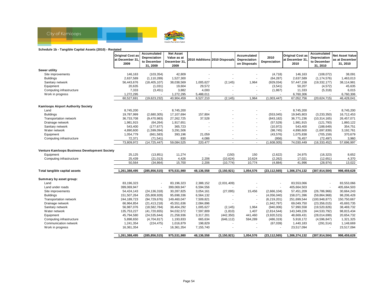

#### **Schedule 1b - Tangible Capital Assets (2010) - Restated**

|                                               | <b>Original Cost as</b><br>at December 31, | Accumulated<br>Depreciation | <b>Net Asset</b><br>Value as at |            | 2010 Additions 2010 Disposals | Accumulated<br>Depreciation | 2010           | <b>Original Cost as</b><br>at December 31. | Accumulated<br>Depreciation | <b>Net Asset Value</b><br>as at December |
|-----------------------------------------------|--------------------------------------------|-----------------------------|---------------------------------|------------|-------------------------------|-----------------------------|----------------|--------------------------------------------|-----------------------------|------------------------------------------|
|                                               | 2009                                       | to December<br>31, 2009     | December 31,<br>2009            |            |                               | on Disposals                | Depreciation   | 2010                                       | to December<br>31, 2010     | 31, 2010                                 |
| Sewer utility                                 |                                            |                             |                                 |            |                               |                             |                |                                            |                             |                                          |
| Site improvements                             | 146,163                                    | (103, 354)                  | 42,809                          |            |                               |                             | (4, 718)       | 146,163                                    | (108, 072)                  | 38,091                                   |
| <b>Buildings</b>                              | 2,637,589                                  | (1, 110, 289)               | 1,527,300                       |            |                               | $\overline{a}$              | (64, 287)      | 2,637,589                                  | (1, 174, 576)               | 1,463,013                                |
| Sanitary network                              | 56,443,676                                 | (18, 405, 107)              | 38,038,569                      | 1,005,627  | (2, 145)                      | 1,964                       | (929, 034)     | 57,447,158                                 | (19, 332, 177)              | 38,114,981                               |
| Equipment                                     | 20,635                                     | (1,031)                     | 19,604                          | 29,572     |                               |                             | (3,541)        | 50,207                                     | (4, 572)                    | 45,635                                   |
| Computing infrastructure                      | 7,333                                      | (3, 451)                    | 3,882                           | 4,000      |                               | $\overline{\phantom{a}}$    | (1, 867)       | 11,333                                     | (5,318)                     | 6,015                                    |
| Work in progress                              | 1,272,295                                  |                             | 1,272,295                       | 5,488,011  |                               |                             |                | 6,760,306                                  |                             | 6,760,306                                |
|                                               | 60,527,691                                 | (19,623,232)                | 40,904,459                      | 6,527,210  | (2, 145)                      | 1,964                       | (1,003,447)    | 67,052,756                                 | (20, 624, 715)              | 46,428,041                               |
| <b>Kamloops Airport Authority Society</b>     |                                            |                             |                                 |            |                               |                             |                |                                            |                             |                                          |
| Land                                          | 8,745,200                                  |                             | 8,745,200                       |            |                               |                             |                | 8,745,200                                  |                             | 8,745,200                                |
| <b>Buildings</b>                              | 19,787,999                                 | (2,680,305)                 | 17,107,694                      | 157,804    |                               | $\overline{\phantom{a}}$    | (553, 045)     | 19,945,803                                 | (3, 233, 350)               | 16,712,453                               |
| Transportation network                        | 36,733,708                                 | (9,470,983)                 | 27,262,725                      | 37,528     |                               | $\blacksquare$              | (843, 182)     | 36,771,236                                 | (10, 314, 165)              | 26,457,071                               |
| Drainage network                              | 1,981,915                                  | (64, 264)                   | 1,917,651                       |            |                               |                             | (57, 529)      | 1,981,915                                  | (121, 793)                  | 1,860,122                                |
| Sanitary network                              | 543,400                                    | (177, 677)                  | 365,723                         |            |                               | $\overline{\phantom{a}}$    | (10, 972)      | 543,400                                    | (188, 649)                  | 354,751                                  |
| Water network                                 | 4,890,600                                  | (1,599,094)                 | 3,291,506                       |            |                               |                             | (98, 745)      | 4,890,600                                  | (1,697,839)                 | 3,192,761                                |
| Equipment                                     | 1,054,779                                  | (661, 583)                  | 393,196                         | 21,059     |                               | $\blacksquare$              | (43, 576)      | 1,075,838                                  | (705, 159)                  | 370,679                                  |
| Computing infrastructure                      | 72,371                                     | (71, 541)                   | 830                             | 4,086      |                               | $\sim$                      | (956)          | 76,457                                     | (72, 497)                   | 3,960                                    |
|                                               | 73,809,972                                 | (14, 725, 447)              | 59,084,525                      | 220,477    | $\overline{a}$                | $\sim$                      | (1,608,005)    | 74,030,449                                 | (16, 333, 452)              | 57,696,997                               |
| Venture Kamloops Business Development Society |                                            |                             |                                 |            |                               |                             |                |                                            |                             |                                          |
| Equipment                                     | 25,125                                     | (13, 851)                   | 11,274                          |            | (150)                         | 150                         | (2,622)        | 24,975                                     | (16, 323)                   | 8,652                                    |
| Computing infrastructure                      | 25,439                                     | (21, 013)                   | 4,426                           | 2,206      | (10, 624)                     | 10,624                      | (2, 262)       | 17,021                                     | (12, 651)                   | 4,370                                    |
|                                               | 50,564                                     | (34, 864)                   | 15,700                          | 2,206      | (10, 774)                     | 10,774                      | (4,884)        | 41,996                                     | (28, 974)                   | 13,022                                   |
| Total tangible capital assets                 | 1,261,388,495                              | (285, 856, 515)             | 975,531,980                     | 48,136,558 | (3, 150, 921)                 | 1,054,576                   | (23, 112, 565) | 1,306,374,132                              | (307, 914, 504)             | 998,459,628                              |
| Summary by asset group:                       |                                            |                             |                                 |            |                               |                             |                |                                            |                             |                                          |
| Land                                          | 83,196,323                                 |                             | 83,196,323                      | 2,388,152  | (2,031,409)                   |                             |                | 83,553,066                                 |                             | 83,553,066                               |
| Land under roads                              | 399,069,947                                |                             | 399,069,947                     | 6,594,556  |                               |                             |                | 405,664,503                                |                             | 405,664,503                              |
| Site improvements                             | 54,424,143                                 | (24, 136, 318)              | 30,287,825                      | 3,054,161  | (27, 095)                     | 15,456                      | (2,666,104)    | 57,451,209                                 | (26, 786, 966)              | 30,664,243                               |
| <b>Buildings</b>                              | 151,507,264                                | (55,808,928)                | 95,698,336                      | 6,564,132  |                               | $\overline{a}$              | (4,056,040)    | 158,071,396                                | (59,864,968)                | 98,206,428                               |
| Transportation network                        | 244, 189, 723                              | (94, 729, 676)              | 149,460,047                     | 7,509,821  |                               | $\overline{\phantom{a}}$    | (6, 219, 201)  | 251,699,544                                | (100, 948, 877)             | 150,750,667                              |
| Drainage network                              | 66,964,854                                 | (21, 413, 218)              | 45,551,636                      | 2,084,896  |                               | ÷,                          | (1,942,797)    | 69,049,750                                 | (23, 356, 015)              | 45,693,735                               |
| Sanitary network                              | 56,987,076                                 | (18, 582, 784)              | 38,404,292                      | 1,005,627  | (2, 145)                      | 1,964                       | (940,006)      | 57,990,558                                 | (19, 520, 826)              | 38,469,732                               |
| Water network                                 | 135,753,227                                | (41, 720, 655)              | 94,032,572                      | 7,597,809  | (1, 810)                      | 1,407                       | (2,814,544)    | 143,349,226                                | (44, 533, 792)              | 98,815,434                               |
| Equipment                                     | 45,794,580                                 | (24, 535, 644)              | 21,258,936                      | 3,317,201  | (442, 350)                    | 441,460                     | (3,920,515)    | 48,669,431                                 | (28,014,699)                | 20,654,732                               |
| Computing infrastructure                      | 5,898,650                                  | (4,704,817)                 | 1,193,833                       | 665,634    | (646, 112)                    | 594,289                     | (486, 319)     | 5,918,172                                  | (4,596,847)                 | 1,321,325                                |
| Communication network                         | 1,241,354                                  | (224, 475)                  | 1,016,879                       | 198,829    |                               | $\overline{\phantom{a}}$    | (67, 039)      | 1,440,183                                  | (291, 514)                  | 1,148,669                                |
| Work in progress                              | 16,361,354                                 |                             | 16,361,354                      | 7,155,740  |                               |                             |                | 23,517,094                                 |                             | 23,517,094                               |
|                                               | 1,261,388,495                              | (285, 856, 515)             | 975,531,980                     | 48,136,558 | (3, 150, 921)                 | 1,054,576                   | (23, 112, 565) | 1,306,374,132                              | (307, 914, 504)             | 998,459,628                              |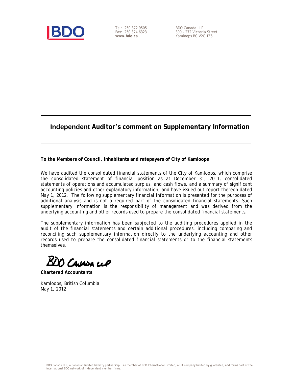

Tel: 250 372 9505 Fax: 250 374 6323 **www.bdo.ca** 

BDO Canada LLP 300 – 272 Victoria Street Kamloops BC V2C 1Z6

### **Independent Auditor's comment on Supplementary Information**

**To the Members of Council, inhabitants and ratepayers of City of Kamloops** 

We have audited the consolidated financial statements of the City of Kamloops, which comprise the consolidated statement of financial position as at December 31, 2011, consolidated statements of operations and accumulated surplus, and cash flows, and a summary of significant accounting policies and other explanatory information, and have issued out report thereon dated May 1, 2012. The following supplementary financial information is presented for the purposes of additional analysis and is not a required part of the consolidated financial statements. Such supplementary information is the responsibility of management and was derived from the underlying accounting and other records used to prepare the consolidated financial statements.

The supplementary information has been subjected to the auditing procedures applied in the audit of the financial statements and certain additional procedures, including comparing and reconciling such supplementary information directly to the underlying accounting and other records used to prepare the consolidated financial statements or to the financial statements themselves.

Cavasa cep

**Chartered Accountants** 

Kamloops, British Columbia May 1, 2012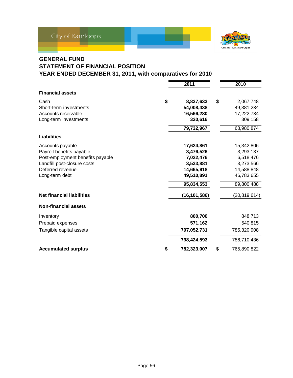

### **GENERAL FUND STATEMENT OF FINANCIAL POSITION YEAR ENDED DECEMBER 31, 2011, with comparatives for 2010**

|                                  | 2011            | 2010              |
|----------------------------------|-----------------|-------------------|
| <b>Financial assets</b>          |                 |                   |
| Cash                             | \$<br>8,837,633 | \$<br>2,067,748   |
| Short-term investments           | 54,008,438      | 49,381,234        |
| Accounts receivable              | 16,566,280      | 17,222,734        |
| Long-term investments            | 320,616         | 309,158           |
|                                  | 79,732,967      | 68,980,874        |
| <b>Liabilities</b>               |                 |                   |
| Accounts payable                 | 17,624,861      | 15,342,806        |
| Payroll benefits payable         | 3,476,526       | 3,293,137         |
| Post-employment benefits payable | 7,022,476       | 6,518,476         |
| Landfill post-closure costs      | 3,533,881       | 3,273,566         |
| Deferred revenue                 | 14,665,918      | 14,588,848        |
| Long-term debt                   | 49,510,891      | 46,783,655        |
|                                  | 95,834,553      | 89,800,488        |
| <b>Net financial liabilities</b> | (16, 101, 586)  | (20, 819, 614)    |
| <b>Non-financial assets</b>      |                 |                   |
| Inventory                        | 800,700         | 848,713           |
| Prepaid expenses                 | 571,162         | 540,815           |
| Tangible capital assets          | 797,052,731     | 785,320,908       |
|                                  | 798,424,593     | 786,710,436       |
| <b>Accumulated surplus</b>       | 782,323,007     | \$<br>765,890,822 |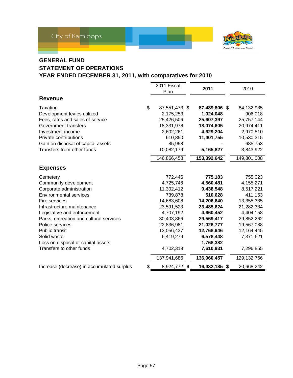

### **GENERAL FUND**

### **STATEMENT OF OPERATIONS YEAR ENDED DECEMBER 31, 2011, with comparatives for 2010**

| <b>Revenue</b><br>\$<br>Taxation<br>Development levies utilized | 2011 Fiscal<br>Plan<br>87,551,473 \$<br>2,175,253<br>25,426,506 | 2011<br>87,489,806 \$ | 2010 |               |
|-----------------------------------------------------------------|-----------------------------------------------------------------|-----------------------|------|---------------|
|                                                                 |                                                                 |                       |      |               |
|                                                                 |                                                                 |                       |      |               |
|                                                                 |                                                                 |                       |      | 84,132,935    |
|                                                                 |                                                                 | 1,024,048             |      | 906,018       |
| Fees, rates and sales of service                                |                                                                 | 25,607,397            |      | 25,757,144    |
| Government transfers                                            | 18,331,978                                                      | 18,074,605            |      | 20,974,411    |
| Investment income                                               | 2,602,261                                                       | 4,629,204             |      | 2,970,510     |
| Private contributions                                           | 610,850                                                         | 11,401,755            |      | 10,530,315    |
| Gain on disposal of capital assets                              | 85,958                                                          |                       |      | 685,753       |
| Transfers from other funds                                      | 10,082,179                                                      | 5,165,827             |      | 3,843,922     |
|                                                                 | 146,866,458                                                     | 153,392,642           |      | 149,801,008   |
| <b>Expenses</b>                                                 |                                                                 |                       |      |               |
| Cemetery                                                        | 772,446                                                         | 775,183               |      | 755,023       |
| Community development                                           | 4,725,746                                                       | 4,560,481             |      | 4,155,271     |
| Corporate administration                                        | 11,302,412                                                      | 9,438,548             |      | 8,517,221     |
| <b>Environmental services</b>                                   | 739,878                                                         | 510,628               |      | 411,153       |
| Fire services                                                   | 14,683,608                                                      | 14,206,640            |      | 13,355,335    |
| Infrastructure maintenance                                      | 23,591,523                                                      | 23,485,624            |      | 21,282,334    |
| Legislative and enforcement                                     | 4,707,192                                                       | 4,660,452             |      | 4,404,158     |
| Parks, recreation and cultural services                         | 30,403,866                                                      | 29,569,417            |      | 29,852,262    |
| Police services                                                 | 22,836,981                                                      | 21,026,777            |      | 19,567,088    |
| <b>Public transit</b>                                           | 13,056,437                                                      | 12,768,946            |      | 12,164,445    |
| Solid waste                                                     | 6,419,279                                                       | 6,578,448             |      | 7,371,621     |
| Loss on disposal of capital assets                              |                                                                 | 1,768,382             |      |               |
| Transfers to other funds                                        | 4,702,318                                                       | 7,610,931             |      | 7,296,855     |
|                                                                 | 137,941,686                                                     | 136,960,457           |      | 129, 132, 766 |
| Increase (decrease) in accumulated surplus<br>\$                | 8,924,772 \$                                                    | 16,432,185 \$         |      | 20,668,242    |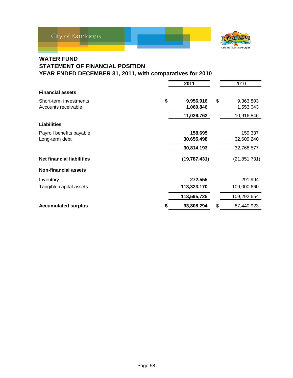

### **WATER FUND**

### **STATEMENT OF FINANCIAL POSITION YEAR ENDED DECEMBER 31, 2011, with comparatives for 2010**

|                                  | 2011            | 2010             |
|----------------------------------|-----------------|------------------|
| <b>Financial assets</b>          |                 |                  |
| Short-term investments           | \$<br>9,956,916 | \$<br>9,363,803  |
| Accounts receivable              | 1,069,846       | 1,553,043        |
|                                  | 11,026,762      | 10,916,846       |
| <b>Liabilities</b>               |                 |                  |
| Payroll benefits payable         | 158,695         | 159,337          |
| Long-term debt                   | 30,655,498      | 32,609,240       |
|                                  | 30,814,193      | 32,768,577       |
| <b>Net financial liabilities</b> | (19, 787, 431)  | (21,851,731)     |
| <b>Non-financial assets</b>      |                 |                  |
| Inventory                        | 272,555         | 291,994          |
| Tangible capital assets          | 113,323,170     | 109,000,660      |
|                                  | 113,595,725     | 109,292,654      |
| <b>Accumulated surplus</b>       | 93,808,294      | \$<br>87,440,923 |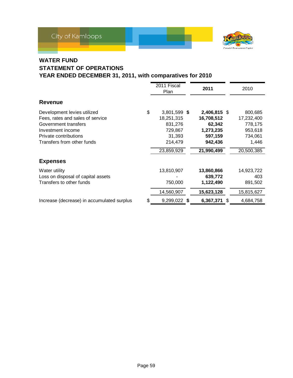

### **WATER FUND**

### **STATEMENT OF OPERATIONS YEAR ENDED DECEMBER 31, 2011, with comparatives for 2010**

|                                                                                                                                                                     | 2011 Fiscal<br>Plan                                                                       | 2011                                                                                  | 2010                                                                          |
|---------------------------------------------------------------------------------------------------------------------------------------------------------------------|-------------------------------------------------------------------------------------------|---------------------------------------------------------------------------------------|-------------------------------------------------------------------------------|
| <b>Revenue</b>                                                                                                                                                      |                                                                                           |                                                                                       |                                                                               |
| Development levies utilized<br>Fees, rates and sales of service<br>Government transfers<br>Investment income<br>Private contributions<br>Transfers from other funds | \$<br>3,801,599 \$<br>18,251,315<br>831,276<br>729,867<br>31,393<br>214,479<br>23,859,929 | 2,406,815 \$<br>16,708,512<br>62,342<br>1,273,235<br>597,159<br>942,436<br>21,990,499 | 800,685<br>17,232,400<br>778,175<br>953,618<br>734,061<br>1,446<br>20,500,385 |
| <b>Expenses</b>                                                                                                                                                     |                                                                                           |                                                                                       |                                                                               |
| Water utility<br>Loss on disposal of capital assets<br>Transfers to other funds                                                                                     | 13,810,907<br>750,000<br>14,560,907                                                       | 13,860,866<br>639,772<br>1,122,490<br>15,623,128                                      | 14,923,722<br>403<br>891,502<br>15,815,627                                    |
| Increase (decrease) in accumulated surplus                                                                                                                          | \$<br>9,299,022 \$                                                                        | 6,367,371<br>- \$                                                                     | 4,684,758                                                                     |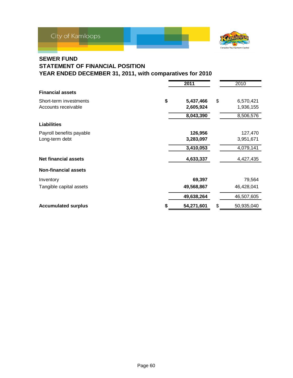

### **SEWER FUND**

### **STATEMENT OF FINANCIAL POSITION YEAR ENDED DECEMBER 31, 2011, with comparatives for 2010**

|                             | 2011            | 2010             |
|-----------------------------|-----------------|------------------|
| <b>Financial assets</b>     |                 |                  |
| Short-term investments      | \$<br>5,437,466 | \$<br>6,570,421  |
| Accounts receivable         | 2,605,924       | 1,936,155        |
|                             | 8,043,390       | 8,506,576        |
| Liabilities                 |                 |                  |
| Payroll benefits payable    | 126,956         | 127,470          |
| Long-term debt              | 3,283,097       | 3,951,671        |
|                             | 3,410,053       | 4,079,141        |
| <b>Net financial assets</b> | 4,633,337       | 4,427,435        |
| <b>Non-financial assets</b> |                 |                  |
| Inventory                   | 69,397          | 79,564           |
| Tangible capital assets     | 49,568,867      | 46,428,041       |
|                             | 49,638,264      | 46,507,605       |
| <b>Accumulated surplus</b>  | 54,271,601      | \$<br>50,935,040 |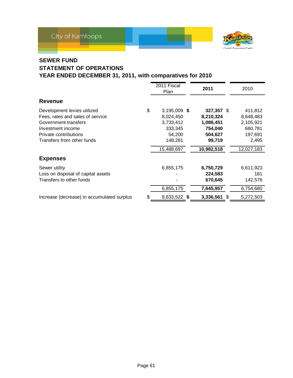

### **SEWER FUND**

### **STATEMENT OF OPERATIONS YEAR ENDED DECEMBER 31, 2011, with comparatives for 2010**

| <b>Revenue</b>                                                                                                                                                      | 2011 Fiscal<br>Plan                                                                        | 2011                                                                               |   | 2010                                                                           |
|---------------------------------------------------------------------------------------------------------------------------------------------------------------------|--------------------------------------------------------------------------------------------|------------------------------------------------------------------------------------|---|--------------------------------------------------------------------------------|
| Development levies utilized<br>Fees, rates and sales of service<br>Government transfers<br>Investment income<br>Private contributions<br>Transfers from other funds | \$<br>3,195,009 \$<br>8,024,450<br>3,733,412<br>333,345<br>54,200<br>148,281<br>15,488,697 | 327,357 \$<br>8,210,324<br>1,086,451<br>754,040<br>504,627<br>99,719<br>10,982,518 |   | 411,812<br>8,648,483<br>2,105,921<br>660,781<br>197,691<br>2,495<br>12,027,183 |
| <b>Expenses</b>                                                                                                                                                     |                                                                                            |                                                                                    |   |                                                                                |
| Sewer utility<br>Loss on disposal of capital assets<br>Transfers to other funds                                                                                     | 6,855,175<br>6,855,175                                                                     | 6,750,729<br>224,583<br>670,645<br>7,645,957                                       |   | 6,611,923<br>181<br>142,576<br>6,754,680                                       |
| Increase (decrease) in accumulated surplus                                                                                                                          | \$<br>8,633,522 \$                                                                         | 3,336,561                                                                          | S | 5,272,503                                                                      |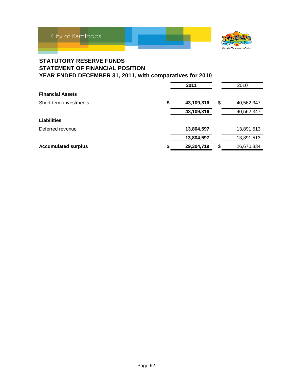

### **STATUTORY RESERVE FUNDS STATEMENT OF FINANCIAL POSITION YEAR ENDED DECEMBER 31, 2011, with comparatives for 2010**

|                            | 2011             | 2010             |
|----------------------------|------------------|------------------|
| <b>Financial Assets</b>    |                  |                  |
| Short-term investments     | \$<br>43,109,316 | \$<br>40,562,347 |
|                            | 43,109,316       | 40,562,347       |
| <b>Liabilities</b>         |                  |                  |
| Deferred revenue           | 13,804,597       | 13,891,513       |
|                            | 13,804,597       | 13,891,513       |
| <b>Accumulated surplus</b> | 29,304,719       | \$<br>26,670,834 |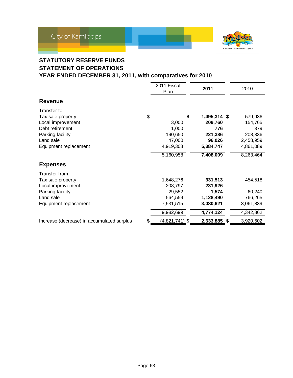



### **STATUTORY RESERVE FUNDS STATEMENT OF OPERATIONS YEAR ENDED DECEMBER 31, 2011, with comparatives for 2010**

|                                                                                                                                     |    | 2011 Fiscal<br>Plan                                                 |     | 2011                                                               |  | 2010                                                           |
|-------------------------------------------------------------------------------------------------------------------------------------|----|---------------------------------------------------------------------|-----|--------------------------------------------------------------------|--|----------------------------------------------------------------|
| <b>Revenue</b>                                                                                                                      |    |                                                                     |     |                                                                    |  |                                                                |
| Transfer to:<br>Tax sale property<br>Local improvement<br>Debt retirement<br>Parking facility<br>Land sale<br>Equipment replacement | \$ | 3,000<br>1,000<br>190,650<br>47,000<br>4,919,308                    | -\$ | 1,495,314 \$<br>209,760<br>776<br>221,386<br>96,026<br>5,384,747   |  | 579,936<br>154,765<br>379<br>208,336<br>2,458,959<br>4,861,089 |
|                                                                                                                                     |    | 5,160,958                                                           |     | 7,408,009                                                          |  | 8,263,464                                                      |
| <b>Expenses</b>                                                                                                                     |    |                                                                     |     |                                                                    |  |                                                                |
| Transfer from:<br>Tax sale property<br>Local improvement<br>Parking facility<br>Land sale<br>Equipment replacement                  |    | 1,648,276<br>208,797<br>29,552<br>564,559<br>7,531,515<br>9,982,699 |     | 331,513<br>231,926<br>1,574<br>1,128,490<br>3,080,621<br>4,774,124 |  | 454,518<br>60,240<br>766,265<br>3,061,839<br>4,342,862         |
| Increase (decrease) in accumulated surplus                                                                                          | \$ | $(4,821,741)$ \$                                                    |     | 2,633,885 \$                                                       |  | 3,920,602                                                      |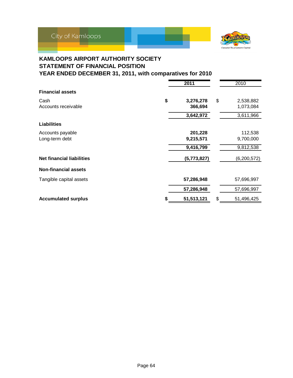



### **KAMLOOPS AIRPORT AUTHORITY SOCIETY STATEMENT OF FINANCIAL POSITION YEAR ENDED DECEMBER 31, 2011, with comparatives for 2010**

|                                  | 2011            | 2010             |
|----------------------------------|-----------------|------------------|
| <b>Financial assets</b>          |                 |                  |
| Cash                             | \$<br>3,276,278 | \$<br>2,538,882  |
| Accounts receivable              | 366,694         | 1,073,084        |
|                                  | 3,642,972       | 3,611,966        |
| <b>Liabilities</b>               |                 |                  |
| Accounts payable                 | 201,228         | 112,538          |
| Long-term debt                   | 9,215,571       | 9,700,000        |
|                                  | 9,416,799       | 9,812,538        |
| <b>Net financial liabilities</b> | (5,773,827)     | (6,200,572)      |
| <b>Non-financial assets</b>      |                 |                  |
| Tangible capital assets          | 57,286,948      | 57,696,997       |
|                                  | 57,286,948      | 57,696,997       |
| <b>Accumulated surplus</b>       | 51,513,121      | \$<br>51,496,425 |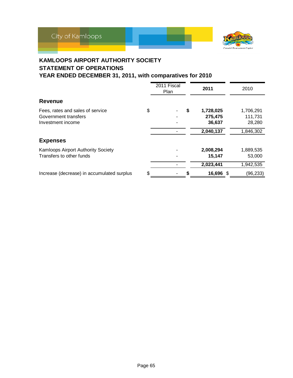



### **KAMLOOPS AIRPORT AUTHORITY SOCIETY STATEMENT OF OPERATIONS YEAR ENDED DECEMBER 31, 2011, with comparatives for 2010**

|                                            | 2011 Fiscal<br>Plan | 2011            | 2010      |
|--------------------------------------------|---------------------|-----------------|-----------|
| <b>Revenue</b>                             |                     |                 |           |
| Fees, rates and sales of service           | \$                  | \$<br>1,728,025 | 1,706,291 |
| Government transfers                       |                     | 275,475         | 111,731   |
| Investment income                          |                     | 36,637          | 28,280    |
|                                            |                     | 2,040,137       | 1,846,302 |
| <b>Expenses</b>                            |                     |                 |           |
| <b>Kamloops Airport Authority Society</b>  |                     | 2,008,294       | 1,889,535 |
| Transfers to other funds                   |                     | 15,147          | 53,000    |
|                                            |                     | 2,023,441       | 1,942,535 |
| Increase (decrease) in accumulated surplus | \$                  | 16,696 \$       | (96, 233) |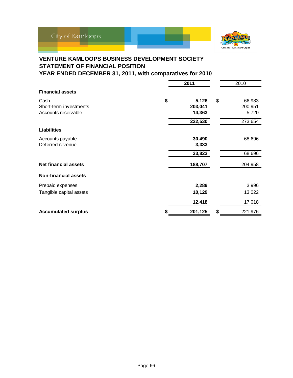

### **VENTURE KAMLOOPS BUSINESS DEVELOPMENT SOCIETY STATEMENT OF FINANCIAL POSITION YEAR ENDED DECEMBER 31, 2011, with comparatives for 2010**

|                             |    | 2011    |    | 2010    |
|-----------------------------|----|---------|----|---------|
| <b>Financial assets</b>     |    |         |    |         |
| Cash                        | \$ | 5,126   | \$ | 66,983  |
| Short-term investments      |    | 203,041 |    | 200,951 |
| Accounts receivable         |    | 14,363  |    | 5,720   |
|                             |    | 222,530 |    | 273,654 |
| <b>Liabilities</b>          |    |         |    |         |
| Accounts payable            |    | 30,490  |    | 68,696  |
| Deferred revenue            |    | 3,333   |    |         |
|                             |    | 33,823  |    | 68,696  |
| <b>Net financial assets</b> |    | 188,707 |    | 204,958 |
| <b>Non-financial assets</b> |    |         |    |         |
| Prepaid expenses            |    | 2,289   |    | 3,996   |
| Tangible capital assets     |    | 10,129  |    | 13,022  |
|                             |    | 12,418  |    | 17,018  |
| <b>Accumulated surplus</b>  | S  | 201,125 | \$ | 221,976 |